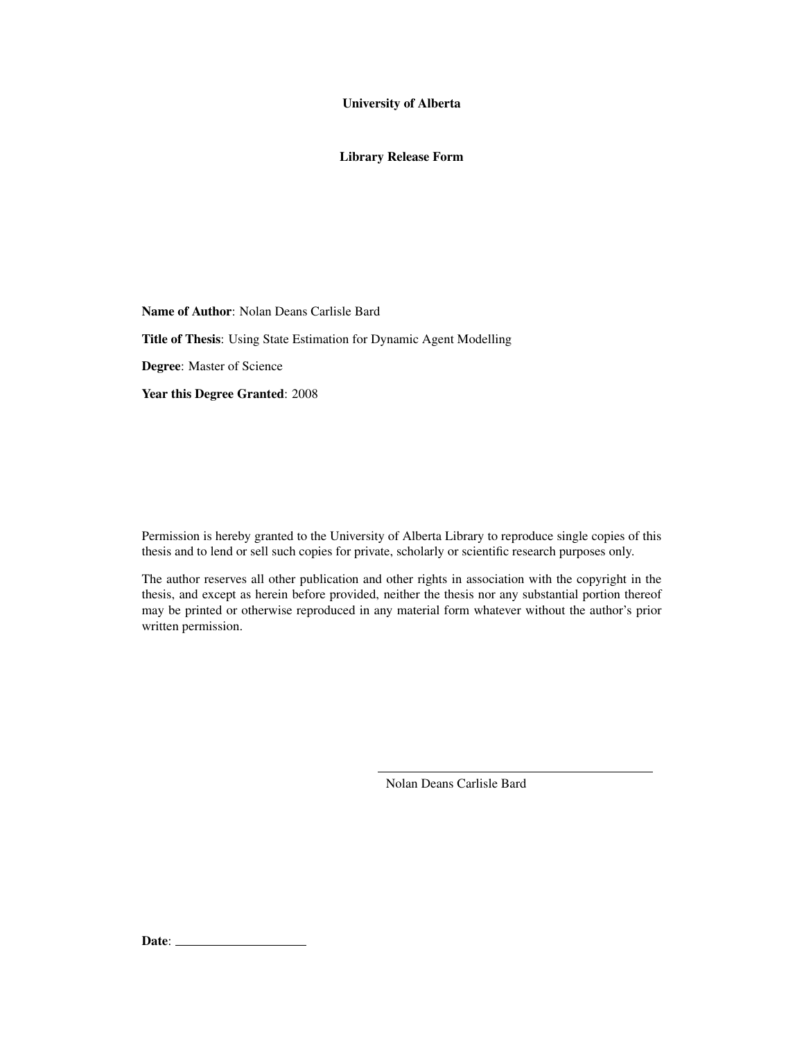### University of Alberta

## Library Release Form

Name of Author: Nolan Deans Carlisle Bard

Title of Thesis: Using State Estimation for Dynamic Agent Modelling

Degree: Master of Science

Year this Degree Granted: 2008

Permission is hereby granted to the University of Alberta Library to reproduce single copies of this thesis and to lend or sell such copies for private, scholarly or scientific research purposes only.

The author reserves all other publication and other rights in association with the copyright in the thesis, and except as herein before provided, neither the thesis nor any substantial portion thereof may be printed or otherwise reproduced in any material form whatever without the author's prior written permission.

Nolan Deans Carlisle Bard

Date:  $\_\_$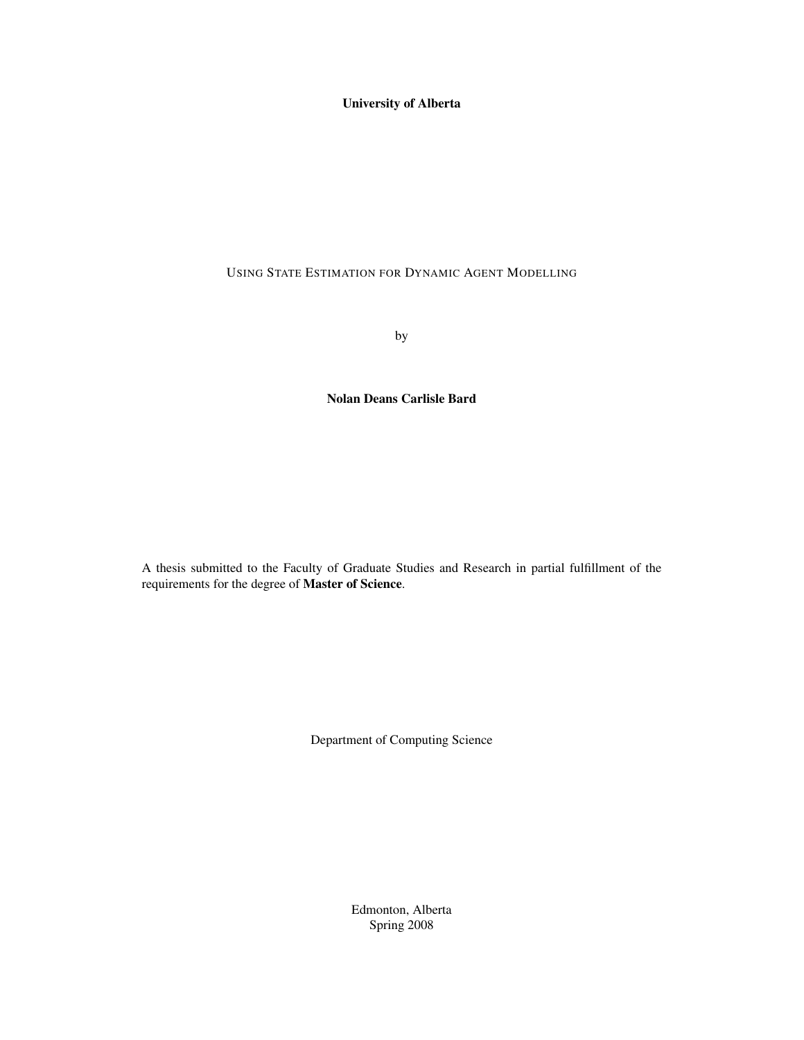## University of Alberta

## USING STATE ESTIMATION FOR DYNAMIC AGENT MODELLING

by

Nolan Deans Carlisle Bard

A thesis submitted to the Faculty of Graduate Studies and Research in partial fulfillment of the requirements for the degree of Master of Science.

Department of Computing Science

Edmonton, Alberta Spring 2008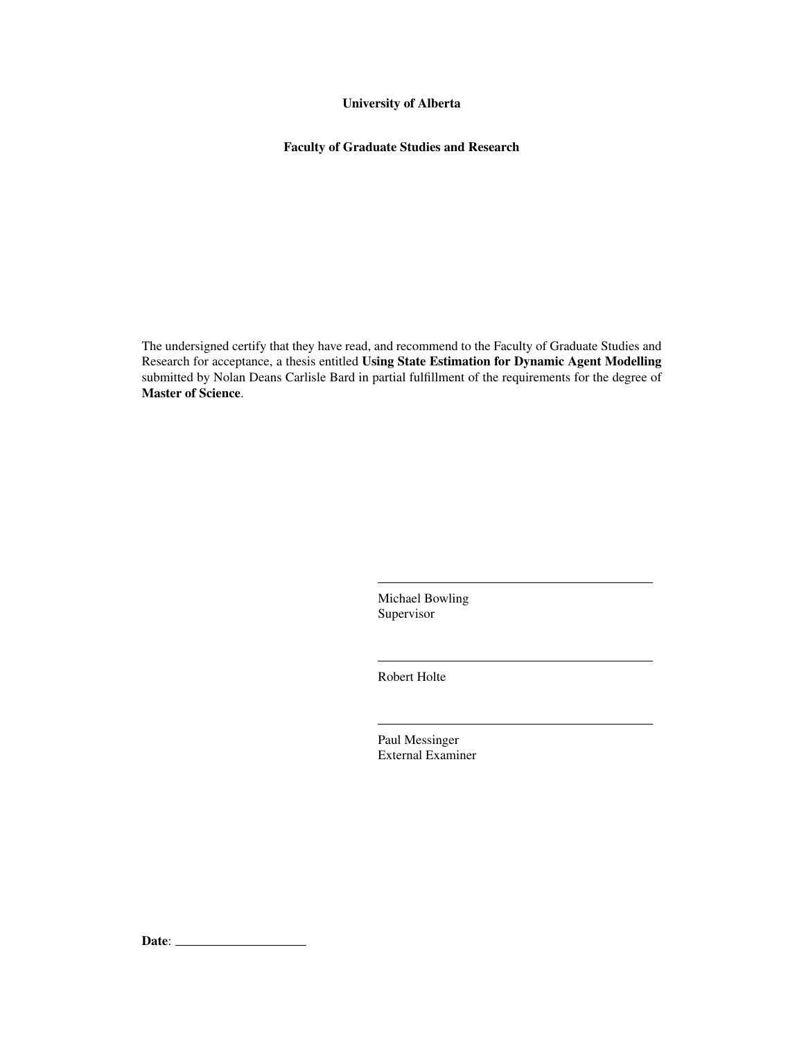## University of Alberta

## Faculty of Graduate Studies and Research

The undersigned certify that they have read, and recommend to the Faculty of Graduate Studies and Research for acceptance, a thesis entitled Using State Estimation for Dynamic Agent Modelling submitted by Nolan Deans Carlisle Bard in partial fulfillment of the requirements for the degree of Master of Science.

> Michael Bowling Supervisor

Robert Holte

Paul Messinger External Examiner

Date:  $\_\_$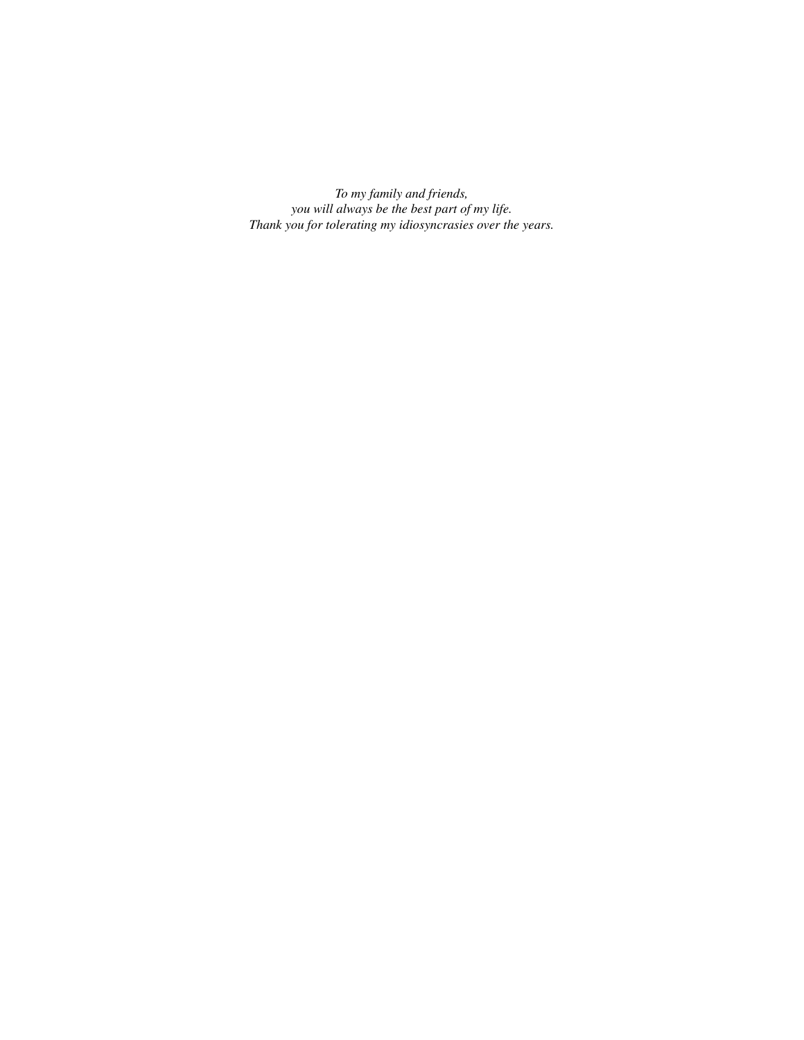*To my family and friends, you will always be the best part of my life. Thank you for tolerating my idiosyncrasies over the years.*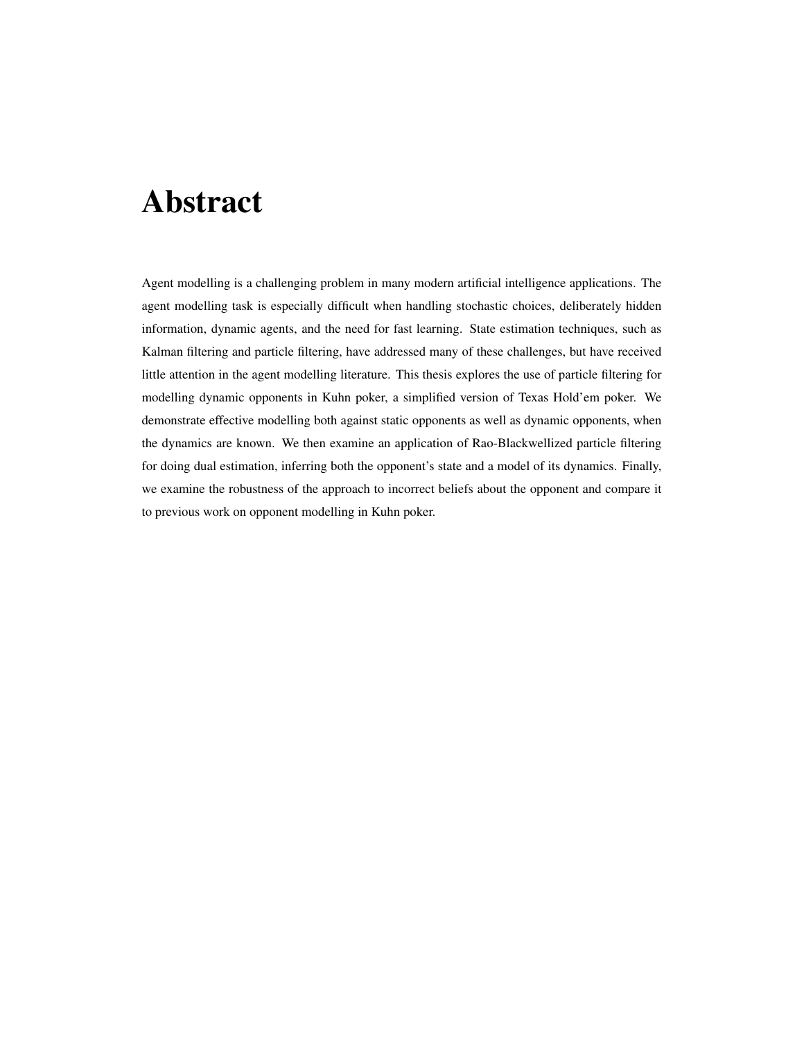# Abstract

Agent modelling is a challenging problem in many modern artificial intelligence applications. The agent modelling task is especially difficult when handling stochastic choices, deliberately hidden information, dynamic agents, and the need for fast learning. State estimation techniques, such as Kalman filtering and particle filtering, have addressed many of these challenges, but have received little attention in the agent modelling literature. This thesis explores the use of particle filtering for modelling dynamic opponents in Kuhn poker, a simplified version of Texas Hold'em poker. We demonstrate effective modelling both against static opponents as well as dynamic opponents, when the dynamics are known. We then examine an application of Rao-Blackwellized particle filtering for doing dual estimation, inferring both the opponent's state and a model of its dynamics. Finally, we examine the robustness of the approach to incorrect beliefs about the opponent and compare it to previous work on opponent modelling in Kuhn poker.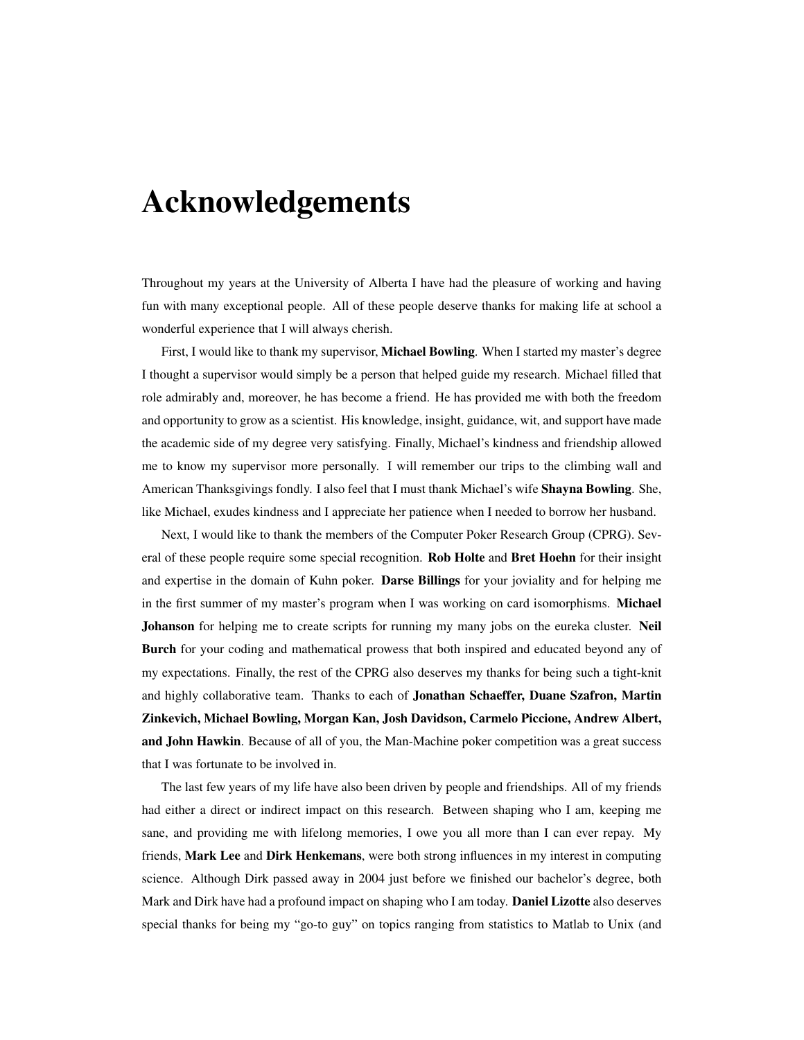# Acknowledgements

Throughout my years at the University of Alberta I have had the pleasure of working and having fun with many exceptional people. All of these people deserve thanks for making life at school a wonderful experience that I will always cherish.

First, I would like to thank my supervisor, Michael Bowling. When I started my master's degree I thought a supervisor would simply be a person that helped guide my research. Michael filled that role admirably and, moreover, he has become a friend. He has provided me with both the freedom and opportunity to grow as a scientist. His knowledge, insight, guidance, wit, and support have made the academic side of my degree very satisfying. Finally, Michael's kindness and friendship allowed me to know my supervisor more personally. I will remember our trips to the climbing wall and American Thanksgivings fondly. I also feel that I must thank Michael's wife Shayna Bowling. She, like Michael, exudes kindness and I appreciate her patience when I needed to borrow her husband.

Next, I would like to thank the members of the Computer Poker Research Group (CPRG). Several of these people require some special recognition. Rob Holte and Bret Hoehn for their insight and expertise in the domain of Kuhn poker. Darse Billings for your joviality and for helping me in the first summer of my master's program when I was working on card isomorphisms. Michael **Johanson** for helping me to create scripts for running my many jobs on the eureka cluster. Neil Burch for your coding and mathematical prowess that both inspired and educated beyond any of my expectations. Finally, the rest of the CPRG also deserves my thanks for being such a tight-knit and highly collaborative team. Thanks to each of Jonathan Schaeffer, Duane Szafron, Martin Zinkevich, Michael Bowling, Morgan Kan, Josh Davidson, Carmelo Piccione, Andrew Albert, and John Hawkin. Because of all of you, the Man-Machine poker competition was a great success that I was fortunate to be involved in.

The last few years of my life have also been driven by people and friendships. All of my friends had either a direct or indirect impact on this research. Between shaping who I am, keeping me sane, and providing me with lifelong memories, I owe you all more than I can ever repay. My friends, Mark Lee and Dirk Henkemans, were both strong influences in my interest in computing science. Although Dirk passed away in 2004 just before we finished our bachelor's degree, both Mark and Dirk have had a profound impact on shaping who I am today. Daniel Lizotte also deserves special thanks for being my "go-to guy" on topics ranging from statistics to Matlab to Unix (and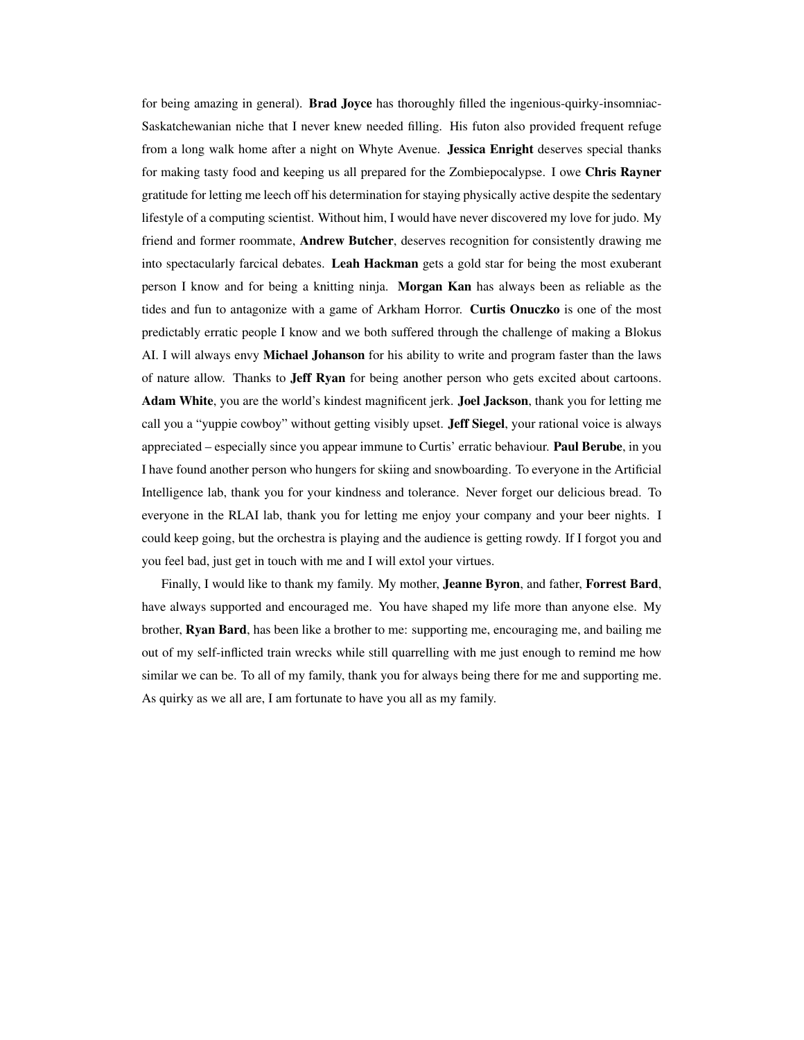for being amazing in general). **Brad Joyce** has thoroughly filled the ingenious-quirky-insomniac-Saskatchewanian niche that I never knew needed filling. His futon also provided frequent refuge from a long walk home after a night on Whyte Avenue. **Jessica Enright** deserves special thanks for making tasty food and keeping us all prepared for the Zombiepocalypse. I owe Chris Rayner gratitude for letting me leech off his determination for staying physically active despite the sedentary lifestyle of a computing scientist. Without him, I would have never discovered my love for judo. My friend and former roommate, Andrew Butcher, deserves recognition for consistently drawing me into spectacularly farcical debates. Leah Hackman gets a gold star for being the most exuberant person I know and for being a knitting ninja. Morgan Kan has always been as reliable as the tides and fun to antagonize with a game of Arkham Horror. Curtis Onuczko is one of the most predictably erratic people I know and we both suffered through the challenge of making a Blokus AI. I will always envy Michael Johanson for his ability to write and program faster than the laws of nature allow. Thanks to Jeff Ryan for being another person who gets excited about cartoons. Adam White, you are the world's kindest magnificent jerk. Joel Jackson, thank you for letting me call you a "yuppie cowboy" without getting visibly upset. Jeff Siegel, your rational voice is always appreciated – especially since you appear immune to Curtis' erratic behaviour. **Paul Berube**, in you I have found another person who hungers for skiing and snowboarding. To everyone in the Artificial Intelligence lab, thank you for your kindness and tolerance. Never forget our delicious bread. To everyone in the RLAI lab, thank you for letting me enjoy your company and your beer nights. I could keep going, but the orchestra is playing and the audience is getting rowdy. If I forgot you and you feel bad, just get in touch with me and I will extol your virtues.

Finally, I would like to thank my family. My mother, Jeanne Byron, and father, Forrest Bard, have always supported and encouraged me. You have shaped my life more than anyone else. My brother, Ryan Bard, has been like a brother to me: supporting me, encouraging me, and bailing me out of my self-inflicted train wrecks while still quarrelling with me just enough to remind me how similar we can be. To all of my family, thank you for always being there for me and supporting me. As quirky as we all are, I am fortunate to have you all as my family.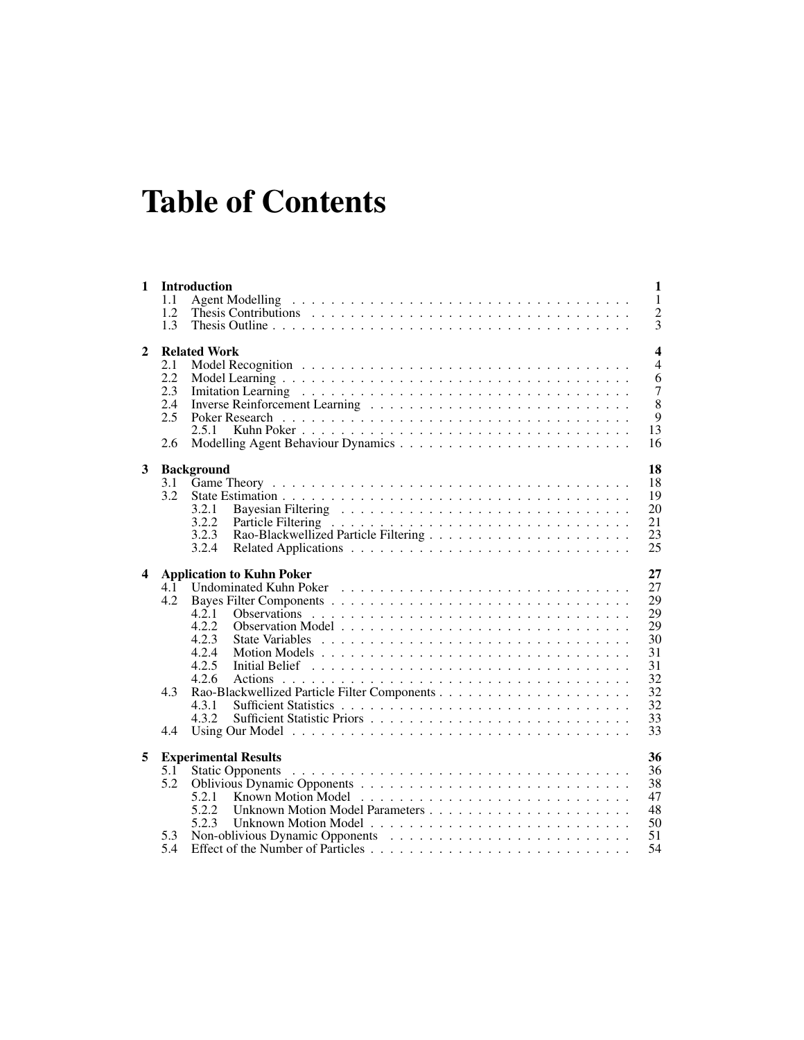# Table of Contents

| $\mathbf{1}$            | 1.1<br>1.2<br>1.3                      | <b>Introduction</b><br>$\mathbf{1}$<br>$\mathbf{1}$<br>Agent Modelling<br>$\overline{c}$<br>3                                                                                          |
|-------------------------|----------------------------------------|----------------------------------------------------------------------------------------------------------------------------------------------------------------------------------------|
| $\mathbf{2}$            | 2.1<br>2.2<br>2.3<br>2.4<br>2.5<br>2.6 | $\overline{\mathbf{4}}$<br><b>Related Work</b><br>$\overline{4}$<br>6<br>$\overline{7}$<br>8<br>9<br>13<br>2.5.1<br>16                                                                 |
| 3                       | 3.1<br>3.2                             | 18<br><b>Background</b><br>18<br>19<br>20<br>3.2.1<br>3.2.2<br>21<br>3.2.3<br>23<br>25<br>3.2.4                                                                                        |
| $\overline{\mathbf{4}}$ | 4.1<br>4.2<br>4.3<br>4.4               | 27<br><b>Application to Kuhn Poker</b><br>27<br>29<br>29<br>4.2.1<br>4.2.2<br>29<br>30<br>4.2.3<br>4.2.4<br>31<br>4.2.5<br>31<br>32<br>4.2.6<br>32<br>32<br>4.3.1<br>33<br>4.3.2<br>33 |
| 5                       | 5.1<br>5.2<br>5.3<br>5.4               | <b>Experimental Results</b><br>36<br>36<br>38<br>47<br>5.2.1<br>5.2.2<br>48<br>50<br>5.2.3<br>51<br>54                                                                                 |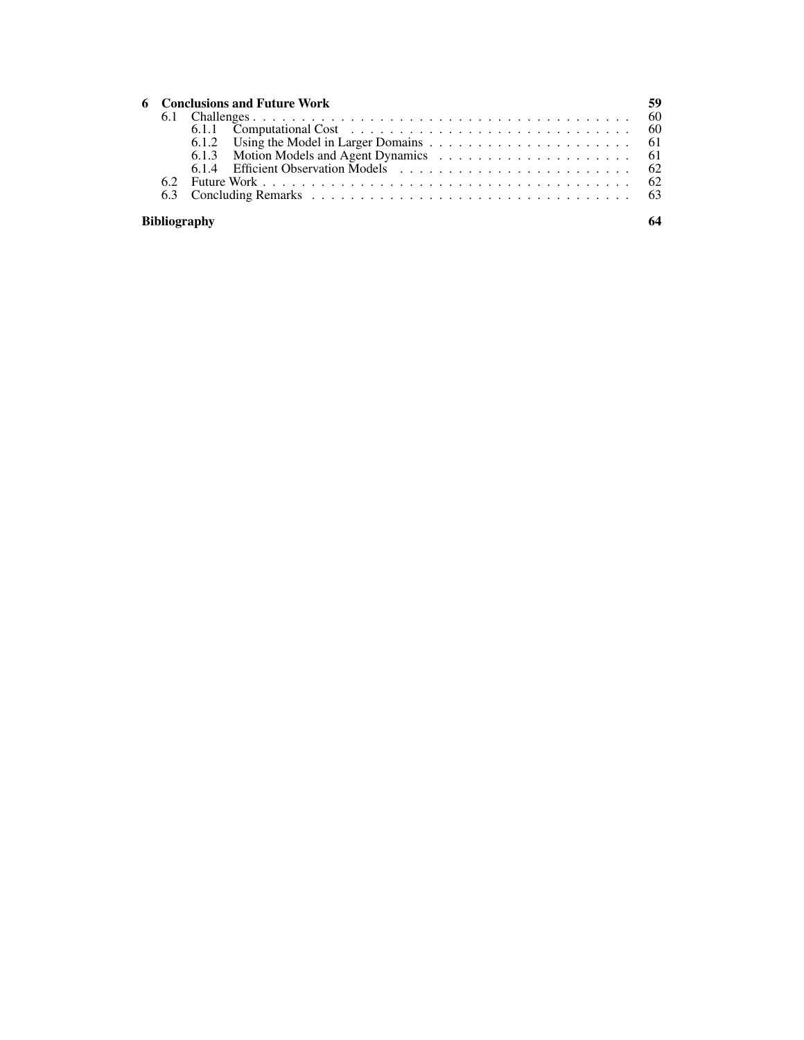|                     |  | <b>6</b> Conclusions and Future Work                                                                 |  |  |  |
|---------------------|--|------------------------------------------------------------------------------------------------------|--|--|--|
|                     |  |                                                                                                      |  |  |  |
|                     |  |                                                                                                      |  |  |  |
|                     |  | 6.1.2 Using the Model in Larger Domains $\ldots \ldots \ldots \ldots \ldots \ldots \ldots \ldots$ 61 |  |  |  |
|                     |  |                                                                                                      |  |  |  |
|                     |  | 6.1.4 Efficient Observation Models expression of the contract of the 62                              |  |  |  |
|                     |  |                                                                                                      |  |  |  |
|                     |  |                                                                                                      |  |  |  |
| <b>Bibliography</b> |  |                                                                                                      |  |  |  |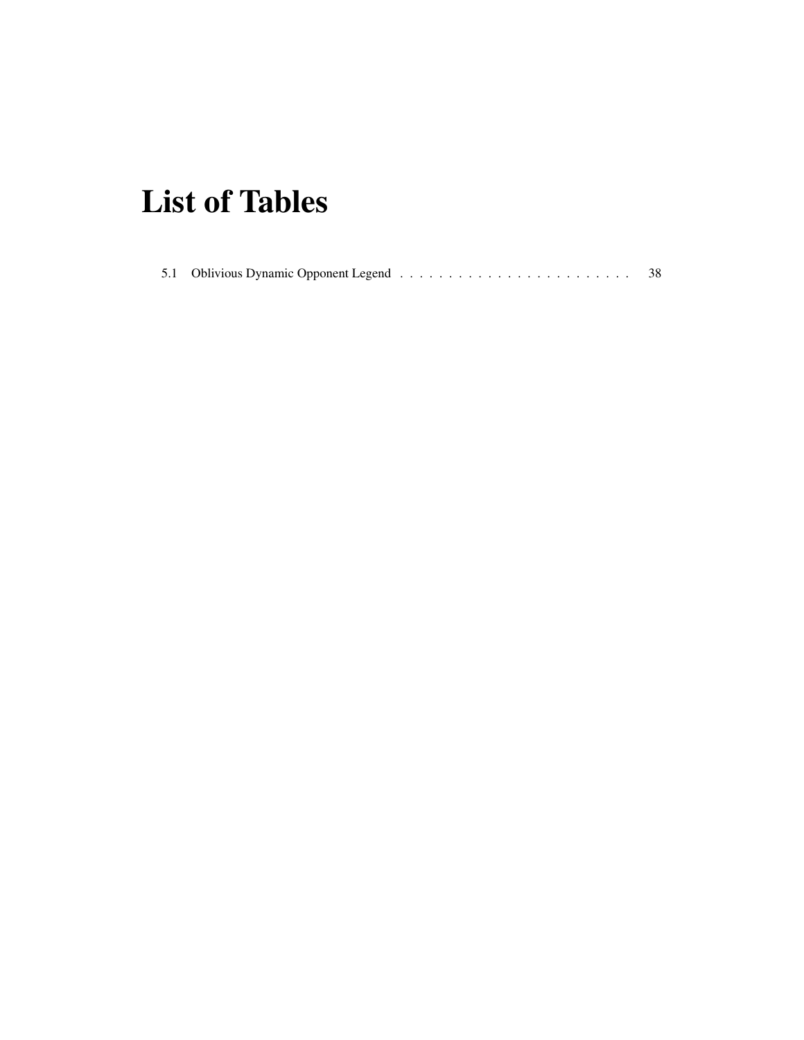# List of Tables

|--|--|--|--|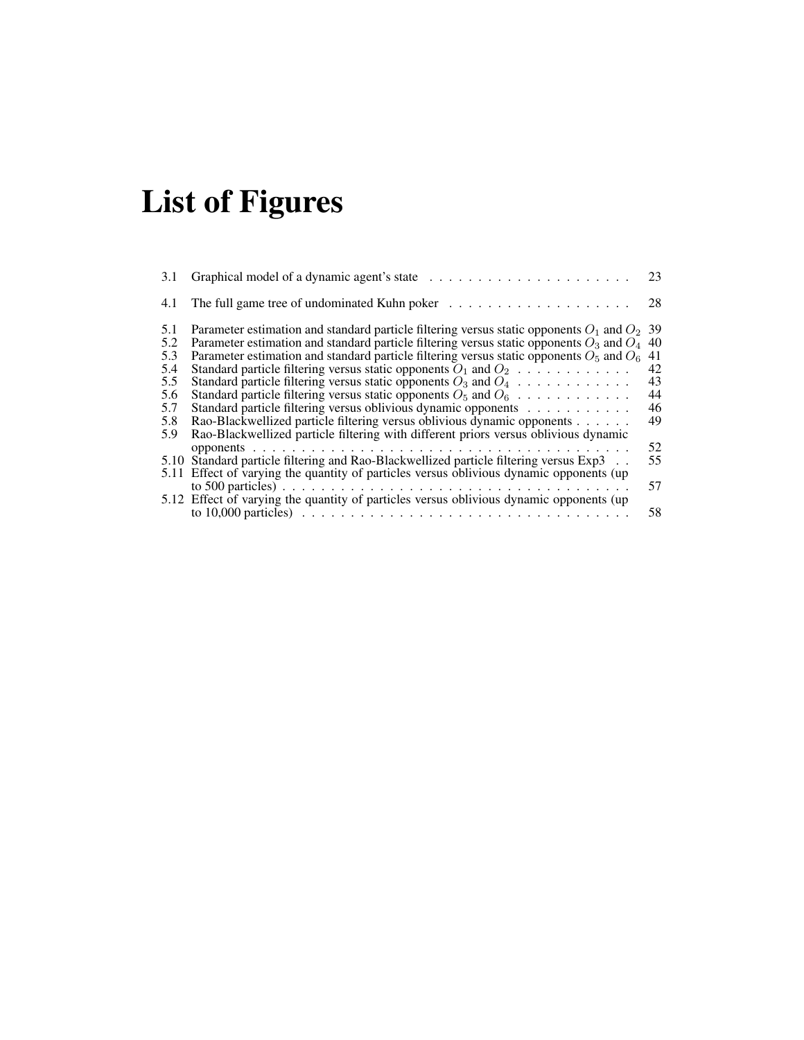# List of Figures

| 3.1 | Graphical model of a dynamic agent's state                                                      | 23 |
|-----|-------------------------------------------------------------------------------------------------|----|
| 4.1 |                                                                                                 | 28 |
| 5.1 | Parameter estimation and standard particle filtering versus static opponents $O_1$ and $O_2$ 39 |    |
| 5.2 | Parameter estimation and standard particle filtering versus static opponents $O_3$ and $O_4$    | 40 |
| 5.3 | Parameter estimation and standard particle filtering versus static opponents $O_5$ and $O_6$    | 41 |
| 5.4 | Standard particle filtering versus static opponents $O_1$ and $O_2$                             | 42 |
| 5.5 | Standard particle filtering versus static opponents $O_3$ and $O_4$                             | 43 |
| 5.6 | Standard particle filtering versus static opponents $O_5$ and $O_6$                             | 44 |
| 5.7 | Standard particle filtering versus oblivious dynamic opponents                                  | 46 |
| 5.8 | Rao-Blackwellized particle filtering versus oblivious dynamic opponents                         | 49 |
| 5.9 | Rao-Blackwellized particle filtering with different priors versus oblivious dynamic             |    |
|     |                                                                                                 | 52 |
|     | 5.10 Standard particle filtering and Rao-Blackwellized particle filtering versus Exp3           | 55 |
|     | 5.11 Effect of varying the quantity of particles versus oblivious dynamic opponents (up         |    |
|     |                                                                                                 | 57 |
|     | 5.12 Effect of varying the quantity of particles versus oblivious dynamic opponents (up         |    |
|     |                                                                                                 | 58 |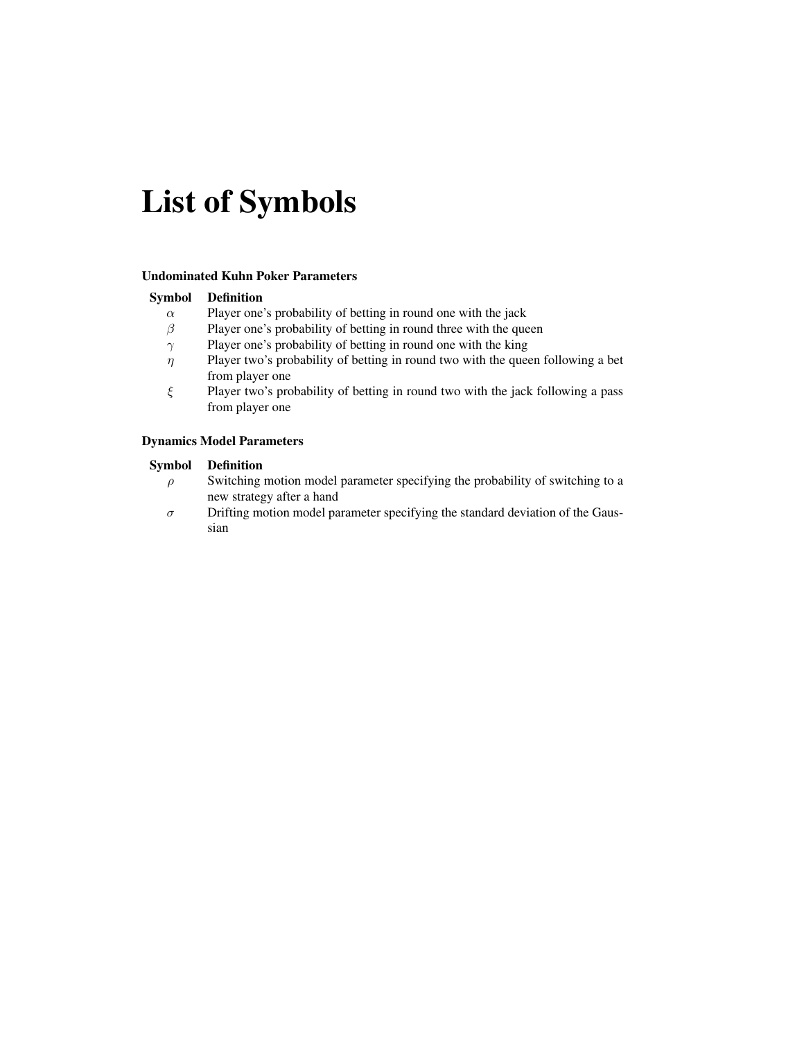# List of Symbols

### Undominated Kuhn Poker Parameters

## Symbol Definition

- $\alpha$  Player one's probability of betting in round one with the jack
- $\beta$  Player one's probability of betting in round three with the queen
- $\gamma$  Player one's probability of betting in round one with the king
- $\eta$  Player two's probability of betting in round two with the queen following a bet from player one
- ξ Player two's probability of betting in round two with the jack following a pass from player one

## Dynamics Model Parameters

## Symbol Definition

- $\rho$  Switching motion model parameter specifying the probability of switching to a new strategy after a hand
- $\sigma$  Drifting motion model parameter specifying the standard deviation of the Gaussian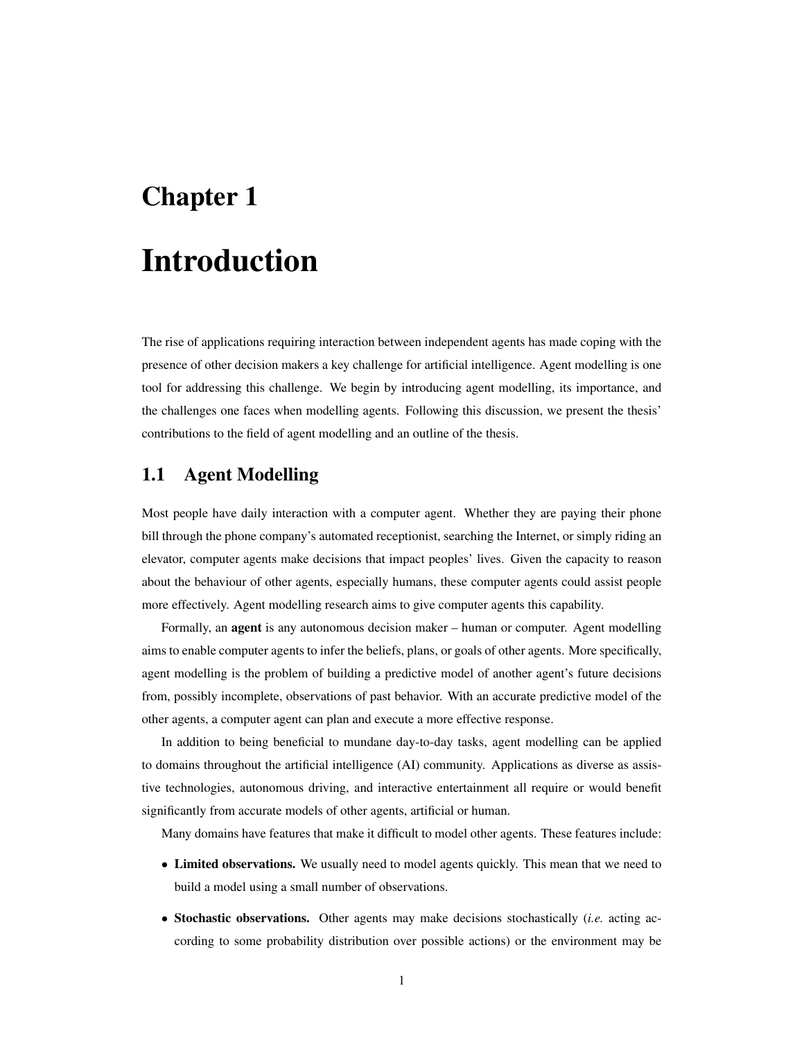# Chapter 1 Introduction

The rise of applications requiring interaction between independent agents has made coping with the presence of other decision makers a key challenge for artificial intelligence. Agent modelling is one tool for addressing this challenge. We begin by introducing agent modelling, its importance, and the challenges one faces when modelling agents. Following this discussion, we present the thesis' contributions to the field of agent modelling and an outline of the thesis.

## 1.1 Agent Modelling

Most people have daily interaction with a computer agent. Whether they are paying their phone bill through the phone company's automated receptionist, searching the Internet, or simply riding an elevator, computer agents make decisions that impact peoples' lives. Given the capacity to reason about the behaviour of other agents, especially humans, these computer agents could assist people more effectively. Agent modelling research aims to give computer agents this capability.

Formally, an agent is any autonomous decision maker – human or computer. Agent modelling aims to enable computer agents to infer the beliefs, plans, or goals of other agents. More specifically, agent modelling is the problem of building a predictive model of another agent's future decisions from, possibly incomplete, observations of past behavior. With an accurate predictive model of the other agents, a computer agent can plan and execute a more effective response.

In addition to being beneficial to mundane day-to-day tasks, agent modelling can be applied to domains throughout the artificial intelligence (AI) community. Applications as diverse as assistive technologies, autonomous driving, and interactive entertainment all require or would benefit significantly from accurate models of other agents, artificial or human.

Many domains have features that make it difficult to model other agents. These features include:

- Limited observations. We usually need to model agents quickly. This mean that we need to build a model using a small number of observations.
- Stochastic observations. Other agents may make decisions stochastically (*i.e.* acting according to some probability distribution over possible actions) or the environment may be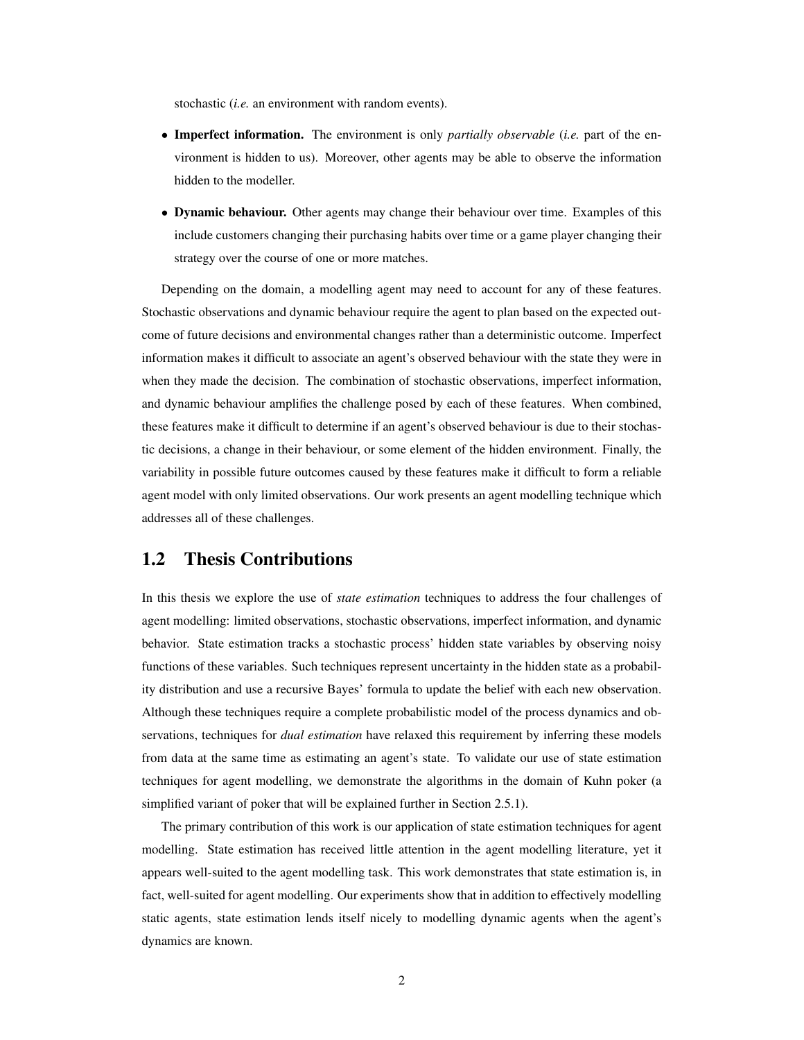stochastic (*i.e.* an environment with random events).

- Imperfect information. The environment is only *partially observable* (*i.e.* part of the environment is hidden to us). Moreover, other agents may be able to observe the information hidden to the modeller.
- Dynamic behaviour. Other agents may change their behaviour over time. Examples of this include customers changing their purchasing habits over time or a game player changing their strategy over the course of one or more matches.

Depending on the domain, a modelling agent may need to account for any of these features. Stochastic observations and dynamic behaviour require the agent to plan based on the expected outcome of future decisions and environmental changes rather than a deterministic outcome. Imperfect information makes it difficult to associate an agent's observed behaviour with the state they were in when they made the decision. The combination of stochastic observations, imperfect information, and dynamic behaviour amplifies the challenge posed by each of these features. When combined, these features make it difficult to determine if an agent's observed behaviour is due to their stochastic decisions, a change in their behaviour, or some element of the hidden environment. Finally, the variability in possible future outcomes caused by these features make it difficult to form a reliable agent model with only limited observations. Our work presents an agent modelling technique which addresses all of these challenges.

## 1.2 Thesis Contributions

In this thesis we explore the use of *state estimation* techniques to address the four challenges of agent modelling: limited observations, stochastic observations, imperfect information, and dynamic behavior. State estimation tracks a stochastic process' hidden state variables by observing noisy functions of these variables. Such techniques represent uncertainty in the hidden state as a probability distribution and use a recursive Bayes' formula to update the belief with each new observation. Although these techniques require a complete probabilistic model of the process dynamics and observations, techniques for *dual estimation* have relaxed this requirement by inferring these models from data at the same time as estimating an agent's state. To validate our use of state estimation techniques for agent modelling, we demonstrate the algorithms in the domain of Kuhn poker (a simplified variant of poker that will be explained further in Section 2.5.1).

The primary contribution of this work is our application of state estimation techniques for agent modelling. State estimation has received little attention in the agent modelling literature, yet it appears well-suited to the agent modelling task. This work demonstrates that state estimation is, in fact, well-suited for agent modelling. Our experiments show that in addition to effectively modelling static agents, state estimation lends itself nicely to modelling dynamic agents when the agent's dynamics are known.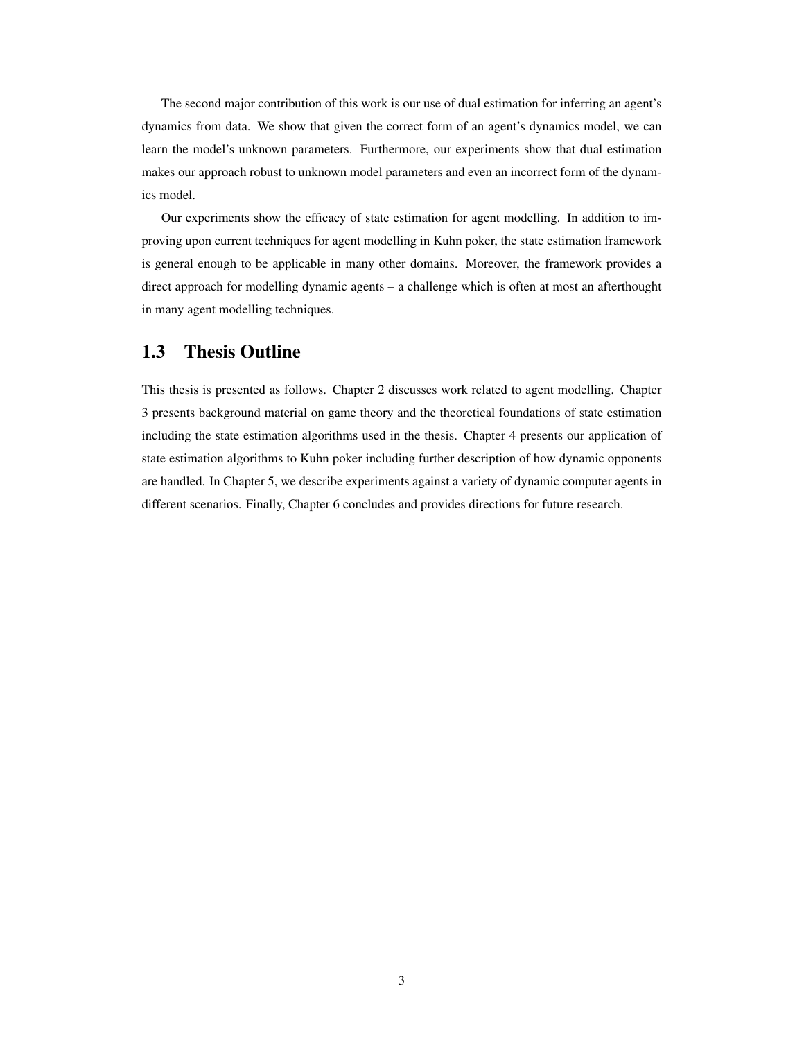The second major contribution of this work is our use of dual estimation for inferring an agent's dynamics from data. We show that given the correct form of an agent's dynamics model, we can learn the model's unknown parameters. Furthermore, our experiments show that dual estimation makes our approach robust to unknown model parameters and even an incorrect form of the dynamics model.

Our experiments show the efficacy of state estimation for agent modelling. In addition to improving upon current techniques for agent modelling in Kuhn poker, the state estimation framework is general enough to be applicable in many other domains. Moreover, the framework provides a direct approach for modelling dynamic agents – a challenge which is often at most an afterthought in many agent modelling techniques.

## 1.3 Thesis Outline

This thesis is presented as follows. Chapter 2 discusses work related to agent modelling. Chapter 3 presents background material on game theory and the theoretical foundations of state estimation including the state estimation algorithms used in the thesis. Chapter 4 presents our application of state estimation algorithms to Kuhn poker including further description of how dynamic opponents are handled. In Chapter 5, we describe experiments against a variety of dynamic computer agents in different scenarios. Finally, Chapter 6 concludes and provides directions for future research.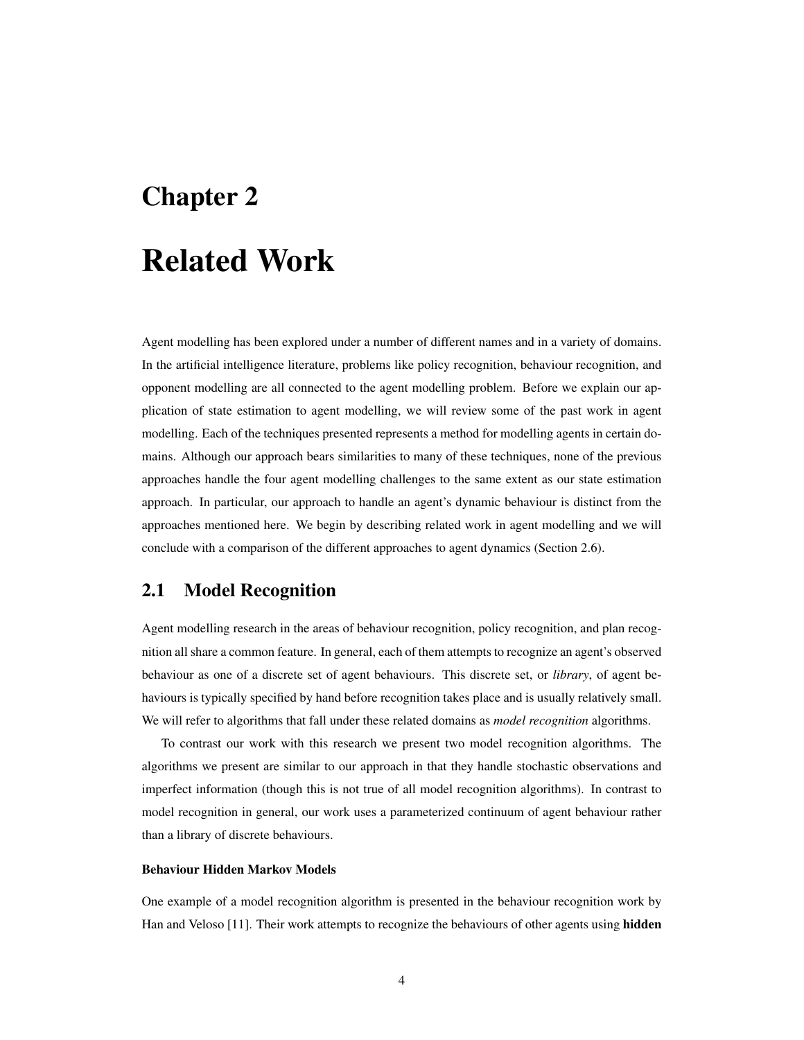## Chapter 2

# Related Work

Agent modelling has been explored under a number of different names and in a variety of domains. In the artificial intelligence literature, problems like policy recognition, behaviour recognition, and opponent modelling are all connected to the agent modelling problem. Before we explain our application of state estimation to agent modelling, we will review some of the past work in agent modelling. Each of the techniques presented represents a method for modelling agents in certain domains. Although our approach bears similarities to many of these techniques, none of the previous approaches handle the four agent modelling challenges to the same extent as our state estimation approach. In particular, our approach to handle an agent's dynamic behaviour is distinct from the approaches mentioned here. We begin by describing related work in agent modelling and we will conclude with a comparison of the different approaches to agent dynamics (Section 2.6).

## 2.1 Model Recognition

Agent modelling research in the areas of behaviour recognition, policy recognition, and plan recognition all share a common feature. In general, each of them attempts to recognize an agent's observed behaviour as one of a discrete set of agent behaviours. This discrete set, or *library*, of agent behaviours is typically specified by hand before recognition takes place and is usually relatively small. We will refer to algorithms that fall under these related domains as *model recognition* algorithms.

To contrast our work with this research we present two model recognition algorithms. The algorithms we present are similar to our approach in that they handle stochastic observations and imperfect information (though this is not true of all model recognition algorithms). In contrast to model recognition in general, our work uses a parameterized continuum of agent behaviour rather than a library of discrete behaviours.

#### Behaviour Hidden Markov Models

One example of a model recognition algorithm is presented in the behaviour recognition work by Han and Veloso [11]. Their work attempts to recognize the behaviours of other agents using **hidden**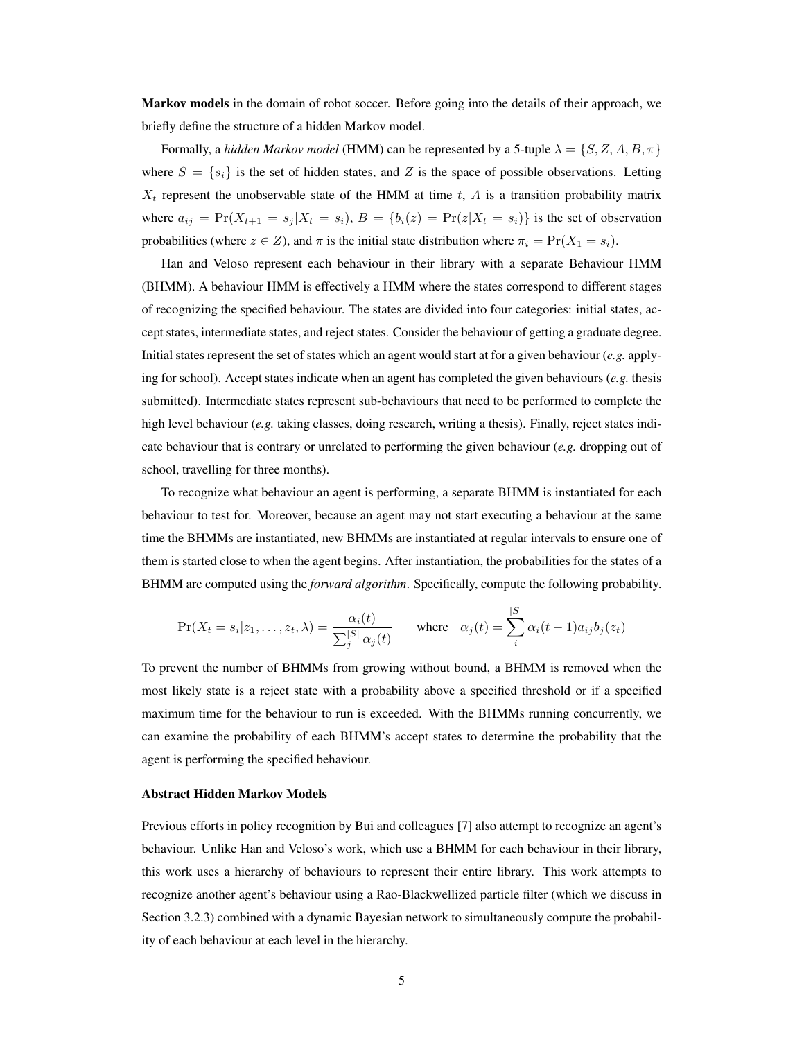Markov models in the domain of robot soccer. Before going into the details of their approach, we briefly define the structure of a hidden Markov model.

Formally, a *hidden Markov model* (HMM) can be represented by a 5-tuple  $\lambda = \{S, Z, A, B, \pi\}$ where  $S = \{s_i\}$  is the set of hidden states, and Z is the space of possible observations. Letting  $X_t$  represent the unobservable state of the HMM at time t, A is a transition probability matrix where  $a_{ij} = \Pr(X_{t+1} = s_j | X_t = s_i)$ ,  $B = \{b_i(z) = \Pr(z | X_t = s_i)\}\$ is the set of observation probabilities (where  $z \in Z$ ), and  $\pi$  is the initial state distribution where  $\pi_i = \Pr(X_1 = s_i)$ .

Han and Veloso represent each behaviour in their library with a separate Behaviour HMM (BHMM). A behaviour HMM is effectively a HMM where the states correspond to different stages of recognizing the specified behaviour. The states are divided into four categories: initial states, accept states, intermediate states, and reject states. Consider the behaviour of getting a graduate degree. Initial states represent the set of states which an agent would start at for a given behaviour (*e.g.* applying for school). Accept states indicate when an agent has completed the given behaviours (*e.g.* thesis submitted). Intermediate states represent sub-behaviours that need to be performed to complete the high level behaviour (*e.g.* taking classes, doing research, writing a thesis). Finally, reject states indicate behaviour that is contrary or unrelated to performing the given behaviour (*e.g.* dropping out of school, travelling for three months).

To recognize what behaviour an agent is performing, a separate BHMM is instantiated for each behaviour to test for. Moreover, because an agent may not start executing a behaviour at the same time the BHMMs are instantiated, new BHMMs are instantiated at regular intervals to ensure one of them is started close to when the agent begins. After instantiation, the probabilities for the states of a BHMM are computed using the *forward algorithm*. Specifically, compute the following probability.

$$
\Pr(X_t = s_i | z_1, \dots, z_t, \lambda) = \frac{\alpha_i(t)}{\sum_j^{|S|} \alpha_j(t)} \quad \text{where} \quad \alpha_j(t) = \sum_i^{|S|} \alpha_i(t-1) a_{ij} b_j(z_t)
$$

To prevent the number of BHMMs from growing without bound, a BHMM is removed when the most likely state is a reject state with a probability above a specified threshold or if a specified maximum time for the behaviour to run is exceeded. With the BHMMs running concurrently, we can examine the probability of each BHMM's accept states to determine the probability that the agent is performing the specified behaviour.

#### Abstract Hidden Markov Models

Previous efforts in policy recognition by Bui and colleagues [7] also attempt to recognize an agent's behaviour. Unlike Han and Veloso's work, which use a BHMM for each behaviour in their library, this work uses a hierarchy of behaviours to represent their entire library. This work attempts to recognize another agent's behaviour using a Rao-Blackwellized particle filter (which we discuss in Section 3.2.3) combined with a dynamic Bayesian network to simultaneously compute the probability of each behaviour at each level in the hierarchy.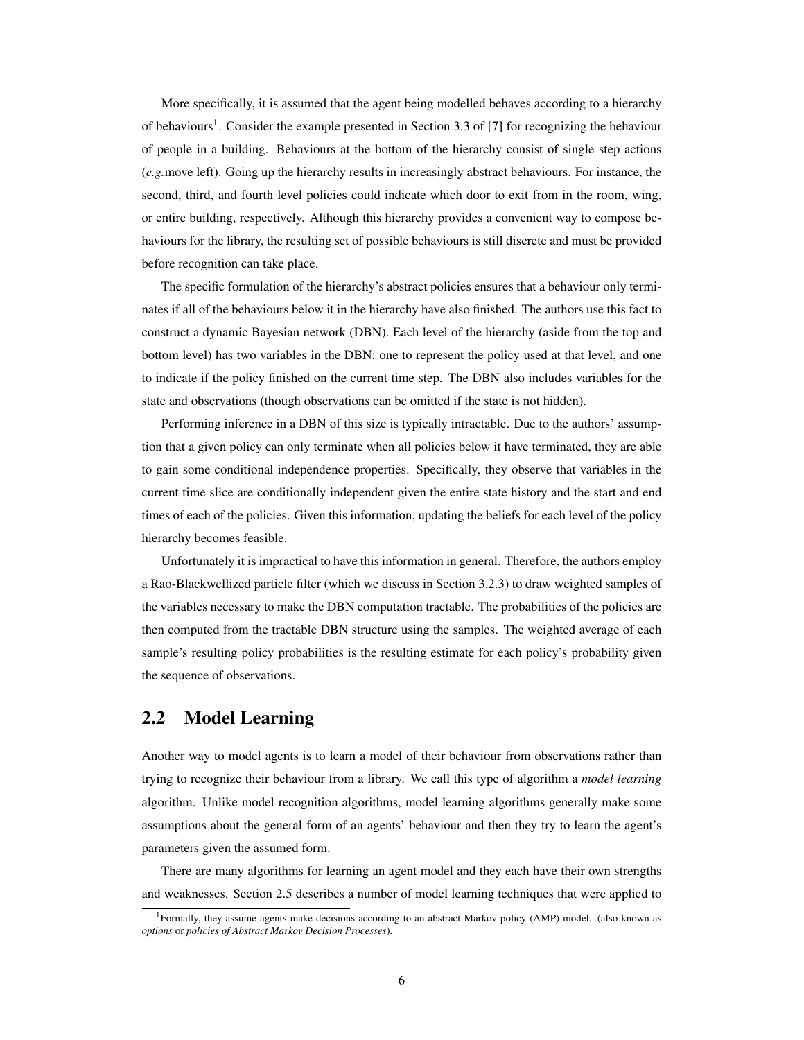More specifically, it is assumed that the agent being modelled behaves according to a hierarchy of behaviours<sup>1</sup>. Consider the example presented in Section 3.3 of [7] for recognizing the behaviour of people in a building. Behaviours at the bottom of the hierarchy consist of single step actions (*e.g.*move left). Going up the hierarchy results in increasingly abstract behaviours. For instance, the second, third, and fourth level policies could indicate which door to exit from in the room, wing, or entire building, respectively. Although this hierarchy provides a convenient way to compose behaviours for the library, the resulting set of possible behaviours is still discrete and must be provided before recognition can take place.

The specific formulation of the hierarchy's abstract policies ensures that a behaviour only terminates if all of the behaviours below it in the hierarchy have also finished. The authors use this fact to construct a dynamic Bayesian network (DBN). Each level of the hierarchy (aside from the top and bottom level) has two variables in the DBN: one to represent the policy used at that level, and one to indicate if the policy finished on the current time step. The DBN also includes variables for the state and observations (though observations can be omitted if the state is not hidden).

Performing inference in a DBN of this size is typically intractable. Due to the authors' assumption that a given policy can only terminate when all policies below it have terminated, they are able to gain some conditional independence properties. Specifically, they observe that variables in the current time slice are conditionally independent given the entire state history and the start and end times of each of the policies. Given this information, updating the beliefs for each level of the policy hierarchy becomes feasible.

Unfortunately it is impractical to have this information in general. Therefore, the authors employ a Rao-Blackwellized particle filter (which we discuss in Section 3.2.3) to draw weighted samples of the variables necessary to make the DBN computation tractable. The probabilities of the policies are then computed from the tractable DBN structure using the samples. The weighted average of each sample's resulting policy probabilities is the resulting estimate for each policy's probability given the sequence of observations.

## 2.2 Model Learning

Another way to model agents is to learn a model of their behaviour from observations rather than trying to recognize their behaviour from a library. We call this type of algorithm a *model learning* algorithm. Unlike model recognition algorithms, model learning algorithms generally make some assumptions about the general form of an agents' behaviour and then they try to learn the agent's parameters given the assumed form.

There are many algorithms for learning an agent model and they each have their own strengths and weaknesses. Section 2.5 describes a number of model learning techniques that were applied to

<sup>1</sup>Formally, they assume agents make decisions according to an abstract Markov policy (AMP) model. (also known as *options* or *policies of Abstract Markov Decision Processes*).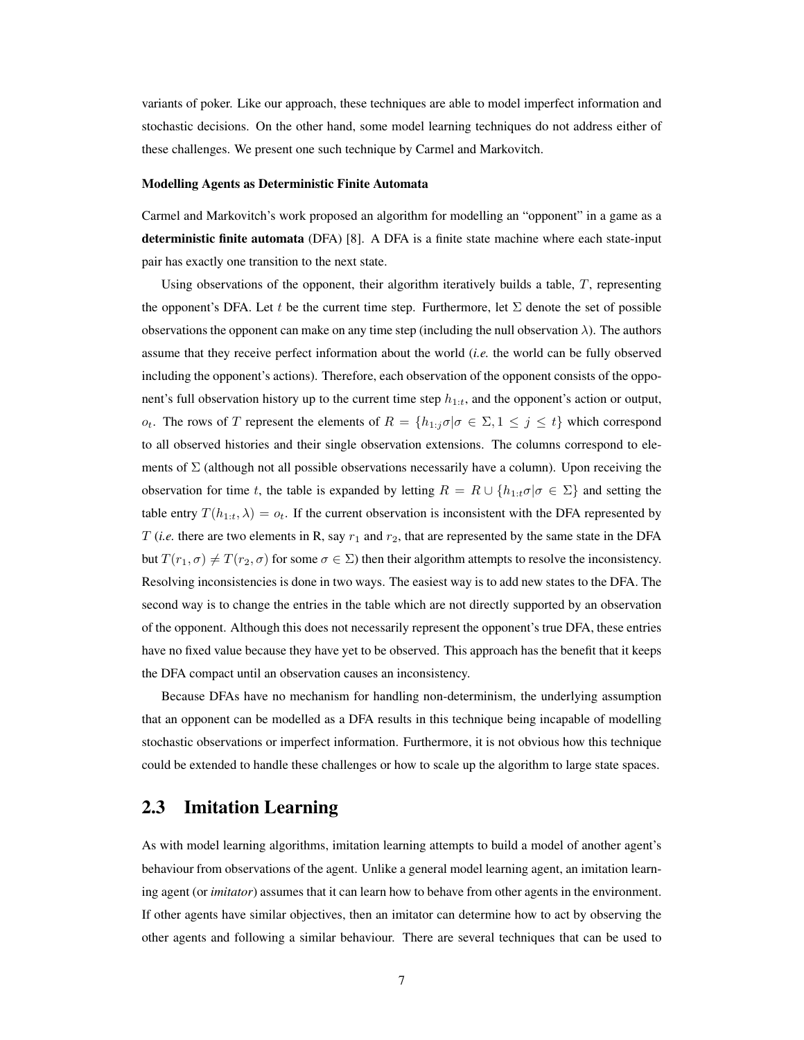variants of poker. Like our approach, these techniques are able to model imperfect information and stochastic decisions. On the other hand, some model learning techniques do not address either of these challenges. We present one such technique by Carmel and Markovitch.

#### Modelling Agents as Deterministic Finite Automata

Carmel and Markovitch's work proposed an algorithm for modelling an "opponent" in a game as a deterministic finite automata (DFA) [8]. A DFA is a finite state machine where each state-input pair has exactly one transition to the next state.

Using observations of the opponent, their algorithm iteratively builds a table,  $T$ , representing the opponent's DFA. Let t be the current time step. Furthermore, let  $\Sigma$  denote the set of possible observations the opponent can make on any time step (including the null observation  $\lambda$ ). The authors assume that they receive perfect information about the world (*i.e.* the world can be fully observed including the opponent's actions). Therefore, each observation of the opponent consists of the opponent's full observation history up to the current time step  $h_{1:t}$ , and the opponent's action or output,  $o_t$ . The rows of T represent the elements of  $R = \{h_{1:j}\sigma | \sigma \in \Sigma, 1 \leq j \leq t\}$  which correspond to all observed histories and their single observation extensions. The columns correspond to elements of  $\Sigma$  (although not all possible observations necessarily have a column). Upon receiving the observation for time t, the table is expanded by letting  $R = R \cup \{h_{1:t} \sigma | \sigma \in \Sigma\}$  and setting the table entry  $T(h_{1:t}, \lambda) = o_t$ . If the current observation is inconsistent with the DFA represented by T (*i.e.* there are two elements in R, say  $r_1$  and  $r_2$ , that are represented by the same state in the DFA but  $T(r_1, \sigma) \neq T(r_2, \sigma)$  for some  $\sigma \in \Sigma$ ) then their algorithm attempts to resolve the inconsistency. Resolving inconsistencies is done in two ways. The easiest way is to add new states to the DFA. The second way is to change the entries in the table which are not directly supported by an observation of the opponent. Although this does not necessarily represent the opponent's true DFA, these entries have no fixed value because they have yet to be observed. This approach has the benefit that it keeps the DFA compact until an observation causes an inconsistency.

Because DFAs have no mechanism for handling non-determinism, the underlying assumption that an opponent can be modelled as a DFA results in this technique being incapable of modelling stochastic observations or imperfect information. Furthermore, it is not obvious how this technique could be extended to handle these challenges or how to scale up the algorithm to large state spaces.

## 2.3 Imitation Learning

As with model learning algorithms, imitation learning attempts to build a model of another agent's behaviour from observations of the agent. Unlike a general model learning agent, an imitation learning agent (or *imitator*) assumes that it can learn how to behave from other agents in the environment. If other agents have similar objectives, then an imitator can determine how to act by observing the other agents and following a similar behaviour. There are several techniques that can be used to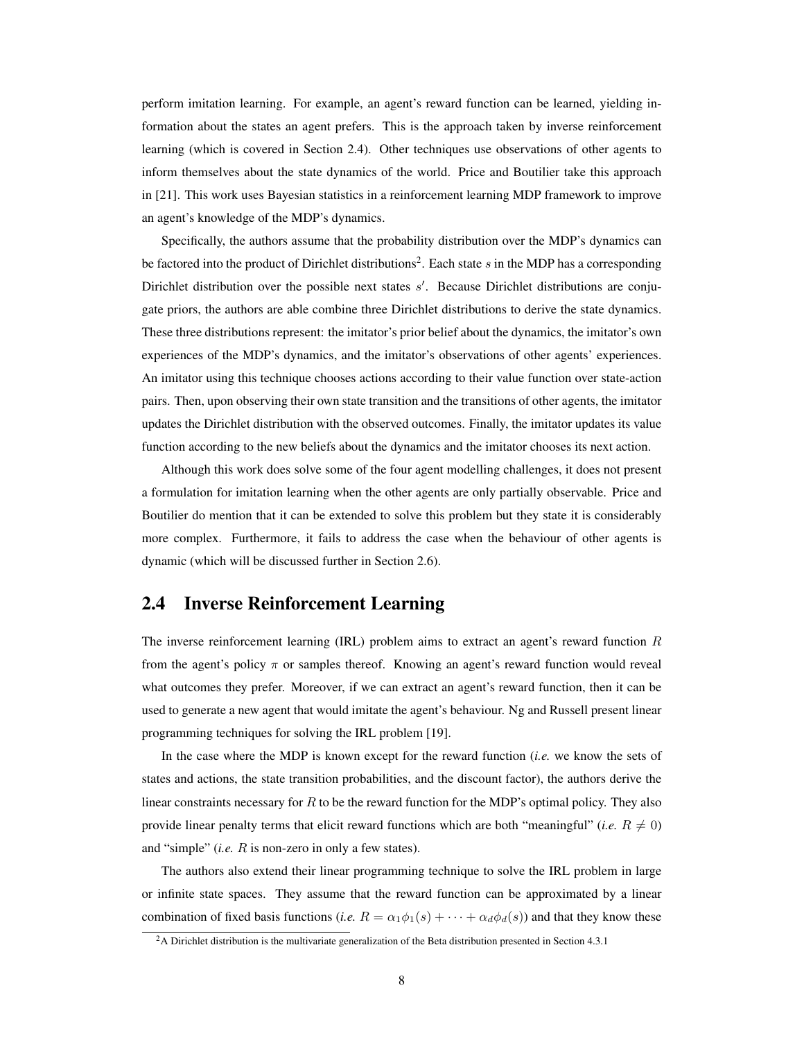perform imitation learning. For example, an agent's reward function can be learned, yielding information about the states an agent prefers. This is the approach taken by inverse reinforcement learning (which is covered in Section 2.4). Other techniques use observations of other agents to inform themselves about the state dynamics of the world. Price and Boutilier take this approach in [21]. This work uses Bayesian statistics in a reinforcement learning MDP framework to improve an agent's knowledge of the MDP's dynamics.

Specifically, the authors assume that the probability distribution over the MDP's dynamics can be factored into the product of Dirichlet distributions<sup>2</sup>. Each state s in the MDP has a corresponding Dirichlet distribution over the possible next states  $s'$ . Because Dirichlet distributions are conjugate priors, the authors are able combine three Dirichlet distributions to derive the state dynamics. These three distributions represent: the imitator's prior belief about the dynamics, the imitator's own experiences of the MDP's dynamics, and the imitator's observations of other agents' experiences. An imitator using this technique chooses actions according to their value function over state-action pairs. Then, upon observing their own state transition and the transitions of other agents, the imitator updates the Dirichlet distribution with the observed outcomes. Finally, the imitator updates its value function according to the new beliefs about the dynamics and the imitator chooses its next action.

Although this work does solve some of the four agent modelling challenges, it does not present a formulation for imitation learning when the other agents are only partially observable. Price and Boutilier do mention that it can be extended to solve this problem but they state it is considerably more complex. Furthermore, it fails to address the case when the behaviour of other agents is dynamic (which will be discussed further in Section 2.6).

## 2.4 Inverse Reinforcement Learning

The inverse reinforcement learning (IRL) problem aims to extract an agent's reward function  $R$ from the agent's policy  $\pi$  or samples thereof. Knowing an agent's reward function would reveal what outcomes they prefer. Moreover, if we can extract an agent's reward function, then it can be used to generate a new agent that would imitate the agent's behaviour. Ng and Russell present linear programming techniques for solving the IRL problem [19].

In the case where the MDP is known except for the reward function (*i.e.* we know the sets of states and actions, the state transition probabilities, and the discount factor), the authors derive the linear constraints necessary for  $R$  to be the reward function for the MDP's optimal policy. They also provide linear penalty terms that elicit reward functions which are both "meaningful" (*i.e.*  $R \neq 0$ ) and "simple" (*i.e.* R is non-zero in only a few states).

The authors also extend their linear programming technique to solve the IRL problem in large or infinite state spaces. They assume that the reward function can be approximated by a linear combination of fixed basis functions (*i.e.*  $R = \alpha_1 \phi_1(s) + \cdots + \alpha_d \phi_d(s)$ ) and that they know these

 $2A$  Dirichlet distribution is the multivariate generalization of the Beta distribution presented in Section 4.3.1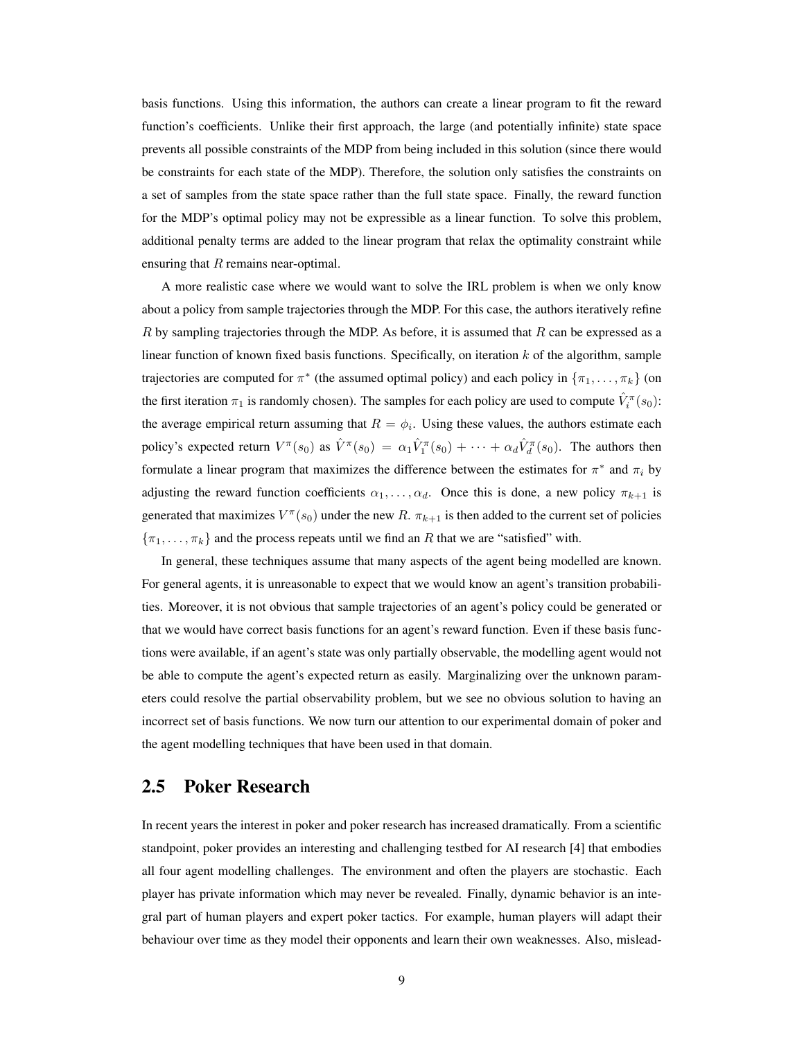basis functions. Using this information, the authors can create a linear program to fit the reward function's coefficients. Unlike their first approach, the large (and potentially infinite) state space prevents all possible constraints of the MDP from being included in this solution (since there would be constraints for each state of the MDP). Therefore, the solution only satisfies the constraints on a set of samples from the state space rather than the full state space. Finally, the reward function for the MDP's optimal policy may not be expressible as a linear function. To solve this problem, additional penalty terms are added to the linear program that relax the optimality constraint while ensuring that  $R$  remains near-optimal.

A more realistic case where we would want to solve the IRL problem is when we only know about a policy from sample trajectories through the MDP. For this case, the authors iteratively refine R by sampling trajectories through the MDP. As before, it is assumed that R can be expressed as a linear function of known fixed basis functions. Specifically, on iteration  $k$  of the algorithm, sample trajectories are computed for  $\pi^*$  (the assumed optimal policy) and each policy in  $\{\pi_1, \ldots, \pi_k\}$  (on the first iteration  $\pi_1$  is randomly chosen). The samples for each policy are used to compute  $\hat{V}_i^{\pi}(s_0)$ : the average empirical return assuming that  $R = \phi_i$ . Using these values, the authors estimate each policy's expected return  $V^{\pi}(s_0)$  as  $\hat{V}^{\pi}(s_0) = \alpha_1 \hat{V}_1^{\pi}(s_0) + \cdots + \alpha_d \hat{V}_d^{\pi}(s_0)$ . The authors then formulate a linear program that maximizes the difference between the estimates for  $\pi^*$  and  $\pi_i$  by adjusting the reward function coefficients  $\alpha_1, \ldots, \alpha_d$ . Once this is done, a new policy  $\pi_{k+1}$  is generated that maximizes  $V^{\pi}(s_0)$  under the new R.  $\pi_{k+1}$  is then added to the current set of policies  $\{\pi_1, \ldots, \pi_k\}$  and the process repeats until we find an R that we are "satisfied" with.

In general, these techniques assume that many aspects of the agent being modelled are known. For general agents, it is unreasonable to expect that we would know an agent's transition probabilities. Moreover, it is not obvious that sample trajectories of an agent's policy could be generated or that we would have correct basis functions for an agent's reward function. Even if these basis functions were available, if an agent's state was only partially observable, the modelling agent would not be able to compute the agent's expected return as easily. Marginalizing over the unknown parameters could resolve the partial observability problem, but we see no obvious solution to having an incorrect set of basis functions. We now turn our attention to our experimental domain of poker and the agent modelling techniques that have been used in that domain.

## 2.5 Poker Research

In recent years the interest in poker and poker research has increased dramatically. From a scientific standpoint, poker provides an interesting and challenging testbed for AI research [4] that embodies all four agent modelling challenges. The environment and often the players are stochastic. Each player has private information which may never be revealed. Finally, dynamic behavior is an integral part of human players and expert poker tactics. For example, human players will adapt their behaviour over time as they model their opponents and learn their own weaknesses. Also, mislead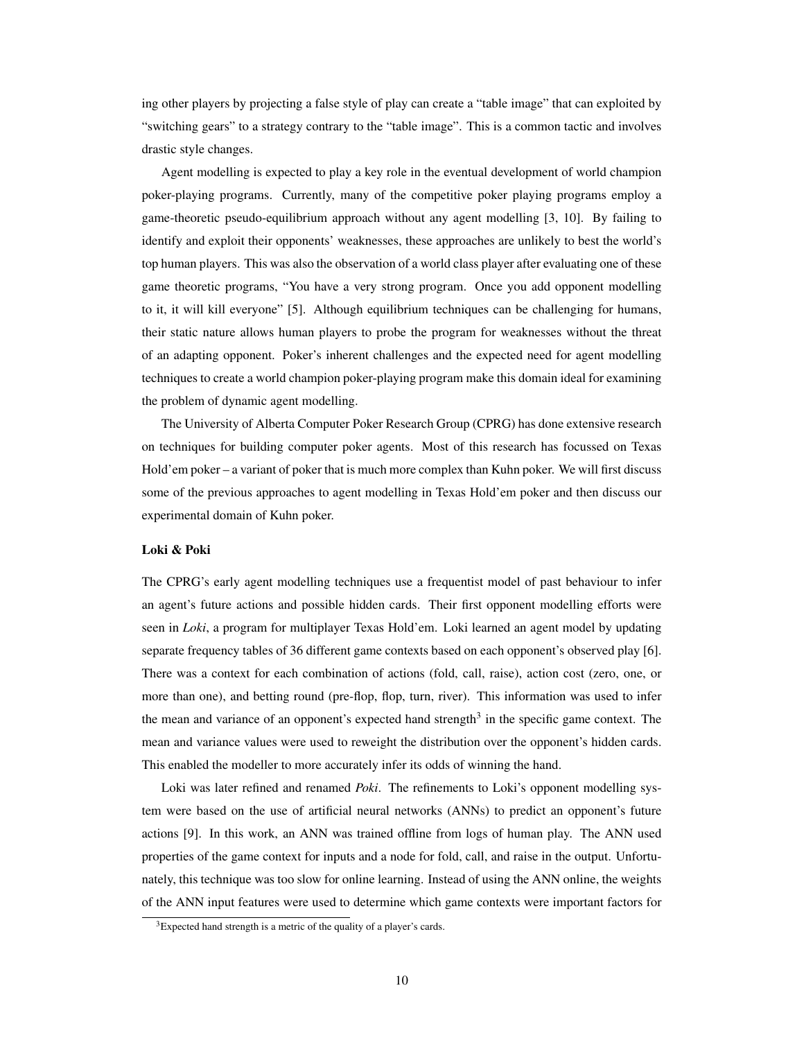ing other players by projecting a false style of play can create a "table image" that can exploited by "switching gears" to a strategy contrary to the "table image". This is a common tactic and involves drastic style changes.

Agent modelling is expected to play a key role in the eventual development of world champion poker-playing programs. Currently, many of the competitive poker playing programs employ a game-theoretic pseudo-equilibrium approach without any agent modelling [3, 10]. By failing to identify and exploit their opponents' weaknesses, these approaches are unlikely to best the world's top human players. This was also the observation of a world class player after evaluating one of these game theoretic programs, "You have a very strong program. Once you add opponent modelling to it, it will kill everyone" [5]. Although equilibrium techniques can be challenging for humans, their static nature allows human players to probe the program for weaknesses without the threat of an adapting opponent. Poker's inherent challenges and the expected need for agent modelling techniques to create a world champion poker-playing program make this domain ideal for examining the problem of dynamic agent modelling.

The University of Alberta Computer Poker Research Group (CPRG) has done extensive research on techniques for building computer poker agents. Most of this research has focussed on Texas Hold'em poker – a variant of poker that is much more complex than Kuhn poker. We will first discuss some of the previous approaches to agent modelling in Texas Hold'em poker and then discuss our experimental domain of Kuhn poker.

#### Loki & Poki

The CPRG's early agent modelling techniques use a frequentist model of past behaviour to infer an agent's future actions and possible hidden cards. Their first opponent modelling efforts were seen in *Loki*, a program for multiplayer Texas Hold'em. Loki learned an agent model by updating separate frequency tables of 36 different game contexts based on each opponent's observed play [6]. There was a context for each combination of actions (fold, call, raise), action cost (zero, one, or more than one), and betting round (pre-flop, flop, turn, river). This information was used to infer the mean and variance of an opponent's expected hand strength<sup>3</sup> in the specific game context. The mean and variance values were used to reweight the distribution over the opponent's hidden cards. This enabled the modeller to more accurately infer its odds of winning the hand.

Loki was later refined and renamed *Poki*. The refinements to Loki's opponent modelling system were based on the use of artificial neural networks (ANNs) to predict an opponent's future actions [9]. In this work, an ANN was trained offline from logs of human play. The ANN used properties of the game context for inputs and a node for fold, call, and raise in the output. Unfortunately, this technique was too slow for online learning. Instead of using the ANN online, the weights of the ANN input features were used to determine which game contexts were important factors for

<sup>&</sup>lt;sup>3</sup>Expected hand strength is a metric of the quality of a player's cards.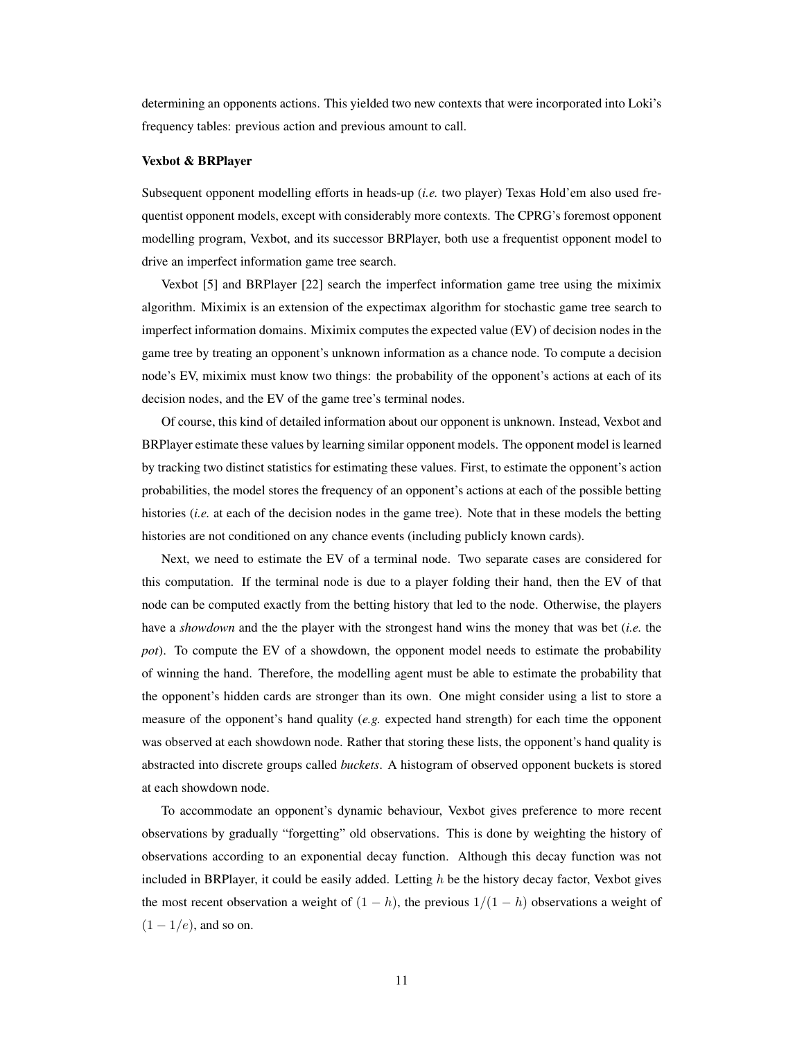determining an opponents actions. This yielded two new contexts that were incorporated into Loki's frequency tables: previous action and previous amount to call.

#### Vexbot & BRPlayer

Subsequent opponent modelling efforts in heads-up (*i.e.* two player) Texas Hold'em also used frequentist opponent models, except with considerably more contexts. The CPRG's foremost opponent modelling program, Vexbot, and its successor BRPlayer, both use a frequentist opponent model to drive an imperfect information game tree search.

Vexbot [5] and BRPlayer [22] search the imperfect information game tree using the miximix algorithm. Miximix is an extension of the expectimax algorithm for stochastic game tree search to imperfect information domains. Miximix computes the expected value (EV) of decision nodes in the game tree by treating an opponent's unknown information as a chance node. To compute a decision node's EV, miximix must know two things: the probability of the opponent's actions at each of its decision nodes, and the EV of the game tree's terminal nodes.

Of course, this kind of detailed information about our opponent is unknown. Instead, Vexbot and BRPlayer estimate these values by learning similar opponent models. The opponent model is learned by tracking two distinct statistics for estimating these values. First, to estimate the opponent's action probabilities, the model stores the frequency of an opponent's actions at each of the possible betting histories (*i.e.* at each of the decision nodes in the game tree). Note that in these models the betting histories are not conditioned on any chance events (including publicly known cards).

Next, we need to estimate the EV of a terminal node. Two separate cases are considered for this computation. If the terminal node is due to a player folding their hand, then the EV of that node can be computed exactly from the betting history that led to the node. Otherwise, the players have a *showdown* and the the player with the strongest hand wins the money that was bet (*i.e.* the *pot*). To compute the EV of a showdown, the opponent model needs to estimate the probability of winning the hand. Therefore, the modelling agent must be able to estimate the probability that the opponent's hidden cards are stronger than its own. One might consider using a list to store a measure of the opponent's hand quality (*e.g.* expected hand strength) for each time the opponent was observed at each showdown node. Rather that storing these lists, the opponent's hand quality is abstracted into discrete groups called *buckets*. A histogram of observed opponent buckets is stored at each showdown node.

To accommodate an opponent's dynamic behaviour, Vexbot gives preference to more recent observations by gradually "forgetting" old observations. This is done by weighting the history of observations according to an exponential decay function. Although this decay function was not included in BRPlayer, it could be easily added. Letting  $h$  be the history decay factor, Vexbot gives the most recent observation a weight of  $(1 - h)$ , the previous  $1/(1 - h)$  observations a weight of  $(1 - 1/e)$ , and so on.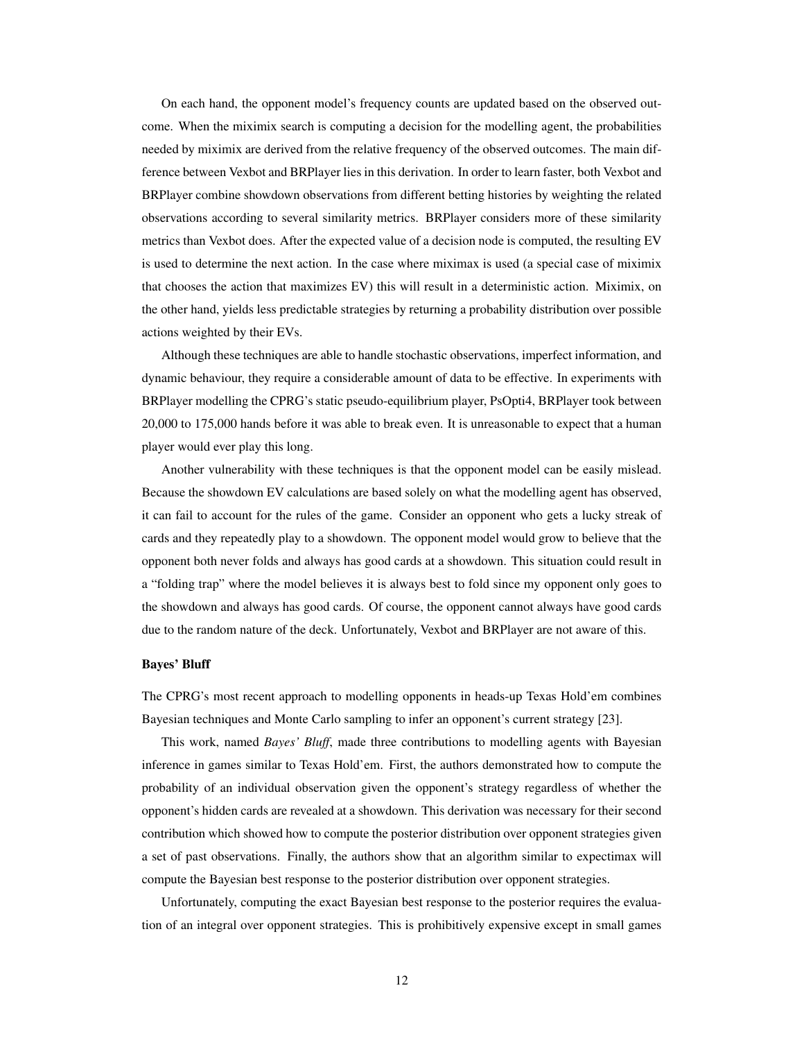On each hand, the opponent model's frequency counts are updated based on the observed outcome. When the miximix search is computing a decision for the modelling agent, the probabilities needed by miximix are derived from the relative frequency of the observed outcomes. The main difference between Vexbot and BRPlayer lies in this derivation. In order to learn faster, both Vexbot and BRPlayer combine showdown observations from different betting histories by weighting the related observations according to several similarity metrics. BRPlayer considers more of these similarity metrics than Vexbot does. After the expected value of a decision node is computed, the resulting EV is used to determine the next action. In the case where miximax is used (a special case of miximix that chooses the action that maximizes EV) this will result in a deterministic action. Miximix, on the other hand, yields less predictable strategies by returning a probability distribution over possible actions weighted by their EVs.

Although these techniques are able to handle stochastic observations, imperfect information, and dynamic behaviour, they require a considerable amount of data to be effective. In experiments with BRPlayer modelling the CPRG's static pseudo-equilibrium player, PsOpti4, BRPlayer took between 20,000 to 175,000 hands before it was able to break even. It is unreasonable to expect that a human player would ever play this long.

Another vulnerability with these techniques is that the opponent model can be easily mislead. Because the showdown EV calculations are based solely on what the modelling agent has observed, it can fail to account for the rules of the game. Consider an opponent who gets a lucky streak of cards and they repeatedly play to a showdown. The opponent model would grow to believe that the opponent both never folds and always has good cards at a showdown. This situation could result in a "folding trap" where the model believes it is always best to fold since my opponent only goes to the showdown and always has good cards. Of course, the opponent cannot always have good cards due to the random nature of the deck. Unfortunately, Vexbot and BRPlayer are not aware of this.

#### Bayes' Bluff

The CPRG's most recent approach to modelling opponents in heads-up Texas Hold'em combines Bayesian techniques and Monte Carlo sampling to infer an opponent's current strategy [23].

This work, named *Bayes' Bluff*, made three contributions to modelling agents with Bayesian inference in games similar to Texas Hold'em. First, the authors demonstrated how to compute the probability of an individual observation given the opponent's strategy regardless of whether the opponent's hidden cards are revealed at a showdown. This derivation was necessary for their second contribution which showed how to compute the posterior distribution over opponent strategies given a set of past observations. Finally, the authors show that an algorithm similar to expectimax will compute the Bayesian best response to the posterior distribution over opponent strategies.

Unfortunately, computing the exact Bayesian best response to the posterior requires the evaluation of an integral over opponent strategies. This is prohibitively expensive except in small games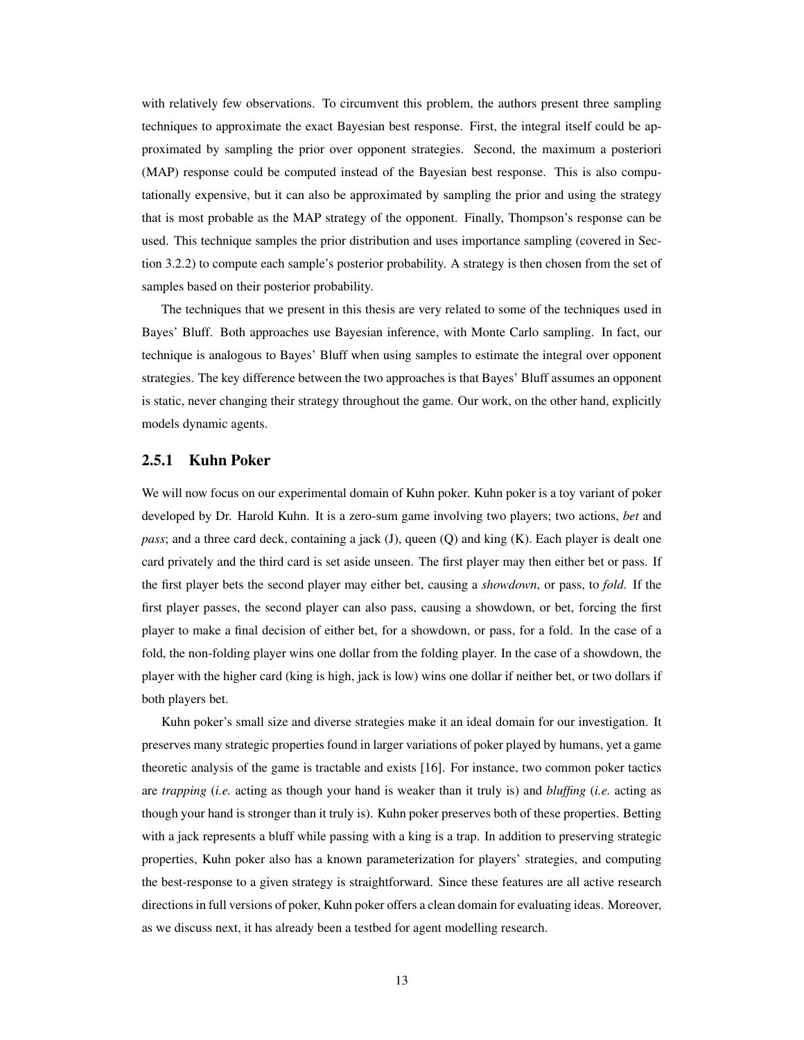with relatively few observations. To circumvent this problem, the authors present three sampling techniques to approximate the exact Bayesian best response. First, the integral itself could be approximated by sampling the prior over opponent strategies. Second, the maximum a posteriori (MAP) response could be computed instead of the Bayesian best response. This is also computationally expensive, but it can also be approximated by sampling the prior and using the strategy that is most probable as the MAP strategy of the opponent. Finally, Thompson's response can be used. This technique samples the prior distribution and uses importance sampling (covered in Section 3.2.2) to compute each sample's posterior probability. A strategy is then chosen from the set of samples based on their posterior probability.

The techniques that we present in this thesis are very related to some of the techniques used in Bayes' Bluff. Both approaches use Bayesian inference, with Monte Carlo sampling. In fact, our technique is analogous to Bayes' Bluff when using samples to estimate the integral over opponent strategies. The key difference between the two approaches is that Bayes' Bluff assumes an opponent is static, never changing their strategy throughout the game. Our work, on the other hand, explicitly models dynamic agents.

### 2.5.1 Kuhn Poker

We will now focus on our experimental domain of Kuhn poker. Kuhn poker is a toy variant of poker developed by Dr. Harold Kuhn. It is a zero-sum game involving two players; two actions, *bet* and *pass*; and a three card deck, containing a jack (J), queen (Q) and king (K). Each player is dealt one card privately and the third card is set aside unseen. The first player may then either bet or pass. If the first player bets the second player may either bet, causing a *showdown*, or pass, to *fold*. If the first player passes, the second player can also pass, causing a showdown, or bet, forcing the first player to make a final decision of either bet, for a showdown, or pass, for a fold. In the case of a fold, the non-folding player wins one dollar from the folding player. In the case of a showdown, the player with the higher card (king is high, jack is low) wins one dollar if neither bet, or two dollars if both players bet.

Kuhn poker's small size and diverse strategies make it an ideal domain for our investigation. It preserves many strategic properties found in larger variations of poker played by humans, yet a game theoretic analysis of the game is tractable and exists [16]. For instance, two common poker tactics are *trapping* (*i.e.* acting as though your hand is weaker than it truly is) and *bluffing* (*i.e.* acting as though your hand is stronger than it truly is). Kuhn poker preserves both of these properties. Betting with a jack represents a bluff while passing with a king is a trap. In addition to preserving strategic properties, Kuhn poker also has a known parameterization for players' strategies, and computing the best-response to a given strategy is straightforward. Since these features are all active research directions in full versions of poker, Kuhn poker offers a clean domain for evaluating ideas. Moreover, as we discuss next, it has already been a testbed for agent modelling research.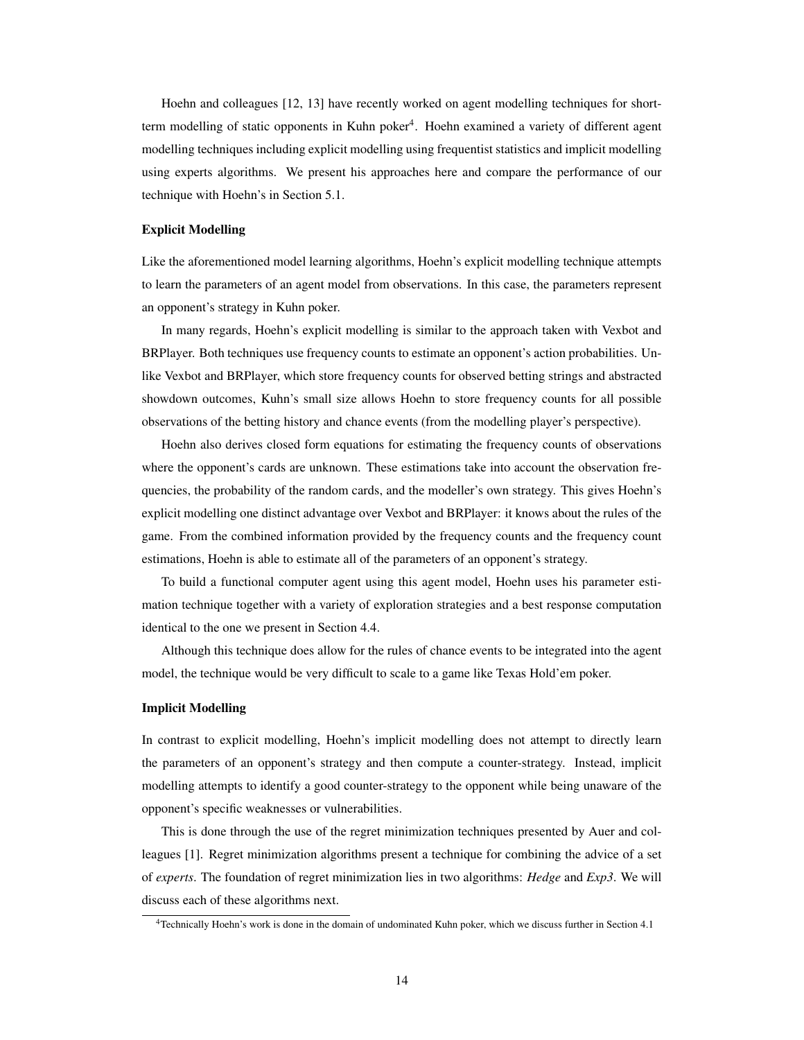Hoehn and colleagues [12, 13] have recently worked on agent modelling techniques for shortterm modelling of static opponents in Kuhn poker<sup>4</sup>. Hoehn examined a variety of different agent modelling techniques including explicit modelling using frequentist statistics and implicit modelling using experts algorithms. We present his approaches here and compare the performance of our technique with Hoehn's in Section 5.1.

#### Explicit Modelling

Like the aforementioned model learning algorithms, Hoehn's explicit modelling technique attempts to learn the parameters of an agent model from observations. In this case, the parameters represent an opponent's strategy in Kuhn poker.

In many regards, Hoehn's explicit modelling is similar to the approach taken with Vexbot and BRPlayer. Both techniques use frequency counts to estimate an opponent's action probabilities. Unlike Vexbot and BRPlayer, which store frequency counts for observed betting strings and abstracted showdown outcomes, Kuhn's small size allows Hoehn to store frequency counts for all possible observations of the betting history and chance events (from the modelling player's perspective).

Hoehn also derives closed form equations for estimating the frequency counts of observations where the opponent's cards are unknown. These estimations take into account the observation frequencies, the probability of the random cards, and the modeller's own strategy. This gives Hoehn's explicit modelling one distinct advantage over Vexbot and BRPlayer: it knows about the rules of the game. From the combined information provided by the frequency counts and the frequency count estimations, Hoehn is able to estimate all of the parameters of an opponent's strategy.

To build a functional computer agent using this agent model, Hoehn uses his parameter estimation technique together with a variety of exploration strategies and a best response computation identical to the one we present in Section 4.4.

Although this technique does allow for the rules of chance events to be integrated into the agent model, the technique would be very difficult to scale to a game like Texas Hold'em poker.

#### Implicit Modelling

In contrast to explicit modelling, Hoehn's implicit modelling does not attempt to directly learn the parameters of an opponent's strategy and then compute a counter-strategy. Instead, implicit modelling attempts to identify a good counter-strategy to the opponent while being unaware of the opponent's specific weaknesses or vulnerabilities.

This is done through the use of the regret minimization techniques presented by Auer and colleagues [1]. Regret minimization algorithms present a technique for combining the advice of a set of *experts*. The foundation of regret minimization lies in two algorithms: *Hedge* and *Exp3*. We will discuss each of these algorithms next.

<sup>4</sup>Technically Hoehn's work is done in the domain of undominated Kuhn poker, which we discuss further in Section 4.1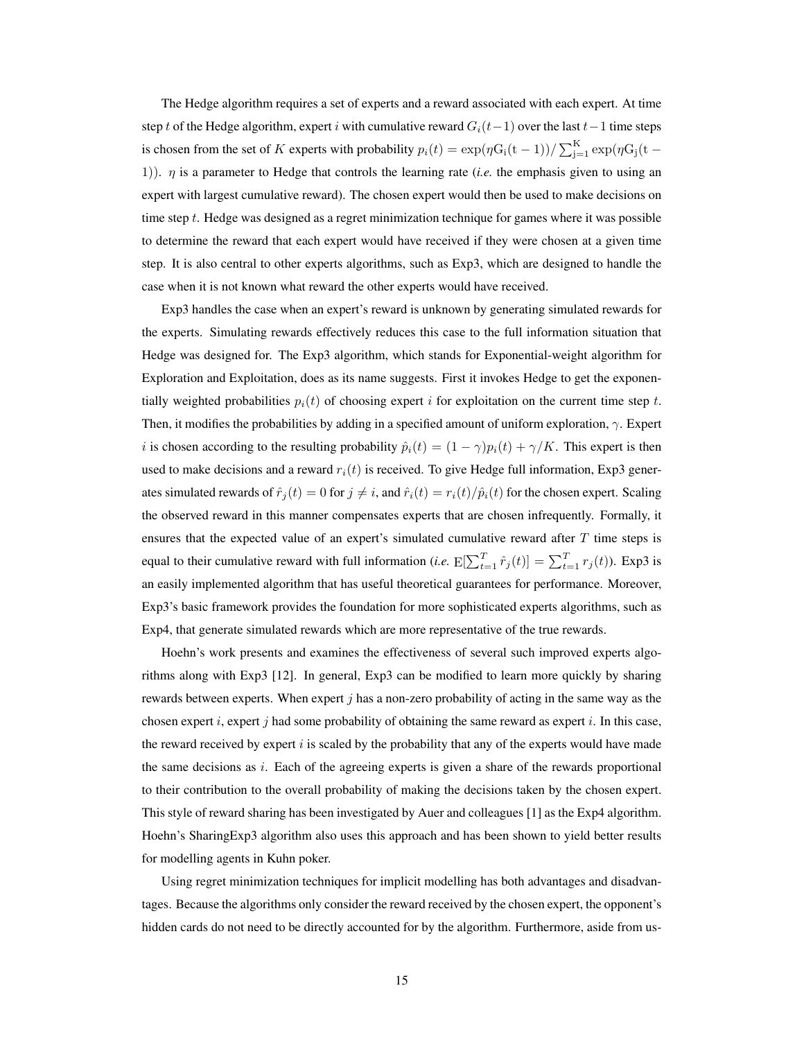The Hedge algorithm requires a set of experts and a reward associated with each expert. At time step t of the Hedge algorithm, expert i with cumulative reward  $G_i(t-1)$  over the last  $t-1$  time steps is chosen from the set of K experts with probability  $p_i(t) = \exp(\eta G_i(t-1))/\sum_{j=1}^{K} \exp(\eta G_j(t-1))$ 1)).  $\eta$  is a parameter to Hedge that controls the learning rate (*i.e.* the emphasis given to using an expert with largest cumulative reward). The chosen expert would then be used to make decisions on time step  $t$ . Hedge was designed as a regret minimization technique for games where it was possible to determine the reward that each expert would have received if they were chosen at a given time step. It is also central to other experts algorithms, such as Exp3, which are designed to handle the case when it is not known what reward the other experts would have received.

Exp3 handles the case when an expert's reward is unknown by generating simulated rewards for the experts. Simulating rewards effectively reduces this case to the full information situation that Hedge was designed for. The Exp3 algorithm, which stands for Exponential-weight algorithm for Exploration and Exploitation, does as its name suggests. First it invokes Hedge to get the exponentially weighted probabilities  $p_i(t)$  of choosing expert i for exploitation on the current time step t. Then, it modifies the probabilities by adding in a specified amount of uniform exploration,  $\gamma$ . Expert i is chosen according to the resulting probability  $\hat{p}_i(t) = (1 - \gamma)p_i(t) + \gamma/K$ . This expert is then used to make decisions and a reward  $r_i(t)$  is received. To give Hedge full information, Exp3 generates simulated rewards of  $\hat{r}_j(t) = 0$  for  $j \neq i$ , and  $\hat{r}_i(t) = r_i(t)/\hat{p}_i(t)$  for the chosen expert. Scaling the observed reward in this manner compensates experts that are chosen infrequently. Formally, it ensures that the expected value of an expert's simulated cumulative reward after  $T$  time steps is equal to their cumulative reward with full information (*i.e.*  $E[\sum_{t=1}^{T} \hat{r}_j(t)] = \sum_{t=1}^{T} r_j(t)$ ). Exp3 is an easily implemented algorithm that has useful theoretical guarantees for performance. Moreover, Exp3's basic framework provides the foundation for more sophisticated experts algorithms, such as Exp4, that generate simulated rewards which are more representative of the true rewards.

Hoehn's work presents and examines the effectiveness of several such improved experts algorithms along with Exp3 [12]. In general, Exp3 can be modified to learn more quickly by sharing rewards between experts. When expert  $j$  has a non-zero probability of acting in the same way as the chosen expert i, expert j had some probability of obtaining the same reward as expert i. In this case, the reward received by expert  $i$  is scaled by the probability that any of the experts would have made the same decisions as  $i$ . Each of the agreeing experts is given a share of the rewards proportional to their contribution to the overall probability of making the decisions taken by the chosen expert. This style of reward sharing has been investigated by Auer and colleagues [1] as the Exp4 algorithm. Hoehn's SharingExp3 algorithm also uses this approach and has been shown to yield better results for modelling agents in Kuhn poker.

Using regret minimization techniques for implicit modelling has both advantages and disadvantages. Because the algorithms only consider the reward received by the chosen expert, the opponent's hidden cards do not need to be directly accounted for by the algorithm. Furthermore, aside from us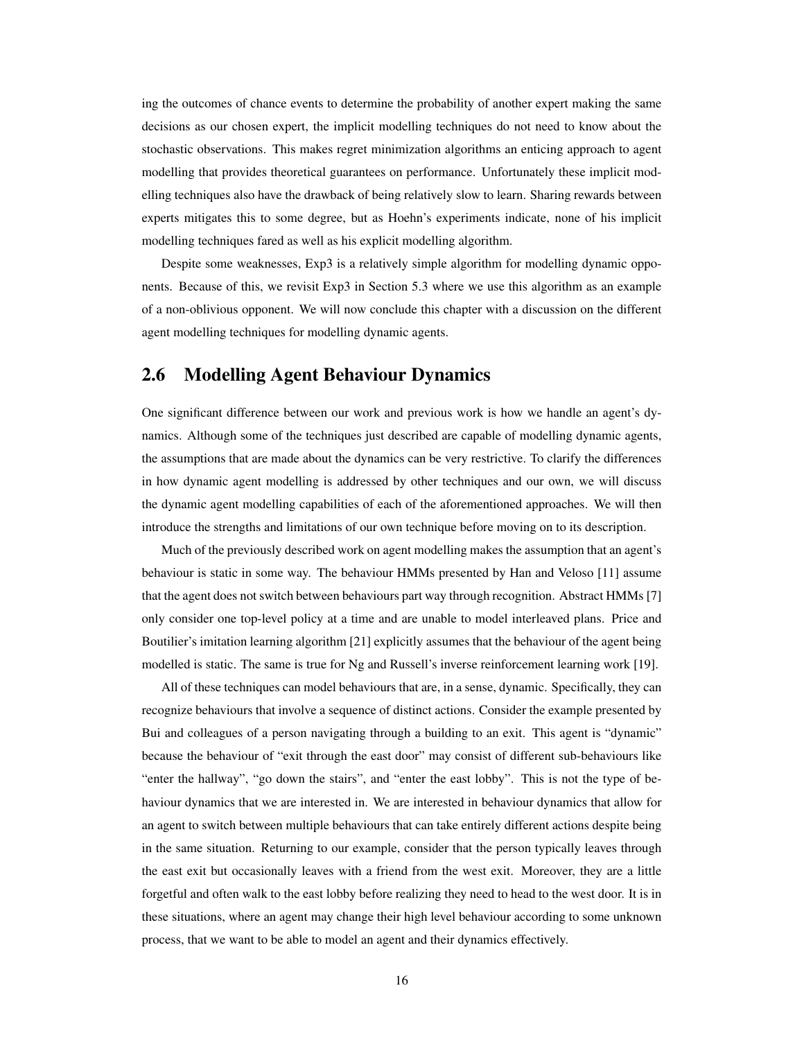ing the outcomes of chance events to determine the probability of another expert making the same decisions as our chosen expert, the implicit modelling techniques do not need to know about the stochastic observations. This makes regret minimization algorithms an enticing approach to agent modelling that provides theoretical guarantees on performance. Unfortunately these implicit modelling techniques also have the drawback of being relatively slow to learn. Sharing rewards between experts mitigates this to some degree, but as Hoehn's experiments indicate, none of his implicit modelling techniques fared as well as his explicit modelling algorithm.

Despite some weaknesses, Exp3 is a relatively simple algorithm for modelling dynamic opponents. Because of this, we revisit Exp3 in Section 5.3 where we use this algorithm as an example of a non-oblivious opponent. We will now conclude this chapter with a discussion on the different agent modelling techniques for modelling dynamic agents.

## 2.6 Modelling Agent Behaviour Dynamics

One significant difference between our work and previous work is how we handle an agent's dynamics. Although some of the techniques just described are capable of modelling dynamic agents, the assumptions that are made about the dynamics can be very restrictive. To clarify the differences in how dynamic agent modelling is addressed by other techniques and our own, we will discuss the dynamic agent modelling capabilities of each of the aforementioned approaches. We will then introduce the strengths and limitations of our own technique before moving on to its description.

Much of the previously described work on agent modelling makes the assumption that an agent's behaviour is static in some way. The behaviour HMMs presented by Han and Veloso [11] assume that the agent does not switch between behaviours part way through recognition. Abstract HMMs [7] only consider one top-level policy at a time and are unable to model interleaved plans. Price and Boutilier's imitation learning algorithm [21] explicitly assumes that the behaviour of the agent being modelled is static. The same is true for Ng and Russell's inverse reinforcement learning work [19].

All of these techniques can model behaviours that are, in a sense, dynamic. Specifically, they can recognize behaviours that involve a sequence of distinct actions. Consider the example presented by Bui and colleagues of a person navigating through a building to an exit. This agent is "dynamic" because the behaviour of "exit through the east door" may consist of different sub-behaviours like "enter the hallway", "go down the stairs", and "enter the east lobby". This is not the type of behaviour dynamics that we are interested in. We are interested in behaviour dynamics that allow for an agent to switch between multiple behaviours that can take entirely different actions despite being in the same situation. Returning to our example, consider that the person typically leaves through the east exit but occasionally leaves with a friend from the west exit. Moreover, they are a little forgetful and often walk to the east lobby before realizing they need to head to the west door. It is in these situations, where an agent may change their high level behaviour according to some unknown process, that we want to be able to model an agent and their dynamics effectively.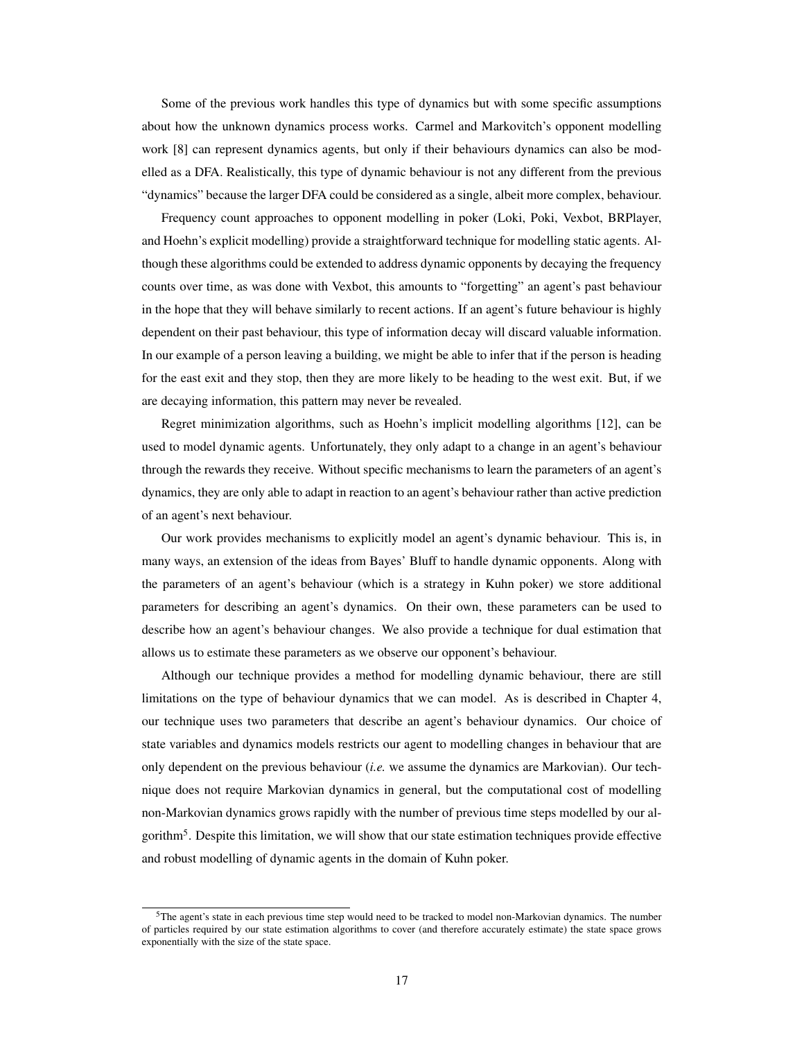Some of the previous work handles this type of dynamics but with some specific assumptions about how the unknown dynamics process works. Carmel and Markovitch's opponent modelling work [8] can represent dynamics agents, but only if their behaviours dynamics can also be modelled as a DFA. Realistically, this type of dynamic behaviour is not any different from the previous "dynamics" because the larger DFA could be considered as a single, albeit more complex, behaviour.

Frequency count approaches to opponent modelling in poker (Loki, Poki, Vexbot, BRPlayer, and Hoehn's explicit modelling) provide a straightforward technique for modelling static agents. Although these algorithms could be extended to address dynamic opponents by decaying the frequency counts over time, as was done with Vexbot, this amounts to "forgetting" an agent's past behaviour in the hope that they will behave similarly to recent actions. If an agent's future behaviour is highly dependent on their past behaviour, this type of information decay will discard valuable information. In our example of a person leaving a building, we might be able to infer that if the person is heading for the east exit and they stop, then they are more likely to be heading to the west exit. But, if we are decaying information, this pattern may never be revealed.

Regret minimization algorithms, such as Hoehn's implicit modelling algorithms [12], can be used to model dynamic agents. Unfortunately, they only adapt to a change in an agent's behaviour through the rewards they receive. Without specific mechanisms to learn the parameters of an agent's dynamics, they are only able to adapt in reaction to an agent's behaviour rather than active prediction of an agent's next behaviour.

Our work provides mechanisms to explicitly model an agent's dynamic behaviour. This is, in many ways, an extension of the ideas from Bayes' Bluff to handle dynamic opponents. Along with the parameters of an agent's behaviour (which is a strategy in Kuhn poker) we store additional parameters for describing an agent's dynamics. On their own, these parameters can be used to describe how an agent's behaviour changes. We also provide a technique for dual estimation that allows us to estimate these parameters as we observe our opponent's behaviour.

Although our technique provides a method for modelling dynamic behaviour, there are still limitations on the type of behaviour dynamics that we can model. As is described in Chapter 4, our technique uses two parameters that describe an agent's behaviour dynamics. Our choice of state variables and dynamics models restricts our agent to modelling changes in behaviour that are only dependent on the previous behaviour (*i.e.* we assume the dynamics are Markovian). Our technique does not require Markovian dynamics in general, but the computational cost of modelling non-Markovian dynamics grows rapidly with the number of previous time steps modelled by our algorithm<sup>5</sup>. Despite this limitation, we will show that our state estimation techniques provide effective and robust modelling of dynamic agents in the domain of Kuhn poker.

<sup>&</sup>lt;sup>5</sup>The agent's state in each previous time step would need to be tracked to model non-Markovian dynamics. The number of particles required by our state estimation algorithms to cover (and therefore accurately estimate) the state space grows exponentially with the size of the state space.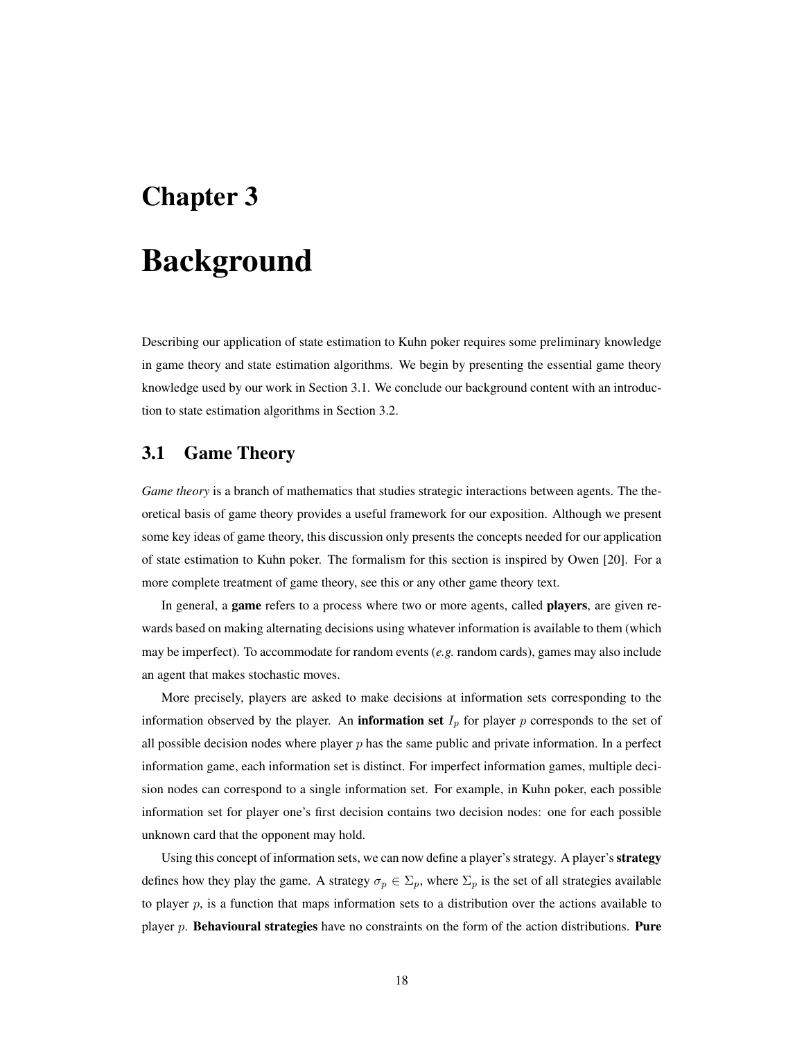# Chapter 3

# Background

Describing our application of state estimation to Kuhn poker requires some preliminary knowledge in game theory and state estimation algorithms. We begin by presenting the essential game theory knowledge used by our work in Section 3.1. We conclude our background content with an introduction to state estimation algorithms in Section 3.2.

## 3.1 Game Theory

*Game theory* is a branch of mathematics that studies strategic interactions between agents. The theoretical basis of game theory provides a useful framework for our exposition. Although we present some key ideas of game theory, this discussion only presents the concepts needed for our application of state estimation to Kuhn poker. The formalism for this section is inspired by Owen [20]. For a more complete treatment of game theory, see this or any other game theory text.

In general, a game refers to a process where two or more agents, called players, are given rewards based on making alternating decisions using whatever information is available to them (which may be imperfect). To accommodate for random events (*e.g.* random cards), games may also include an agent that makes stochastic moves.

More precisely, players are asked to make decisions at information sets corresponding to the information observed by the player. An **information set**  $I_p$  for player p corresponds to the set of all possible decision nodes where player  $p$  has the same public and private information. In a perfect information game, each information set is distinct. For imperfect information games, multiple decision nodes can correspond to a single information set. For example, in Kuhn poker, each possible information set for player one's first decision contains two decision nodes: one for each possible unknown card that the opponent may hold.

Using this concept of information sets, we can now define a player's strategy. A player's strategy defines how they play the game. A strategy  $\sigma_p \in \Sigma_p$ , where  $\Sigma_p$  is the set of all strategies available to player  $p$ , is a function that maps information sets to a distribution over the actions available to player  $p$ . **Behavioural strategies** have no constraints on the form of the action distributions. **Pure**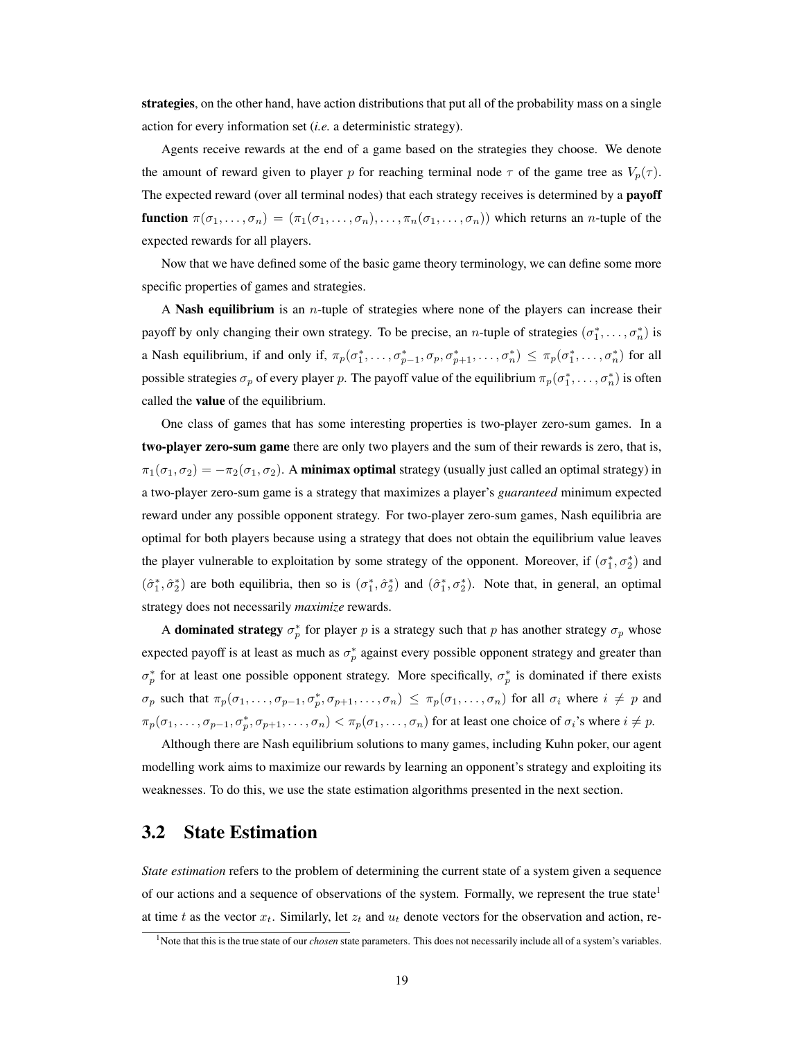strategies, on the other hand, have action distributions that put all of the probability mass on a single action for every information set (*i.e.* a deterministic strategy).

Agents receive rewards at the end of a game based on the strategies they choose. We denote the amount of reward given to player p for reaching terminal node  $\tau$  of the game tree as  $V_p(\tau)$ . The expected reward (over all terminal nodes) that each strategy receives is determined by a payoff **function**  $\pi(\sigma_1,\ldots,\sigma_n) = (\pi_1(\sigma_1,\ldots,\sigma_n),\ldots,\pi_n(\sigma_1,\ldots,\sigma_n))$  which returns an *n*-tuple of the expected rewards for all players.

Now that we have defined some of the basic game theory terminology, we can define some more specific properties of games and strategies.

A **Nash equilibrium** is an *n*-tuple of strategies where none of the players can increase their payoff by only changing their own strategy. To be precise, an *n*-tuple of strategies  $(\sigma_1^*, \ldots, \sigma_n^*)$  is a Nash equilibrium, if and only if,  $\pi_p(\sigma_1^*, \ldots, \sigma_{p-1}^*, \sigma_p, \sigma_{p+1}^*, \ldots, \sigma_n^*) \leq \pi_p(\sigma_1^*, \ldots, \sigma_n^*)$  for all possible strategies  $\sigma_p$  of every player p. The payoff value of the equilibrium  $\pi_p(\sigma_1^*,\ldots,\sigma_n^*)$  is often called the value of the equilibrium.

One class of games that has some interesting properties is two-player zero-sum games. In a two-player zero-sum game there are only two players and the sum of their rewards is zero, that is,  $\pi_1(\sigma_1, \sigma_2) = -\pi_2(\sigma_1, \sigma_2)$ . A minimax optimal strategy (usually just called an optimal strategy) in a two-player zero-sum game is a strategy that maximizes a player's *guaranteed* minimum expected reward under any possible opponent strategy. For two-player zero-sum games, Nash equilibria are optimal for both players because using a strategy that does not obtain the equilibrium value leaves the player vulnerable to exploitation by some strategy of the opponent. Moreover, if  $(\sigma_1^*, \sigma_2^*)$  and  $(\hat{\sigma}_1^*, \hat{\sigma}_2^*)$  are both equilibria, then so is  $(\sigma_1^*, \hat{\sigma}_2^*)$  and  $(\hat{\sigma}_1^*, \sigma_2^*)$ . Note that, in general, an optimal strategy does not necessarily *maximize* rewards.

A **dominated strategy**  $\sigma_p^*$  for player p is a strategy such that p has another strategy  $\sigma_p$  whose expected payoff is at least as much as  $\sigma_p^*$  against every possible opponent strategy and greater than  $\sigma_p^*$  for at least one possible opponent strategy. More specifically,  $\sigma_p^*$  is dominated if there exists  $\sigma_p$  such that  $\pi_p(\sigma_1,\ldots,\sigma_{p-1},\sigma_p^*,\sigma_{p+1},\ldots,\sigma_n) \leq \pi_p(\sigma_1,\ldots,\sigma_n)$  for all  $\sigma_i$  where  $i \neq p$  and  $\pi_p(\sigma_1,\ldots,\sigma_{p-1},\sigma_p^*,\sigma_{p+1},\ldots,\sigma_n) < \pi_p(\sigma_1,\ldots,\sigma_n)$  for at least one choice of  $\sigma_i$ 's where  $i \neq p$ .

Although there are Nash equilibrium solutions to many games, including Kuhn poker, our agent modelling work aims to maximize our rewards by learning an opponent's strategy and exploiting its weaknesses. To do this, we use the state estimation algorithms presented in the next section.

## 3.2 State Estimation

*State estimation* refers to the problem of determining the current state of a system given a sequence of our actions and a sequence of observations of the system. Formally, we represent the true state<sup>1</sup> at time t as the vector  $x_t$ . Similarly, let  $z_t$  and  $u_t$  denote vectors for the observation and action, re-

<sup>&</sup>lt;sup>1</sup>Note that this is the true state of our *chosen* state parameters. This does not necessarily include all of a system's variables.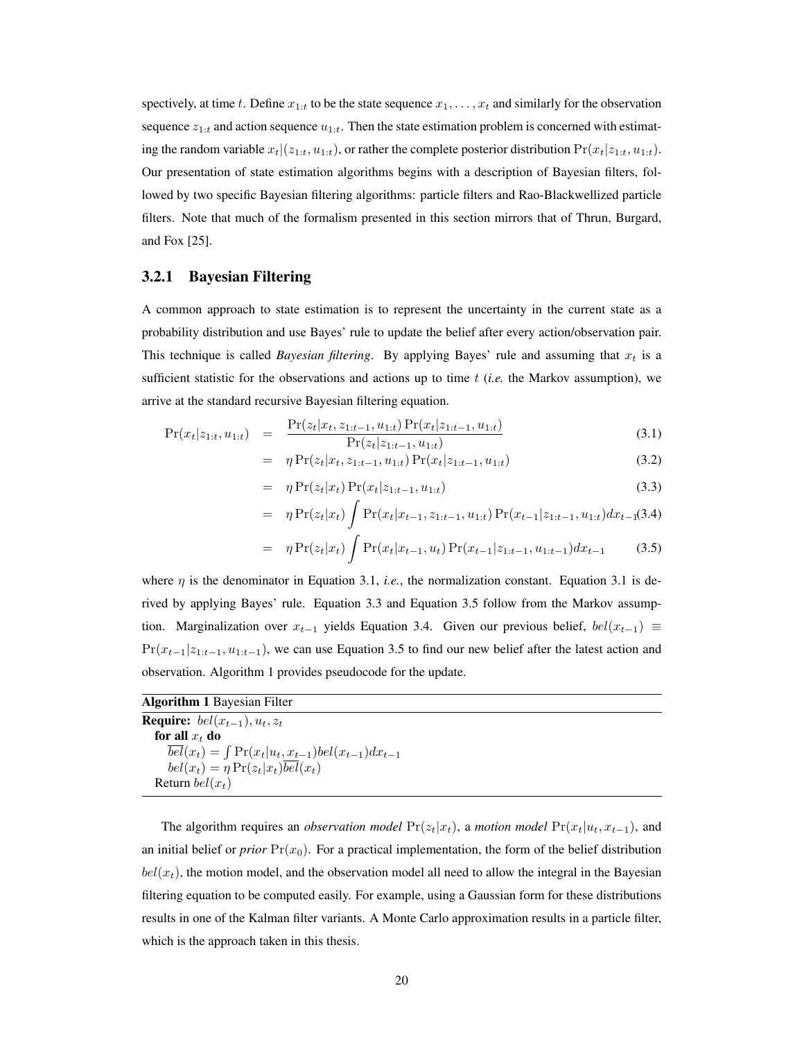spectively, at time t. Define  $x_{1:t}$  to be the state sequence  $x_1, \ldots, x_t$  and similarly for the observation sequence  $z_{1:t}$  and action sequence  $u_{1:t}$ . Then the state estimation problem is concerned with estimating the random variable  $x_t|(z_{1:t}, u_{1:t})$ , or rather the complete posterior distribution  $Pr(x_t|z_{1:t}, u_{1:t})$ . Our presentation of state estimation algorithms begins with a description of Bayesian filters, followed by two specific Bayesian filtering algorithms: particle filters and Rao-Blackwellized particle filters. Note that much of the formalism presented in this section mirrors that of Thrun, Burgard, and Fox [25].

## 3.2.1 Bayesian Filtering

A common approach to state estimation is to represent the uncertainty in the current state as a probability distribution and use Bayes' rule to update the belief after every action/observation pair. This technique is called *Bayesian filtering*. By applying Bayes' rule and assuming that  $x_t$  is a sufficient statistic for the observations and actions up to time t (*i.e.* the Markov assumption), we arrive at the standard recursive Bayesian filtering equation.

$$
Pr(x_t|z_{1:t}, u_{1:t}) = \frac{Pr(z_t|x_t, z_{1:t-1}, u_{1:t}) Pr(x_t|z_{1:t-1}, u_{1:t})}{Pr(z_t|z_{1:t-1}, u_{1:t})}
$$
(3.1)

$$
= \eta \Pr(z_t | x_t, z_{1:t-1}, u_{1:t}) \Pr(x_t | z_{1:t-1}, u_{1:t}) \tag{3.2}
$$

$$
= \eta \Pr(z_t|x_t) \Pr(x_t|z_{1:t-1}, u_{1:t}) \tag{3.3}
$$

$$
= \eta \Pr(z_t|x_t) \int \Pr(x_t|x_{t-1}, z_{1:t-1}, u_{1:t}) \Pr(x_{t-1}|z_{1:t-1}, u_{1:t}) dx_{t-1}(3.4)
$$

$$
= \eta \Pr(z_t|x_t) \int \Pr(x_t|x_{t-1}, u_t) \Pr(x_{t-1}|z_{1:t-1}, u_{1:t-1}) dx_{t-1} \qquad (3.5)
$$

where 
$$
\eta
$$
 is the denominator in Equation 3.1, *i.e.*, the normalization constant. Equation 3.1 is derived by applying Bayes' rule. Equation 3.3 and Equation 3.5 follow from the Markov assumption. Marginalization over  $x_{t-1}$  yields Equation 3.4. Given our previous belief,  $bel(x_{t-1}) \equiv Pr(x_{t-1}|z_{1:t-1}, u_{1:t-1})$ , we can use Equation 3.5 to find our new belief after the latest action and

| observation. Algorithm 1 provides pseudocode for the update. |  |  |  |  |
|--------------------------------------------------------------|--|--|--|--|
| <b>Algorithm 1 Bayesian Filter</b>                           |  |  |  |  |
| <b>Require:</b> $bel(x_{t-1}), u_t, z_t$                     |  |  |  |  |
| for all $x_t$ do                                             |  |  |  |  |

The algorithm requires an *observation model*  $Pr(z_t|x_t)$ , a *motion model*  $Pr(x_t|u_t, x_{t-1})$ , and an initial belief or *prior*  $Pr(x_0)$ . For a practical implementation, the form of the belief distribution  $bel(x<sub>t</sub>)$ , the motion model, and the observation model all need to allow the integral in the Bayesian filtering equation to be computed easily. For example, using a Gaussian form for these distributions results in one of the Kalman filter variants. A Monte Carlo approximation results in a particle filter, which is the approach taken in this thesis.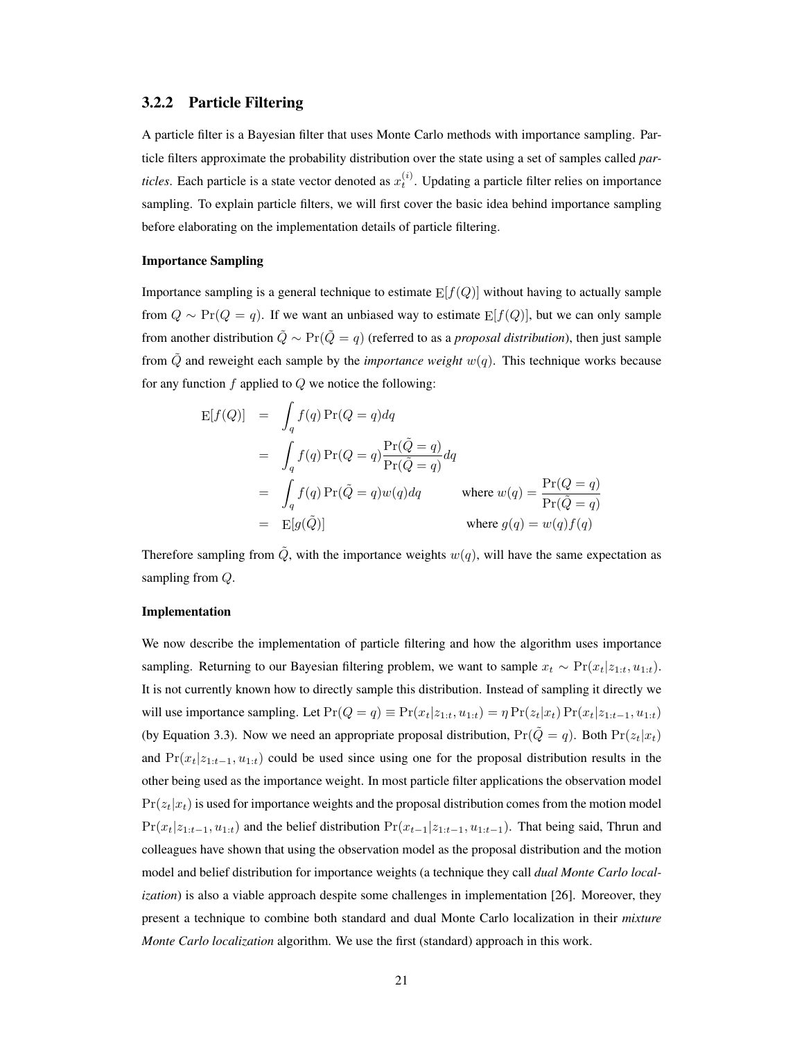## 3.2.2 Particle Filtering

A particle filter is a Bayesian filter that uses Monte Carlo methods with importance sampling. Particle filters approximate the probability distribution over the state using a set of samples called *particles*. Each particle is a state vector denoted as  $x_t^{(i)}$ . Updating a particle filter relies on importance sampling. To explain particle filters, we will first cover the basic idea behind importance sampling before elaborating on the implementation details of particle filtering.

#### Importance Sampling

Importance sampling is a general technique to estimate  $E[f(Q)]$  without having to actually sample from  $Q \sim Pr(Q = q)$ . If we want an unbiased way to estimate  $E[f(Q)]$ , but we can only sample from another distribution  $\tilde{Q} \sim \Pr(\tilde{Q} = q)$  (referred to as a *proposal distribution*), then just sample from  $\tilde{Q}$  and reweight each sample by the *importance weight*  $w(q)$ . This technique works because for any function  $f$  applied to  $Q$  we notice the following:

$$
E[f(Q)] = \int_{q} f(q) Pr(Q = q) dq
$$
  
= 
$$
\int_{q} f(q) Pr(Q = q) \frac{Pr(\tilde{Q} = q)}{Pr(\tilde{Q} = q)} dq
$$
  
= 
$$
\int_{q} f(q) Pr(\tilde{Q} = q) w(q) dq
$$
 where  $w(q) = \frac{Pr(Q = q)}{Pr(\tilde{Q} = q)}$   
= 
$$
E[g(\tilde{Q})]
$$
 where  $g(q) = w(q) f(q)$ 

Therefore sampling from  $\tilde{Q}$ , with the importance weights  $w(q)$ , will have the same expectation as sampling from  $Q$ .

#### Implementation

We now describe the implementation of particle filtering and how the algorithm uses importance sampling. Returning to our Bayesian filtering problem, we want to sample  $x_t \sim \Pr(x_t|z_{1:t}, u_{1:t})$ . It is not currently known how to directly sample this distribution. Instead of sampling it directly we will use importance sampling. Let  $Pr(Q = q) \equiv Pr(x_t|z_{1:t}, u_{1:t}) = \eta Pr(z_t|x_t) Pr(x_t|z_{1:t-1}, u_{1:t})$ (by Equation 3.3). Now we need an appropriate proposal distribution,  $Pr(\tilde{Q} = q)$ . Both  $Pr(z_t|x_t)$ and  $Pr(x_t|z_{1:t-1}, u_{1:t})$  could be used since using one for the proposal distribution results in the other being used as the importance weight. In most particle filter applications the observation model  $Pr(z_t|x_t)$  is used for importance weights and the proposal distribution comes from the motion model  $Pr(x_t|z_{1:t-1}, u_{1:t})$  and the belief distribution  $Pr(x_{t-1}|z_{1:t-1}, u_{1:t-1})$ . That being said, Thrun and colleagues have shown that using the observation model as the proposal distribution and the motion model and belief distribution for importance weights (a technique they call *dual Monte Carlo localization*) is also a viable approach despite some challenges in implementation [26]. Moreover, they present a technique to combine both standard and dual Monte Carlo localization in their *mixture Monte Carlo localization* algorithm. We use the first (standard) approach in this work.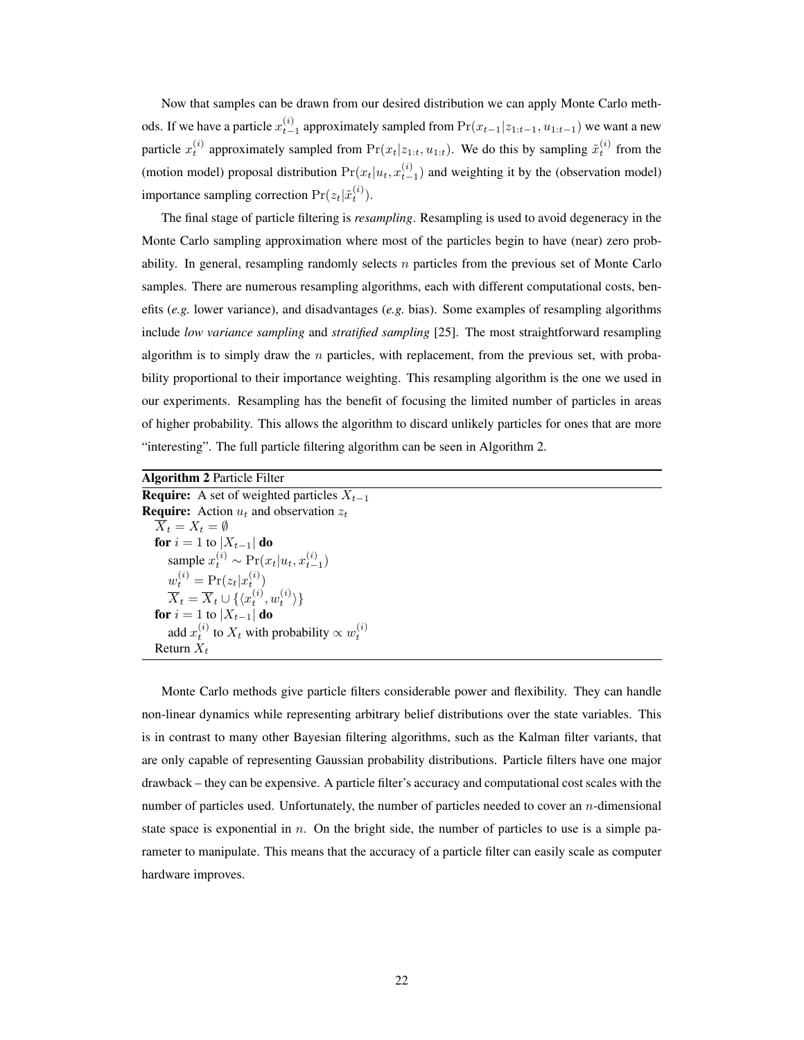Now that samples can be drawn from our desired distribution we can apply Monte Carlo methods. If we have a particle  $x_{t-1}^{(i)}$  approximately sampled from  $Pr(x_{t-1}|z_{1:t-1}, u_{1:t-1})$  we want a new particle  $x_t^{(i)}$  approximately sampled from  $Pr(x_t|z_{1:t}, u_{1:t})$ . We do this by sampling  $\tilde{x}_t^{(i)}$  from the (motion model) proposal distribution  $Pr(x_t|u_t, x_{t-1}^{(i)})$  and weighting it by the (observation model) importance sampling correction  $Pr(z_t|\tilde{x}_t^{(i)})$ .

The final stage of particle filtering is *resampling*. Resampling is used to avoid degeneracy in the Monte Carlo sampling approximation where most of the particles begin to have (near) zero probability. In general, resampling randomly selects  $n$  particles from the previous set of Monte Carlo samples. There are numerous resampling algorithms, each with different computational costs, benefits (*e.g.* lower variance), and disadvantages (*e.g.* bias). Some examples of resampling algorithms include *low variance sampling* and *stratified sampling* [25]. The most straightforward resampling algorithm is to simply draw the  $n$  particles, with replacement, from the previous set, with probability proportional to their importance weighting. This resampling algorithm is the one we used in our experiments. Resampling has the benefit of focusing the limited number of particles in areas of higher probability. This allows the algorithm to discard unlikely particles for ones that are more "interesting". The full particle filtering algorithm can be seen in Algorithm 2.

Algorithm 2 Particle Filter **Require:** A set of weighted particles  $X_{t-1}$ **Require:** Action  $u_t$  and observation  $z_t$  $\overline{X}_t = X_t = \emptyset$ for  $i = 1$  to  $|X_{t-1}|$  do sample  $x_t^{(i)} \sim \Pr(x_t | u_t, x_{t-1}^{(i)})$  $w_t^{(i)} = \Pr(z_t|x_t^{(i)})$  $\overline{X}_t = \overline{X}_t \cup \{ \langle x_t^{(i)}, w_t^{(i)} \rangle \}$ for  $i = 1$  to  $|X_{t-1}|$  do add  $x_t^{(i)}$  to  $X_t$  with probability  $\propto w_t^{(i)}$ Return  $X_t$ 

Monte Carlo methods give particle filters considerable power and flexibility. They can handle non-linear dynamics while representing arbitrary belief distributions over the state variables. This is in contrast to many other Bayesian filtering algorithms, such as the Kalman filter variants, that are only capable of representing Gaussian probability distributions. Particle filters have one major drawback – they can be expensive. A particle filter's accuracy and computational cost scales with the number of particles used. Unfortunately, the number of particles needed to cover an  $n$ -dimensional state space is exponential in n. On the bright side, the number of particles to use is a simple parameter to manipulate. This means that the accuracy of a particle filter can easily scale as computer hardware improves.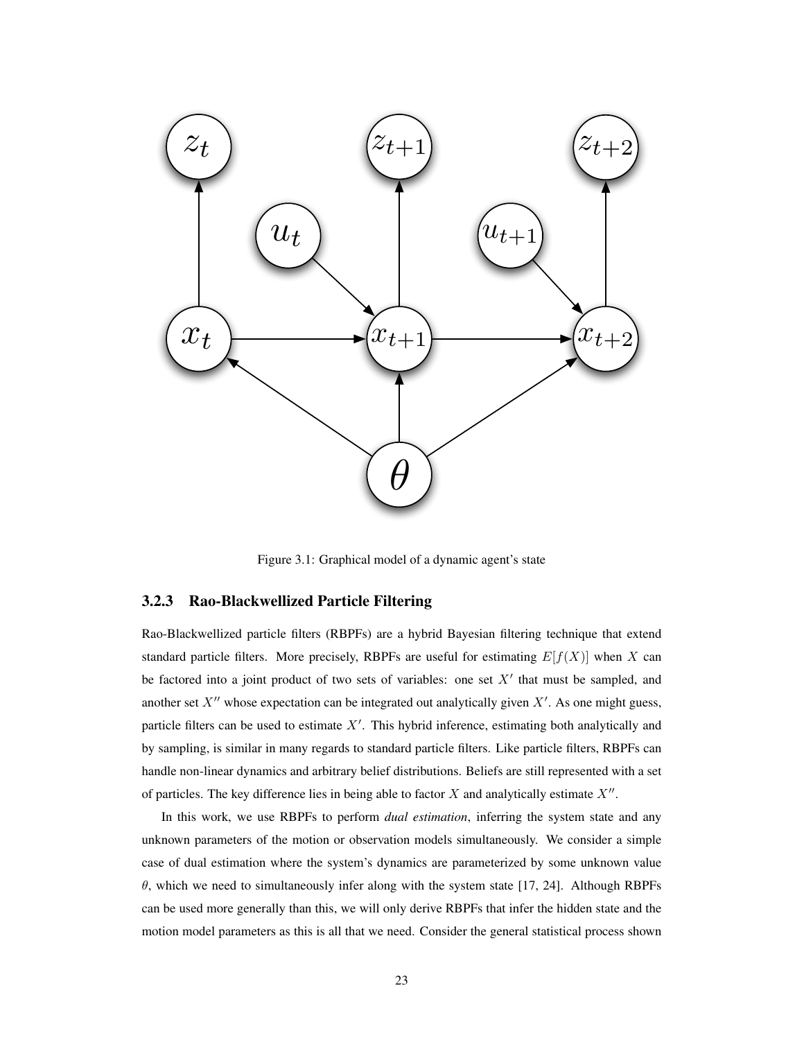

Figure 3.1: Graphical model of a dynamic agent's state

## 3.2.3 Rao-Blackwellized Particle Filtering

Rao-Blackwellized particle filters (RBPFs) are a hybrid Bayesian filtering technique that extend standard particle filters. More precisely, RBPFs are useful for estimating  $E[f(X)]$  when X can be factored into a joint product of two sets of variables: one set  $X'$  that must be sampled, and another set  $X''$  whose expectation can be integrated out analytically given  $X'$ . As one might guess, particle filters can be used to estimate  $X'$ . This hybrid inference, estimating both analytically and by sampling, is similar in many regards to standard particle filters. Like particle filters, RBPFs can handle non-linear dynamics and arbitrary belief distributions. Beliefs are still represented with a set of particles. The key difference lies in being able to factor  $X$  and analytically estimate  $X''$ .

In this work, we use RBPFs to perform *dual estimation*, inferring the system state and any unknown parameters of the motion or observation models simultaneously. We consider a simple case of dual estimation where the system's dynamics are parameterized by some unknown value θ, which we need to simultaneously infer along with the system state [17, 24]. Although RBPFs can be used more generally than this, we will only derive RBPFs that infer the hidden state and the motion model parameters as this is all that we need. Consider the general statistical process shown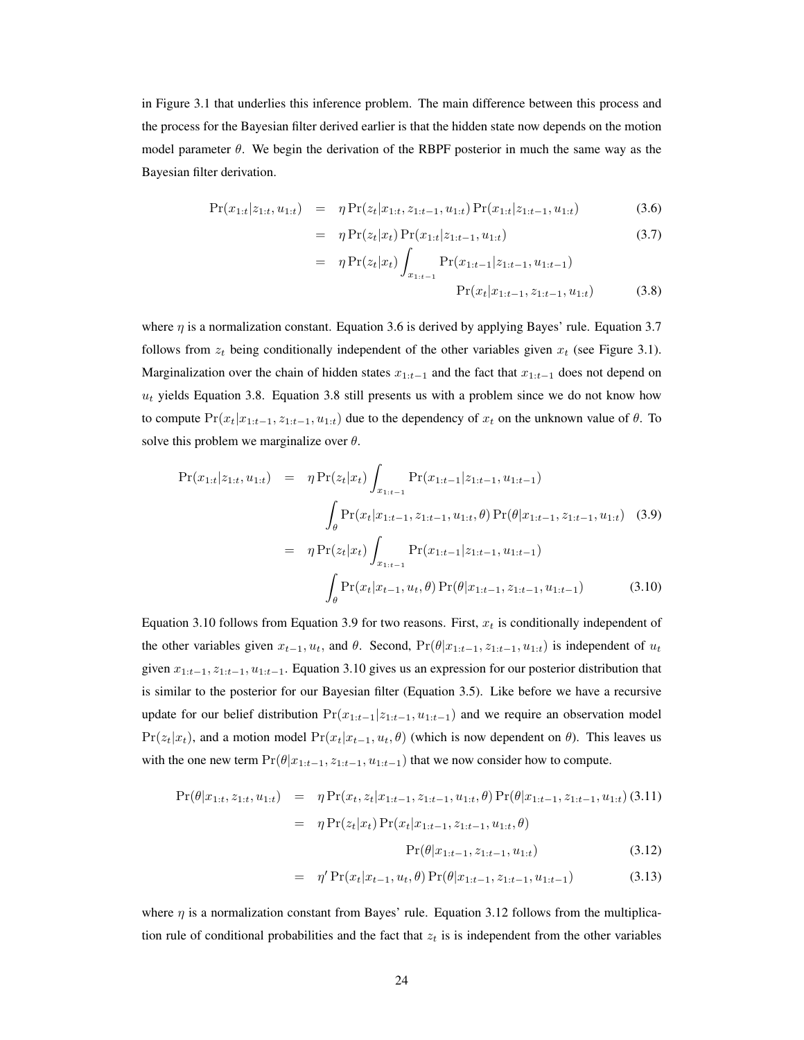in Figure 3.1 that underlies this inference problem. The main difference between this process and the process for the Bayesian filter derived earlier is that the hidden state now depends on the motion model parameter  $\theta$ . We begin the derivation of the RBPF posterior in much the same way as the Bayesian filter derivation.

$$
Pr(x_{1:t}|z_{1:t}, u_{1:t}) = \eta Pr(z_t|x_{1:t}, z_{1:t-1}, u_{1:t}) Pr(x_{1:t}|z_{1:t-1}, u_{1:t})
$$
\n(3.6)

$$
= \eta \Pr(z_t|x_t) \Pr(x_{1:t}|z_{1:t-1}, u_{1:t}) \tag{3.7}
$$

$$
= \eta \Pr(z_t|x_t) \int_{x_{1:t-1}} \Pr(x_{1:t-1}|z_{1:t-1}, u_{1:t-1})
$$

$$
\Pr(x_t|x_{1:t-1}, z_{1:t-1}, u_{1:t}) \tag{3.8}
$$

where  $\eta$  is a normalization constant. Equation 3.6 is derived by applying Bayes' rule. Equation 3.7 follows from  $z_t$  being conditionally independent of the other variables given  $x_t$  (see Figure 3.1). Marginalization over the chain of hidden states  $x_{1:t-1}$  and the fact that  $x_{1:t-1}$  does not depend on  $u_t$  yields Equation 3.8. Equation 3.8 still presents us with a problem since we do not know how to compute  $Pr(x_t|x_{1:t-1}, z_{1:t-1}, u_{1:t})$  due to the dependency of  $x_t$  on the unknown value of  $\theta$ . To solve this problem we marginalize over  $\theta$ .

$$
\Pr(x_{1:t}|z_{1:t}, u_{1:t}) = \eta \Pr(z_t|x_t) \int_{x_{1:t-1}} \Pr(x_{1:t-1}|z_{1:t-1}, u_{1:t-1})
$$
\n
$$
\int_{\theta} \Pr(x_t|x_{1:t-1}, z_{1:t-1}, u_{1:t}, \theta) \Pr(\theta|x_{1:t-1}, z_{1:t-1}, u_{1:t}) \quad (3.9)
$$
\n
$$
= \eta \Pr(z_t|x_t) \int_{x_{1:t-1}} \Pr(x_{1:t-1}|z_{1:t-1}, u_{1:t-1})
$$
\n
$$
\int_{\theta} \Pr(x_t|x_{t-1}, u_t, \theta) \Pr(\theta|x_{1:t-1}, z_{1:t-1}, u_{1:t-1}) \quad (3.10)
$$

Equation 3.10 follows from Equation 3.9 for two reasons. First,  $x_t$  is conditionally independent of the other variables given  $x_{t-1}$ ,  $u_t$ , and  $\theta$ . Second, Pr( $\theta | x_{1:t-1}, x_{1:t-1}, u_{1:t}$ ) is independent of  $u_t$ given  $x_{1:t-1}, x_{1:t-1}, u_{1:t-1}$ . Equation 3.10 gives us an expression for our posterior distribution that is similar to the posterior for our Bayesian filter (Equation 3.5). Like before we have a recursive update for our belief distribution  $Pr(x_{1:t-1}|z_{1:t-1}, u_{1:t-1})$  and we require an observation model  $Pr(z_t|x_t)$ , and a motion model  $Pr(x_t|x_{t-1}, u_t, \theta)$  (which is now dependent on  $\theta$ ). This leaves us with the one new term  $Pr(\theta | x_{1:t-1}, z_{1:t-1}, u_{1:t-1})$  that we now consider how to compute.

$$
\Pr(\theta|x_{1:t}, z_{1:t}, u_{1:t}) = \eta \Pr(x_t, z_t | x_{1:t-1}, z_{1:t-1}, u_{1:t}, \theta) \Pr(\theta|x_{1:t-1}, z_{1:t-1}, u_{1:t})
$$
(3.11)  

$$
= \eta \Pr(z_t | x_t) \Pr(x_t | x_{1:t-1}, z_{1:t-1}, u_{1:t}, \theta)
$$
  

$$
\Pr(\theta|x_{1:t-1}, z_{1:t-1}, u_{1:t})
$$
(3.12)

$$
= \eta' \Pr(x_t | x_{t-1}, u_t, \theta) \Pr(\theta | x_{1:t-1}, z_{1:t-1}, u_{1:t-1}) \tag{3.13}
$$

where  $\eta$  is a normalization constant from Bayes' rule. Equation 3.12 follows from the multiplication rule of conditional probabilities and the fact that  $z_t$  is is independent from the other variables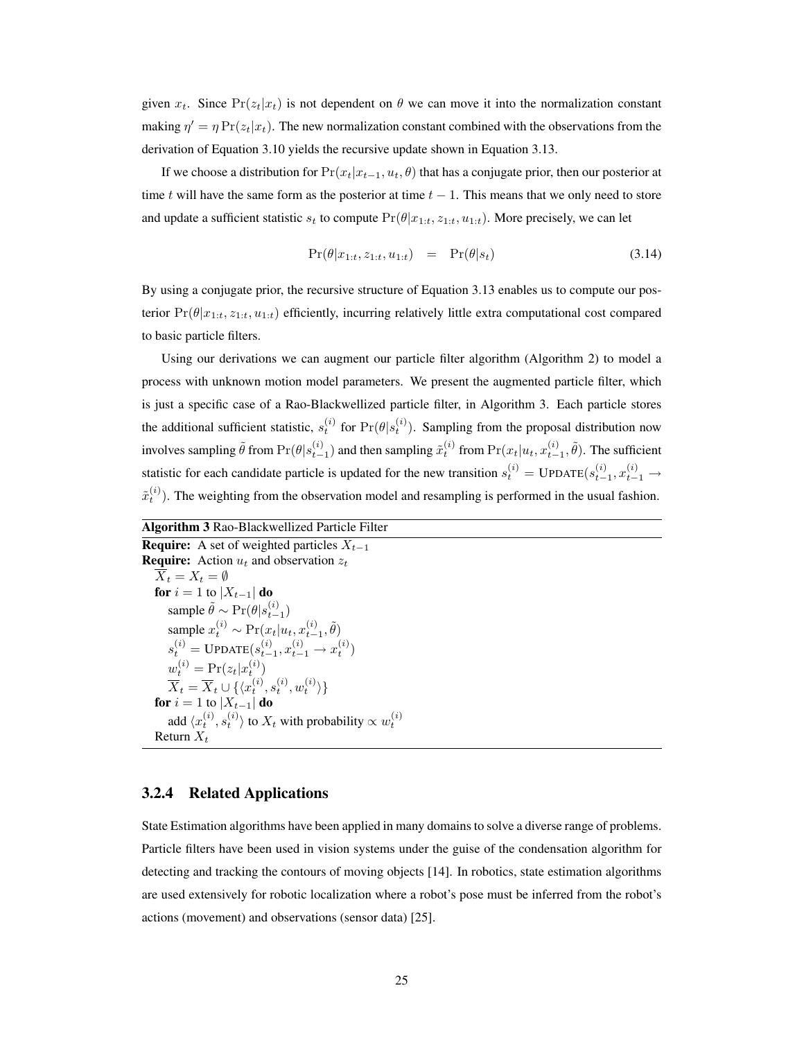given  $x_t$ . Since  $Pr(z_t|x_t)$  is not dependent on  $\theta$  we can move it into the normalization constant making  $\eta' = \eta \Pr(z_t|x_t)$ . The new normalization constant combined with the observations from the derivation of Equation 3.10 yields the recursive update shown in Equation 3.13.

If we choose a distribution for  $Pr(x_t|x_{t-1}, u_t, \theta)$  that has a conjugate prior, then our posterior at time t will have the same form as the posterior at time  $t - 1$ . This means that we only need to store and update a sufficient statistic  $s_t$  to compute  $Pr(\theta | x_{1:t}, z_{1:t}, u_{1:t})$ . More precisely, we can let

$$
Pr(\theta | x_{1:t}, z_{1:t}, u_{1:t}) = Pr(\theta | s_t)
$$
\n(3.14)

By using a conjugate prior, the recursive structure of Equation 3.13 enables us to compute our posterior  $Pr(\theta | x_{1:t}, z_{1:t}, u_{1:t})$  efficiently, incurring relatively little extra computational cost compared to basic particle filters.

Using our derivations we can augment our particle filter algorithm (Algorithm 2) to model a process with unknown motion model parameters. We present the augmented particle filter, which is just a specific case of a Rao-Blackwellized particle filter, in Algorithm 3. Each particle stores the additional sufficient statistic,  $s_t^{(i)}$  for  $Pr(\theta | s_t^{(i)})$ . Sampling from the proposal distribution now involves sampling  $\tilde{\theta}$  from  $\Pr(\theta | s_{t-1}^{(i)})$  and then sampling  $\tilde{x}_t^{(i)}$  from  $\Pr(x_t | u_t, x_{t-1}^{(i)}, \tilde{\theta})$ . The sufficient statistic for each candidate particle is updated for the new transition  $s_t^{(i)} = \text{UPDATE}(s_{t-1}^{(i)}, x_{t-1}^{(i)} \rightarrow$  $\tilde{x}_{t}^{(i)}$ ). The weighting from the observation model and resampling is performed in the usual fashion.

## Algorithm 3 Rao-Blackwellized Particle Filter

**Require:** A set of weighted particles  $X_{t-1}$ **Require:** Action  $u_t$  and observation  $z_t$  $\overline{X}_t = X_t = \emptyset$ for  $i = 1$  to  $|X_{t-1}|$  do sample  $\tilde{\theta} \sim \Pr(\theta | s_{t-1}^{(i)})$  $t-1$ sample  $x_t^{(i)} \sim \Pr(x_t|u_t, x_{t-1}^{(i)}, \tilde{\theta})$  $s_t^{(i)} = \text{UPDATE}(s_{t-1}^{(i)}, x_{t-1}^{(i)} \rightarrow x_t^{(i)})$  $w_t^{(i)} = \Pr(z_t|x_t^{(i)})$  $\overline{X}_t = \overline{X}_t \cup \{ \langle x_t^{(i)}, s_t^{(i)}, w_t^{(i)} \rangle \}$ for  $i = 1$  to  $|X_{t-1}|$  do<br>
edd (e<sup>(i)</sup> e<sup>(i)</sup>) to Y add  $\langle x_t^{(i)}, s_t^{(i)} \rangle$  to  $X_t$  with probability  $\propto w_t^{(i)}$ Return  $X_t$ 

### 3.2.4 Related Applications

State Estimation algorithms have been applied in many domains to solve a diverse range of problems. Particle filters have been used in vision systems under the guise of the condensation algorithm for detecting and tracking the contours of moving objects [14]. In robotics, state estimation algorithms are used extensively for robotic localization where a robot's pose must be inferred from the robot's actions (movement) and observations (sensor data) [25].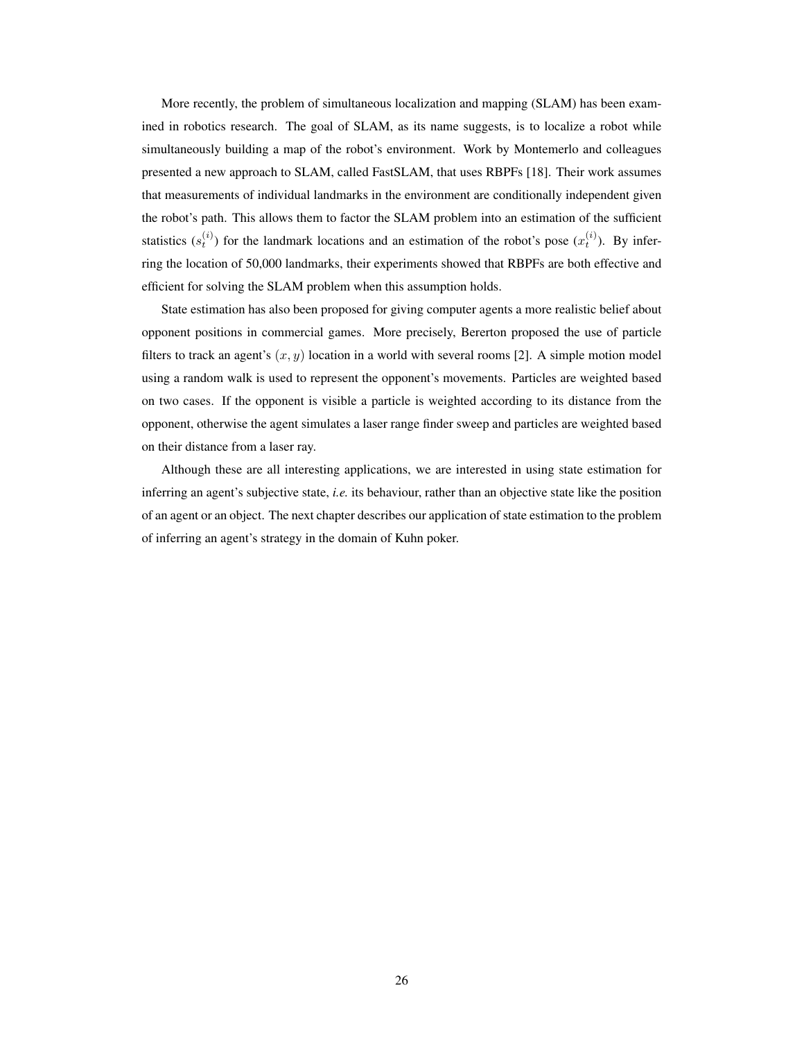More recently, the problem of simultaneous localization and mapping (SLAM) has been examined in robotics research. The goal of SLAM, as its name suggests, is to localize a robot while simultaneously building a map of the robot's environment. Work by Montemerlo and colleagues presented a new approach to SLAM, called FastSLAM, that uses RBPFs [18]. Their work assumes that measurements of individual landmarks in the environment are conditionally independent given the robot's path. This allows them to factor the SLAM problem into an estimation of the sufficient statistics  $(s_t^{(i)})$  for the landmark locations and an estimation of the robot's pose  $(x_t^{(i)})$ . By inferring the location of 50,000 landmarks, their experiments showed that RBPFs are both effective and efficient for solving the SLAM problem when this assumption holds.

State estimation has also been proposed for giving computer agents a more realistic belief about opponent positions in commercial games. More precisely, Bererton proposed the use of particle filters to track an agent's  $(x, y)$  location in a world with several rooms [2]. A simple motion model using a random walk is used to represent the opponent's movements. Particles are weighted based on two cases. If the opponent is visible a particle is weighted according to its distance from the opponent, otherwise the agent simulates a laser range finder sweep and particles are weighted based on their distance from a laser ray.

Although these are all interesting applications, we are interested in using state estimation for inferring an agent's subjective state, *i.e.* its behaviour, rather than an objective state like the position of an agent or an object. The next chapter describes our application of state estimation to the problem of inferring an agent's strategy in the domain of Kuhn poker.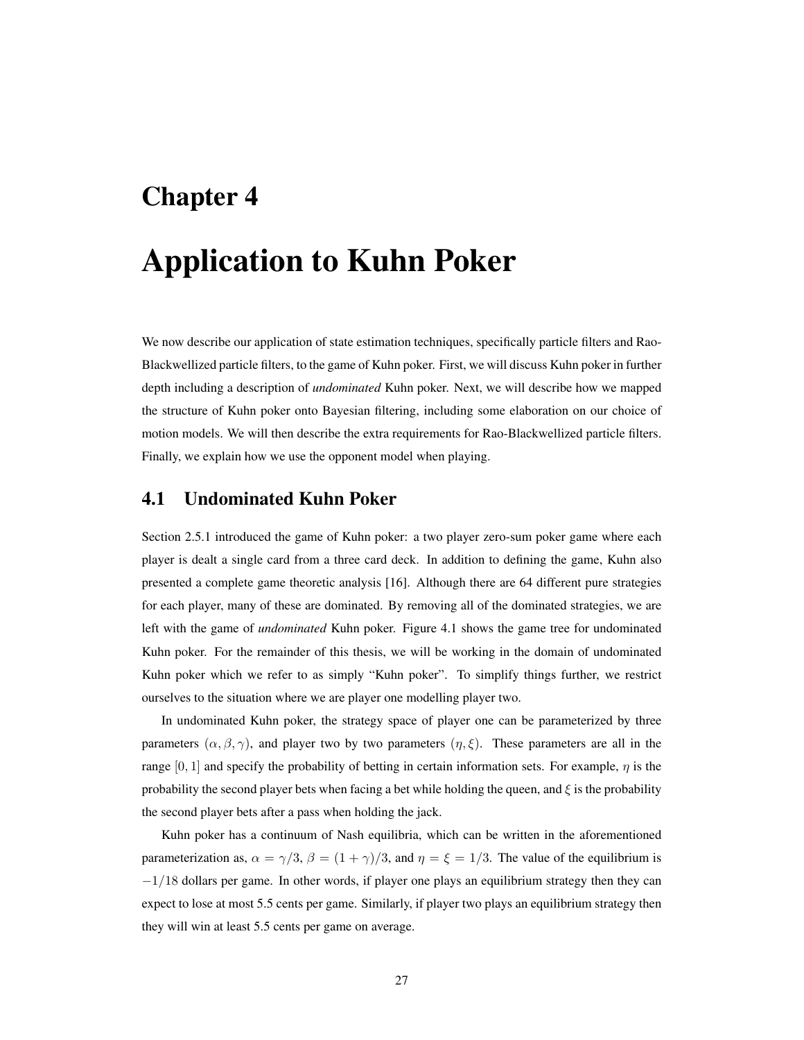## Chapter 4

# Application to Kuhn Poker

We now describe our application of state estimation techniques, specifically particle filters and Rao-Blackwellized particle filters, to the game of Kuhn poker. First, we will discuss Kuhn poker in further depth including a description of *undominated* Kuhn poker. Next, we will describe how we mapped the structure of Kuhn poker onto Bayesian filtering, including some elaboration on our choice of motion models. We will then describe the extra requirements for Rao-Blackwellized particle filters. Finally, we explain how we use the opponent model when playing.

### 4.1 Undominated Kuhn Poker

Section 2.5.1 introduced the game of Kuhn poker: a two player zero-sum poker game where each player is dealt a single card from a three card deck. In addition to defining the game, Kuhn also presented a complete game theoretic analysis [16]. Although there are 64 different pure strategies for each player, many of these are dominated. By removing all of the dominated strategies, we are left with the game of *undominated* Kuhn poker. Figure 4.1 shows the game tree for undominated Kuhn poker. For the remainder of this thesis, we will be working in the domain of undominated Kuhn poker which we refer to as simply "Kuhn poker". To simplify things further, we restrict ourselves to the situation where we are player one modelling player two.

In undominated Kuhn poker, the strategy space of player one can be parameterized by three parameters  $(\alpha, \beta, \gamma)$ , and player two by two parameters  $(\eta, \xi)$ . These parameters are all in the range [0, 1] and specify the probability of betting in certain information sets. For example,  $\eta$  is the probability the second player bets when facing a bet while holding the queen, and  $\xi$  is the probability the second player bets after a pass when holding the jack.

Kuhn poker has a continuum of Nash equilibria, which can be written in the aforementioned parameterization as,  $\alpha = \gamma/3$ ,  $\beta = (1 + \gamma)/3$ , and  $\eta = \xi = 1/3$ . The value of the equilibrium is −1/18 dollars per game. In other words, if player one plays an equilibrium strategy then they can expect to lose at most 5.5 cents per game. Similarly, if player two plays an equilibrium strategy then they will win at least 5.5 cents per game on average.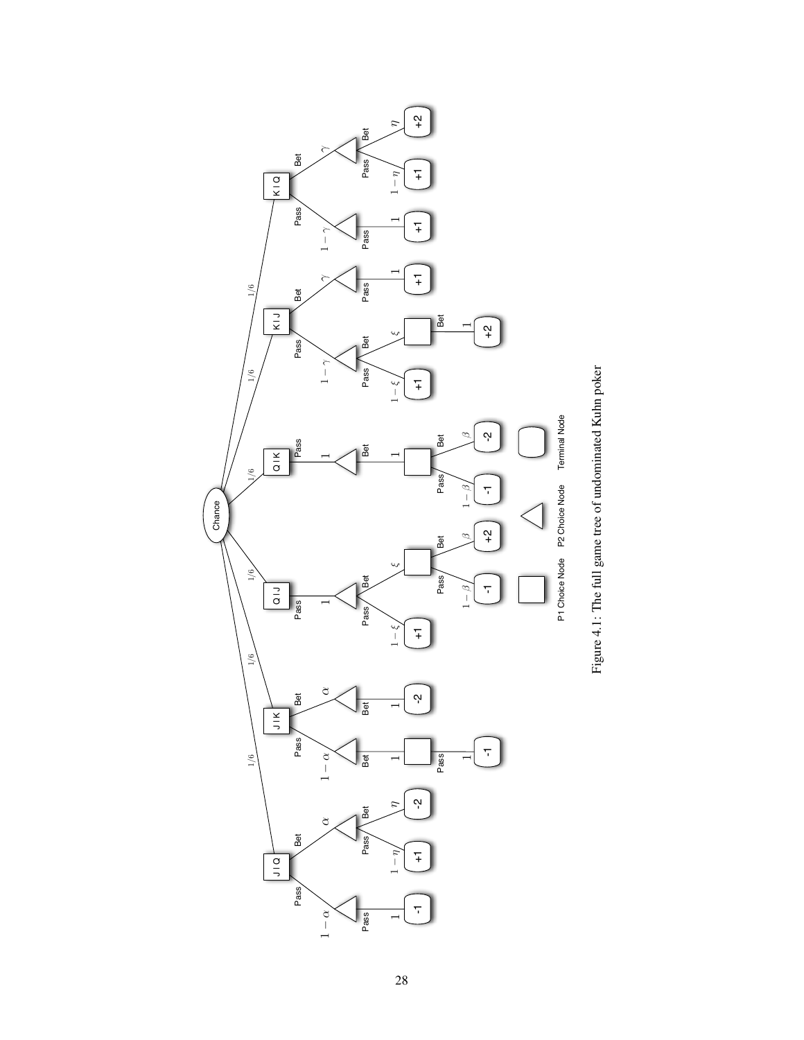

Figure 4.1: The full game tree of undominated Kuhn poker Figure 4.1: The full game tree of undominated Kuhn poker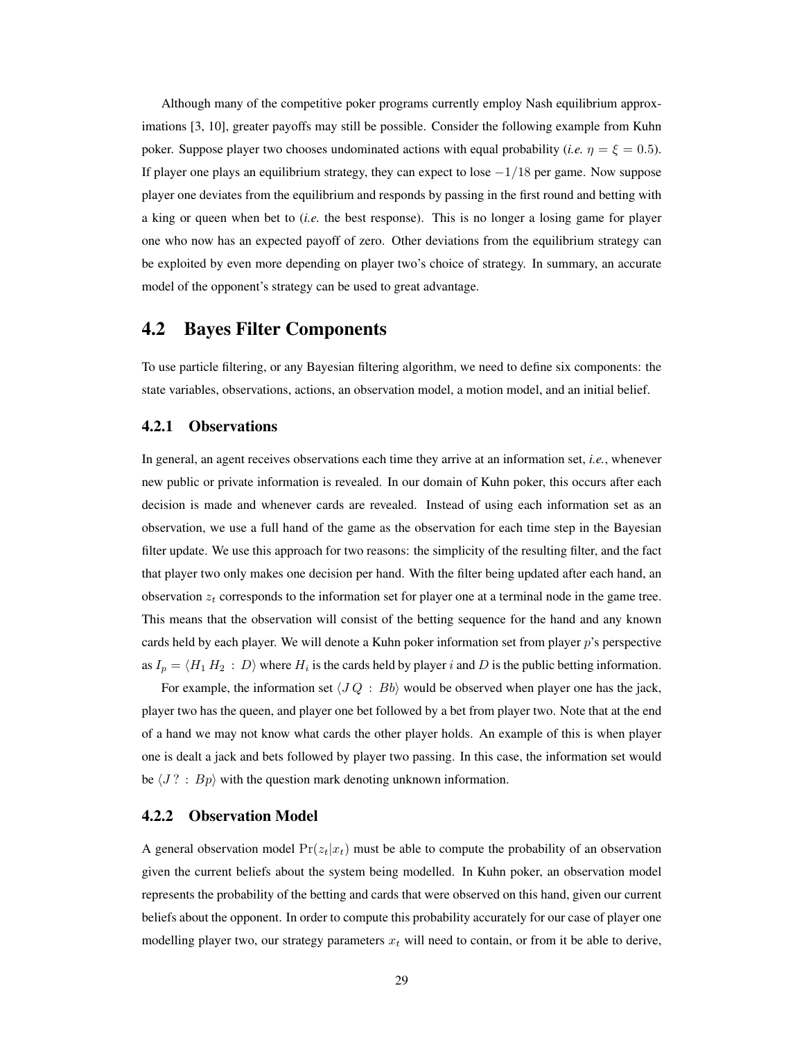Although many of the competitive poker programs currently employ Nash equilibrium approximations [3, 10], greater payoffs may still be possible. Consider the following example from Kuhn poker. Suppose player two chooses undominated actions with equal probability (*i.e.*  $\eta = \xi = 0.5$ ). If player one plays an equilibrium strategy, they can expect to lose  $-1/18$  per game. Now suppose player one deviates from the equilibrium and responds by passing in the first round and betting with a king or queen when bet to (*i.e.* the best response). This is no longer a losing game for player one who now has an expected payoff of zero. Other deviations from the equilibrium strategy can be exploited by even more depending on player two's choice of strategy. In summary, an accurate model of the opponent's strategy can be used to great advantage.

## 4.2 Bayes Filter Components

To use particle filtering, or any Bayesian filtering algorithm, we need to define six components: the state variables, observations, actions, an observation model, a motion model, and an initial belief.

### 4.2.1 Observations

In general, an agent receives observations each time they arrive at an information set, *i.e.*, whenever new public or private information is revealed. In our domain of Kuhn poker, this occurs after each decision is made and whenever cards are revealed. Instead of using each information set as an observation, we use a full hand of the game as the observation for each time step in the Bayesian filter update. We use this approach for two reasons: the simplicity of the resulting filter, and the fact that player two only makes one decision per hand. With the filter being updated after each hand, an observation  $z_t$  corresponds to the information set for player one at a terminal node in the game tree. This means that the observation will consist of the betting sequence for the hand and any known cards held by each player. We will denote a Kuhn poker information set from player  $p$ 's perspective as  $I_p = \langle H_1 H_2 : D \rangle$  where  $H_i$  is the cards held by player i and D is the public betting information.

For example, the information set  $\langle J \, Q \, : \, B \, b \rangle$  would be observed when player one has the jack, player two has the queen, and player one bet followed by a bet from player two. Note that at the end of a hand we may not know what cards the other player holds. An example of this is when player one is dealt a jack and bets followed by player two passing. In this case, the information set would be  $\langle J? : Bp \rangle$  with the question mark denoting unknown information.

### 4.2.2 Observation Model

A general observation model  $Pr(z_t|x_t)$  must be able to compute the probability of an observation given the current beliefs about the system being modelled. In Kuhn poker, an observation model represents the probability of the betting and cards that were observed on this hand, given our current beliefs about the opponent. In order to compute this probability accurately for our case of player one modelling player two, our strategy parameters  $x_t$  will need to contain, or from it be able to derive,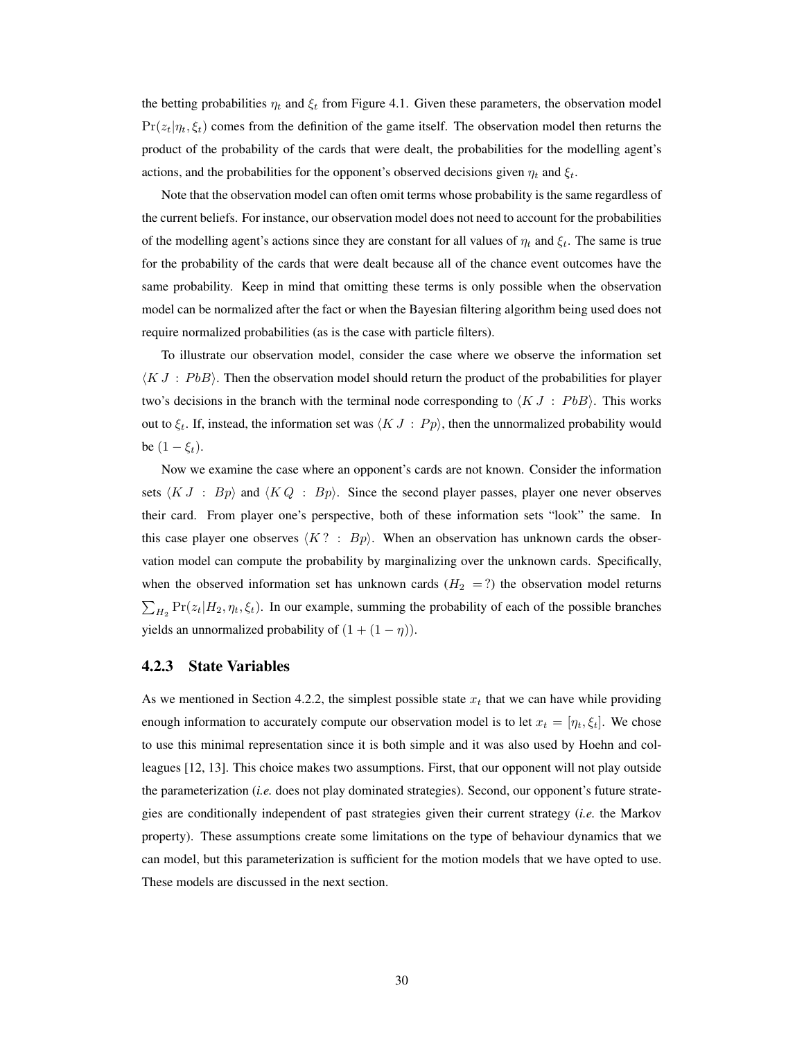the betting probabilities  $\eta_t$  and  $\xi_t$  from Figure 4.1. Given these parameters, the observation model  $Pr(z_t|\eta_t, \xi_t)$  comes from the definition of the game itself. The observation model then returns the product of the probability of the cards that were dealt, the probabilities for the modelling agent's actions, and the probabilities for the opponent's observed decisions given  $\eta_t$  and  $\xi_t$ .

Note that the observation model can often omit terms whose probability is the same regardless of the current beliefs. For instance, our observation model does not need to account for the probabilities of the modelling agent's actions since they are constant for all values of  $\eta_t$  and  $\xi_t$ . The same is true for the probability of the cards that were dealt because all of the chance event outcomes have the same probability. Keep in mind that omitting these terms is only possible when the observation model can be normalized after the fact or when the Bayesian filtering algorithm being used does not require normalized probabilities (as is the case with particle filters).

To illustrate our observation model, consider the case where we observe the information set  $\langle KJ : PbB \rangle$ . Then the observation model should return the product of the probabilities for player two's decisions in the branch with the terminal node corresponding to  $\langle KJ : PbB \rangle$ . This works out to  $\xi_t$ . If, instead, the information set was  $\langle KJ : P_p \rangle$ , then the unnormalized probability would be  $(1 - \xi_t)$ .

Now we examine the case where an opponent's cards are not known. Consider the information sets  $\langle KJ : Bp \rangle$  and  $\langle KQ : Bp \rangle$ . Since the second player passes, player one never observes their card. From player one's perspective, both of these information sets "look" the same. In this case player one observes  $\langle K? : Bp \rangle$ . When an observation has unknown cards the observation model can compute the probability by marginalizing over the unknown cards. Specifically, when the observed information set has unknown cards  $(H_2 = ?)$  the observation model returns  $\sum_{H_2} \Pr(z_t|H_2, \eta_t, \xi_t)$ . In our example, summing the probability of each of the possible branches yields an unnormalized probability of  $(1 + (1 - \eta))$ .

#### 4.2.3 State Variables

As we mentioned in Section 4.2.2, the simplest possible state  $x_t$  that we can have while providing enough information to accurately compute our observation model is to let  $x_t = [\eta_t, \xi_t]$ . We chose to use this minimal representation since it is both simple and it was also used by Hoehn and colleagues [12, 13]. This choice makes two assumptions. First, that our opponent will not play outside the parameterization (*i.e.* does not play dominated strategies). Second, our opponent's future strategies are conditionally independent of past strategies given their current strategy (*i.e.* the Markov property). These assumptions create some limitations on the type of behaviour dynamics that we can model, but this parameterization is sufficient for the motion models that we have opted to use. These models are discussed in the next section.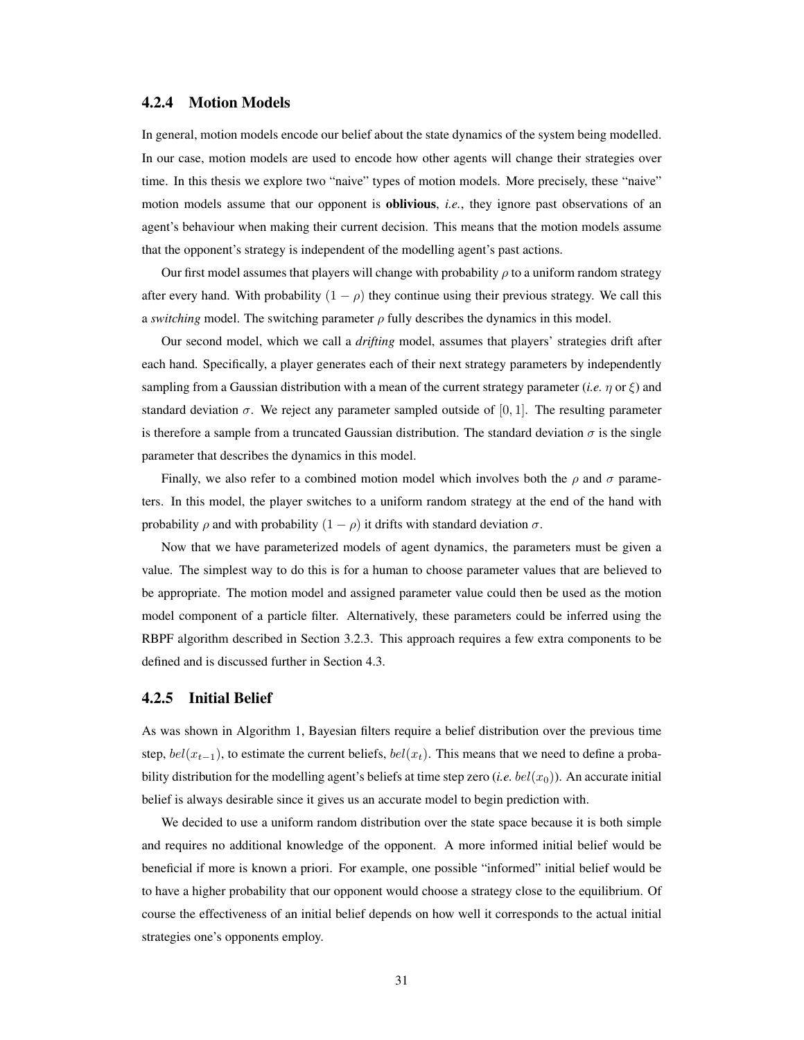### 4.2.4 Motion Models

In general, motion models encode our belief about the state dynamics of the system being modelled. In our case, motion models are used to encode how other agents will change their strategies over time. In this thesis we explore two "naive" types of motion models. More precisely, these "naive" motion models assume that our opponent is oblivious, *i.e.*, they ignore past observations of an agent's behaviour when making their current decision. This means that the motion models assume that the opponent's strategy is independent of the modelling agent's past actions.

Our first model assumes that players will change with probability  $\rho$  to a uniform random strategy after every hand. With probability  $(1 - \rho)$  they continue using their previous strategy. We call this a *switching* model. The switching parameter  $\rho$  fully describes the dynamics in this model.

Our second model, which we call a *drifting* model, assumes that players' strategies drift after each hand. Specifically, a player generates each of their next strategy parameters by independently sampling from a Gaussian distribution with a mean of the current strategy parameter (*i.e.*  $\eta$  or  $\xi$ ) and standard deviation  $\sigma$ . We reject any parameter sampled outside of [0, 1]. The resulting parameter is therefore a sample from a truncated Gaussian distribution. The standard deviation  $\sigma$  is the single parameter that describes the dynamics in this model.

Finally, we also refer to a combined motion model which involves both the  $\rho$  and  $\sigma$  parameters. In this model, the player switches to a uniform random strategy at the end of the hand with probability  $\rho$  and with probability  $(1 - \rho)$  it drifts with standard deviation  $\sigma$ .

Now that we have parameterized models of agent dynamics, the parameters must be given a value. The simplest way to do this is for a human to choose parameter values that are believed to be appropriate. The motion model and assigned parameter value could then be used as the motion model component of a particle filter. Alternatively, these parameters could be inferred using the RBPF algorithm described in Section 3.2.3. This approach requires a few extra components to be defined and is discussed further in Section 4.3.

### 4.2.5 Initial Belief

As was shown in Algorithm 1, Bayesian filters require a belief distribution over the previous time step,  $bel(x_{t-1})$ , to estimate the current beliefs,  $bel(x_t)$ . This means that we need to define a probability distribution for the modelling agent's beliefs at time step zero  $(i.e.$   $bel(x_0))$ . An accurate initial belief is always desirable since it gives us an accurate model to begin prediction with.

We decided to use a uniform random distribution over the state space because it is both simple and requires no additional knowledge of the opponent. A more informed initial belief would be beneficial if more is known a priori. For example, one possible "informed" initial belief would be to have a higher probability that our opponent would choose a strategy close to the equilibrium. Of course the effectiveness of an initial belief depends on how well it corresponds to the actual initial strategies one's opponents employ.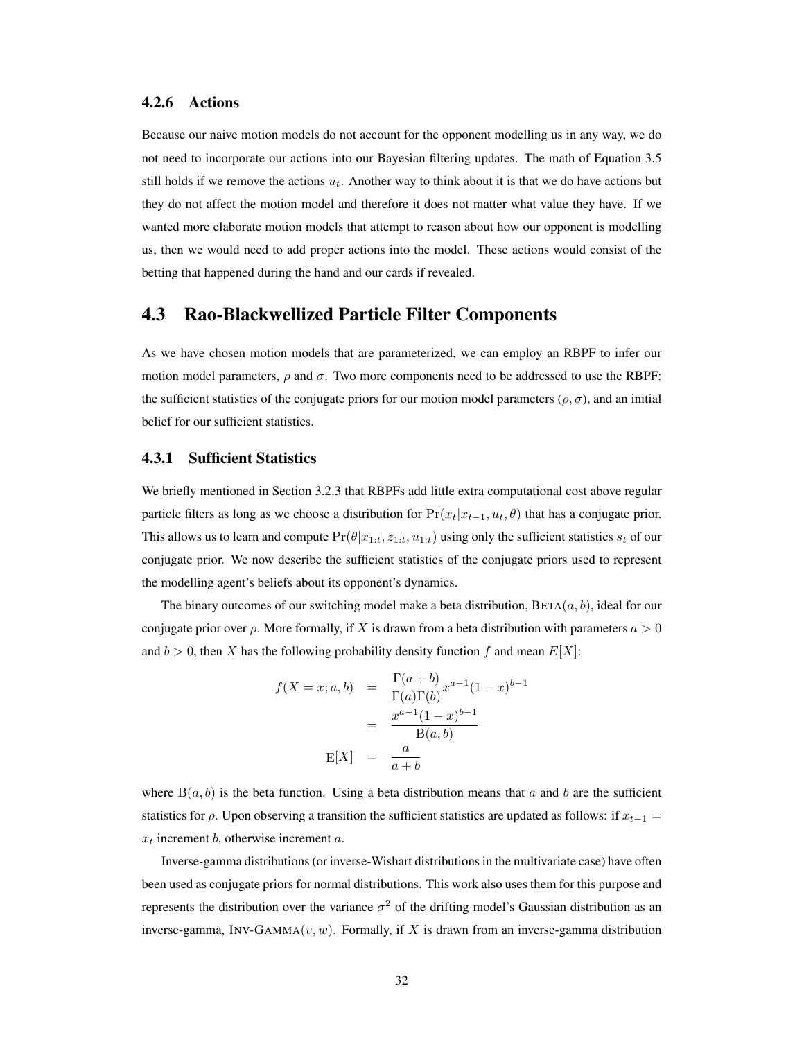### 4.2.6 Actions

Because our naive motion models do not account for the opponent modelling us in any way, we do not need to incorporate our actions into our Bayesian filtering updates. The math of Equation 3.5 still holds if we remove the actions  $u_t$ . Another way to think about it is that we do have actions but they do not affect the motion model and therefore it does not matter what value they have. If we wanted more elaborate motion models that attempt to reason about how our opponent is modelling us, then we would need to add proper actions into the model. These actions would consist of the betting that happened during the hand and our cards if revealed.

### 4.3 Rao-Blackwellized Particle Filter Components

As we have chosen motion models that are parameterized, we can employ an RBPF to infer our motion model parameters,  $\rho$  and  $\sigma$ . Two more components need to be addressed to use the RBPF: the sufficient statistics of the conjugate priors for our motion model parameters ( $\rho$ ,  $\sigma$ ), and an initial belief for our sufficient statistics.

### 4.3.1 Sufficient Statistics

We briefly mentioned in Section 3.2.3 that RBPFs add little extra computational cost above regular particle filters as long as we choose a distribution for  $Pr(x_t|x_{t-1}, u_t, \theta)$  that has a conjugate prior. This allows us to learn and compute  $Pr(\theta | x_{1:t}, z_{1:t}, u_{1:t})$  using only the sufficient statistics  $s_t$  of our conjugate prior. We now describe the sufficient statistics of the conjugate priors used to represent the modelling agent's beliefs about its opponent's dynamics.

The binary outcomes of our switching model make a beta distribution,  $BETA(a, b)$ , ideal for our conjugate prior over  $\rho$ . More formally, if X is drawn from a beta distribution with parameters  $a > 0$ and  $b > 0$ , then X has the following probability density function f and mean  $E[X]$ :

$$
f(X = x; a, b) = \frac{\Gamma(a+b)}{\Gamma(a)\Gamma(b)} x^{a-1} (1-x)^{b-1}
$$

$$
= \frac{x^{a-1}(1-x)^{b-1}}{\mathcal{B}(a,b)}
$$

$$
\mathcal{E}[X] = \frac{a}{a+b}
$$

where  $B(a, b)$  is the beta function. Using a beta distribution means that a and b are the sufficient statistics for  $\rho$ . Upon observing a transition the sufficient statistics are updated as follows: if  $x_{t-1}$  =  $x_t$  increment b, otherwise increment a.

Inverse-gamma distributions (or inverse-Wishart distributions in the multivariate case) have often been used as conjugate priors for normal distributions. This work also uses them for this purpose and represents the distribution over the variance  $\sigma^2$  of the drifting model's Gaussian distribution as an inverse-gamma, INV-GAMMA $(v, w)$ . Formally, if X is drawn from an inverse-gamma distribution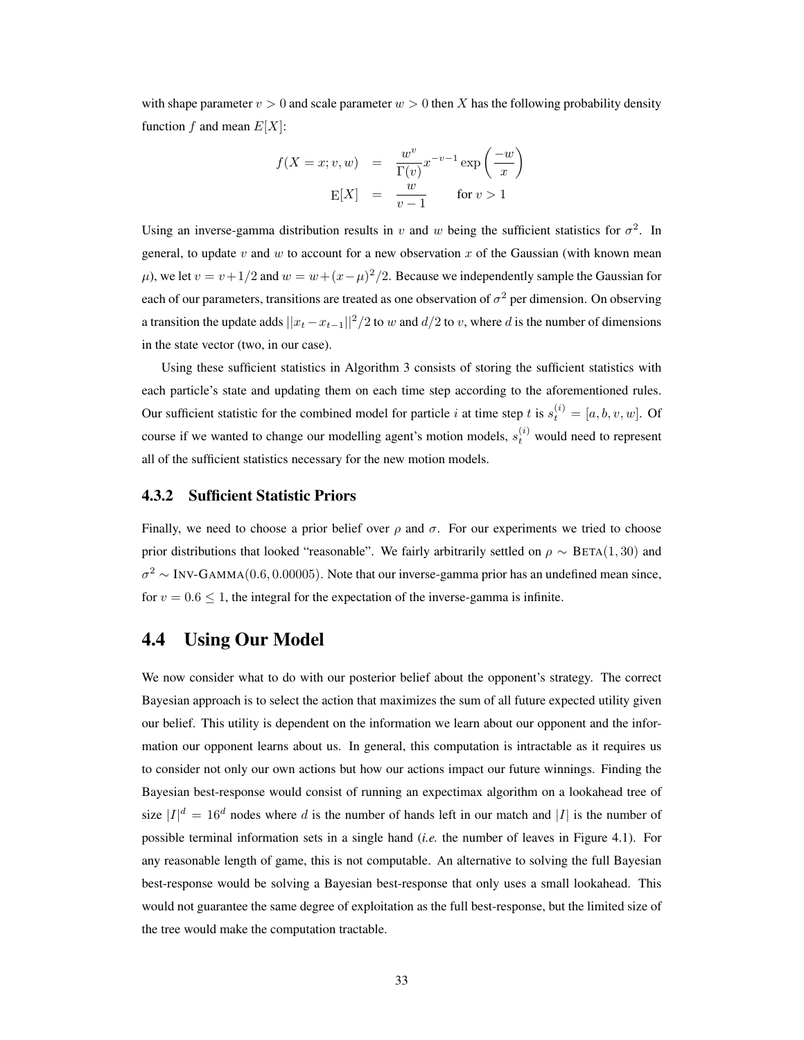with shape parameter  $v > 0$  and scale parameter  $w > 0$  then X has the following probability density function f and mean  $E[X]$ :

$$
f(X = x; v, w) = \frac{w^v}{\Gamma(v)} x^{-v-1} \exp\left(\frac{-w}{x}\right)
$$

$$
E[X] = \frac{w}{v-1} \quad \text{for } v > 1
$$

Using an inverse-gamma distribution results in v and w being the sufficient statistics for  $\sigma^2$ . In general, to update v and w to account for a new observation x of the Gaussian (with known mean  $\mu$ ), we let  $v = v + 1/2$  and  $w = w + (x - \mu)^2/2$ . Because we independently sample the Gaussian for each of our parameters, transitions are treated as one observation of  $\sigma^2$  per dimension. On observing a transition the update adds  $||x_t - x_{t-1}||^2/2$  to w and  $d/2$  to v, where d is the number of dimensions in the state vector (two, in our case).

Using these sufficient statistics in Algorithm 3 consists of storing the sufficient statistics with each particle's state and updating them on each time step according to the aforementioned rules. Our sufficient statistic for the combined model for particle i at time step t is  $s_t^{(i)} = [a, b, v, w]$ . Of course if we wanted to change our modelling agent's motion models,  $s_t^{(i)}$  would need to represent all of the sufficient statistics necessary for the new motion models.

### 4.3.2 Sufficient Statistic Priors

Finally, we need to choose a prior belief over  $\rho$  and  $\sigma$ . For our experiments we tried to choose prior distributions that looked "reasonable". We fairly arbitrarily settled on  $\rho \sim \text{BETA}(1, 30)$  and  $\sigma^2 \sim \text{INV-GAMMA}(0.6, 0.00005)$ . Note that our inverse-gamma prior has an undefined mean since, for  $v = 0.6 \le 1$ , the integral for the expectation of the inverse-gamma is infinite.

## 4.4 Using Our Model

We now consider what to do with our posterior belief about the opponent's strategy. The correct Bayesian approach is to select the action that maximizes the sum of all future expected utility given our belief. This utility is dependent on the information we learn about our opponent and the information our opponent learns about us. In general, this computation is intractable as it requires us to consider not only our own actions but how our actions impact our future winnings. Finding the Bayesian best-response would consist of running an expectimax algorithm on a lookahead tree of size  $|I|^d = 16^d$  nodes where d is the number of hands left in our match and |I| is the number of possible terminal information sets in a single hand (*i.e.* the number of leaves in Figure 4.1). For any reasonable length of game, this is not computable. An alternative to solving the full Bayesian best-response would be solving a Bayesian best-response that only uses a small lookahead. This would not guarantee the same degree of exploitation as the full best-response, but the limited size of the tree would make the computation tractable.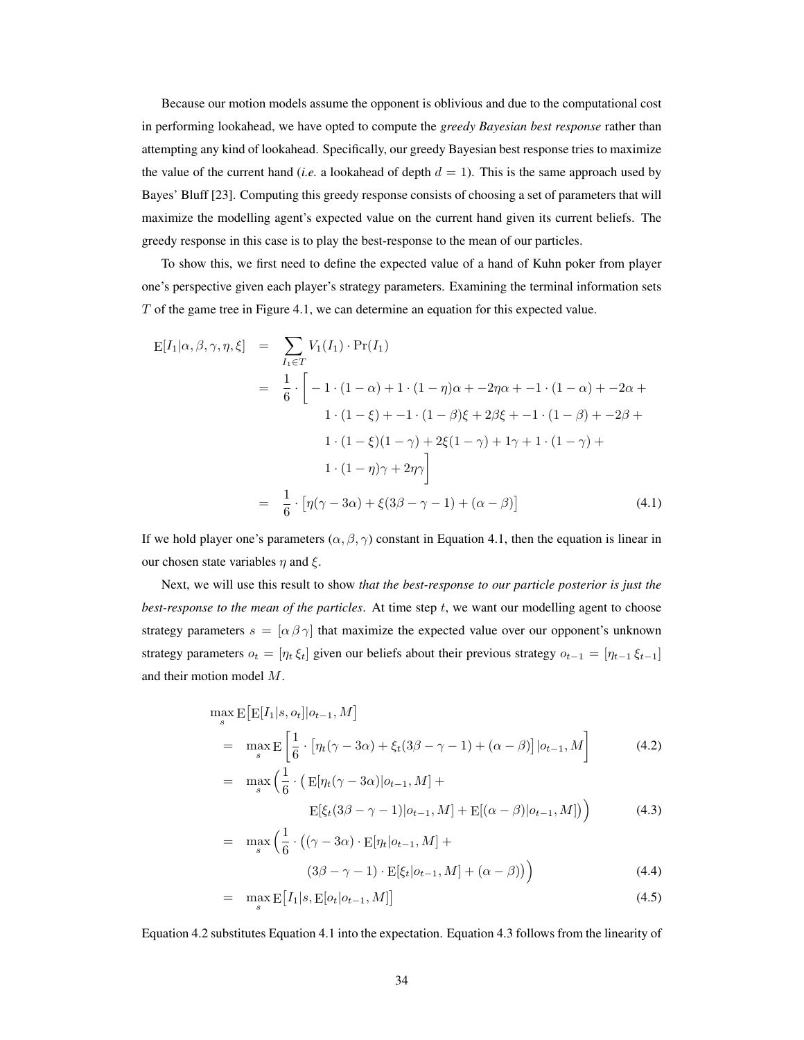Because our motion models assume the opponent is oblivious and due to the computational cost in performing lookahead, we have opted to compute the *greedy Bayesian best response* rather than attempting any kind of lookahead. Specifically, our greedy Bayesian best response tries to maximize the value of the current hand (*i.e.* a lookahead of depth  $d = 1$ ). This is the same approach used by Bayes' Bluff [23]. Computing this greedy response consists of choosing a set of parameters that will maximize the modelling agent's expected value on the current hand given its current beliefs. The greedy response in this case is to play the best-response to the mean of our particles.

To show this, we first need to define the expected value of a hand of Kuhn poker from player one's perspective given each player's strategy parameters. Examining the terminal information sets T of the game tree in Figure 4.1, we can determine an equation for this expected value.

$$
E[I_1|\alpha, \beta, \gamma, \eta, \xi] = \sum_{I_1 \in T} V_1(I_1) \cdot Pr(I_1)
$$
  
=  $\frac{1}{6} \cdot \left[ -1 \cdot (1 - \alpha) + 1 \cdot (1 - \eta)\alpha + -2\eta\alpha + -1 \cdot (1 - \alpha) + -2\alpha + 1 \cdot (1 - \xi) + -1 \cdot (1 - \beta)\xi + 2\beta\xi + -1 \cdot (1 - \beta) + -2\beta + 1 \cdot (1 - \xi)(1 - \gamma) + 2\xi(1 - \gamma) + 1\gamma + 1 \cdot (1 - \gamma) + 1 \cdot (1 - \eta)\gamma + 2\eta\gamma \right]$   
=  $\frac{1}{6} \cdot \left[ \eta(\gamma - 3\alpha) + \xi(3\beta - \gamma - 1) + (\alpha - \beta) \right]$  (4.1)

If we hold player one's parameters  $(\alpha, \beta, \gamma)$  constant in Equation 4.1, then the equation is linear in our chosen state variables  $\eta$  and  $\xi$ .

Next, we will use this result to show *that the best-response to our particle posterior is just the best-response to the mean of the particles*. At time step t, we want our modelling agent to choose strategy parameters  $s = [\alpha \beta \gamma]$  that maximize the expected value over our opponent's unknown strategy parameters  $o_t = [\eta_t \xi_t]$  given our beliefs about their previous strategy  $o_{t-1} = [\eta_{t-1} \xi_{t-1}]$ and their motion model M.

$$
\max_{s} \mathbb{E} \big[ \mathbb{E} [I_1|s, o_t]|o_{t-1}, M \big] \n= \max_{s} \mathbb{E} \left[ \frac{1}{6} \cdot \left[ \eta_t(\gamma - 3\alpha) + \xi_t(3\beta - \gamma - 1) + (\alpha - \beta) \right] |o_{t-1}, M \right]
$$
\n(4.2)

$$
= \max_{s} \left( \frac{1}{6} \cdot \left( \mathbf{E}[\eta_t(\gamma - 3\alpha)|o_{t-1}, M] + \mathbf{E}[(\alpha - \beta)|o_{t-1}, M] \right) \right)
$$
(4.3)

$$
= \max_{s} \left( \frac{1}{6} \cdot \left( (\gamma - 3\alpha) \cdot \mathbf{E}[\eta_t | o_{t-1}, M] + (3\beta - \gamma - 1) \cdot \mathbf{E}[\xi_t | o_{t-1}, M] + (\alpha - \beta) \right) \right)
$$
(4.4)

$$
= \max_{s} \mathop{\mathrm{E}}\left[I_1|s, \mathop{\mathrm{E}}[o_t|o_{t-1}, M]\right]
$$
\n
$$
(4.5)
$$

Equation 4.2 substitutes Equation 4.1 into the expectation. Equation 4.3 follows from the linearity of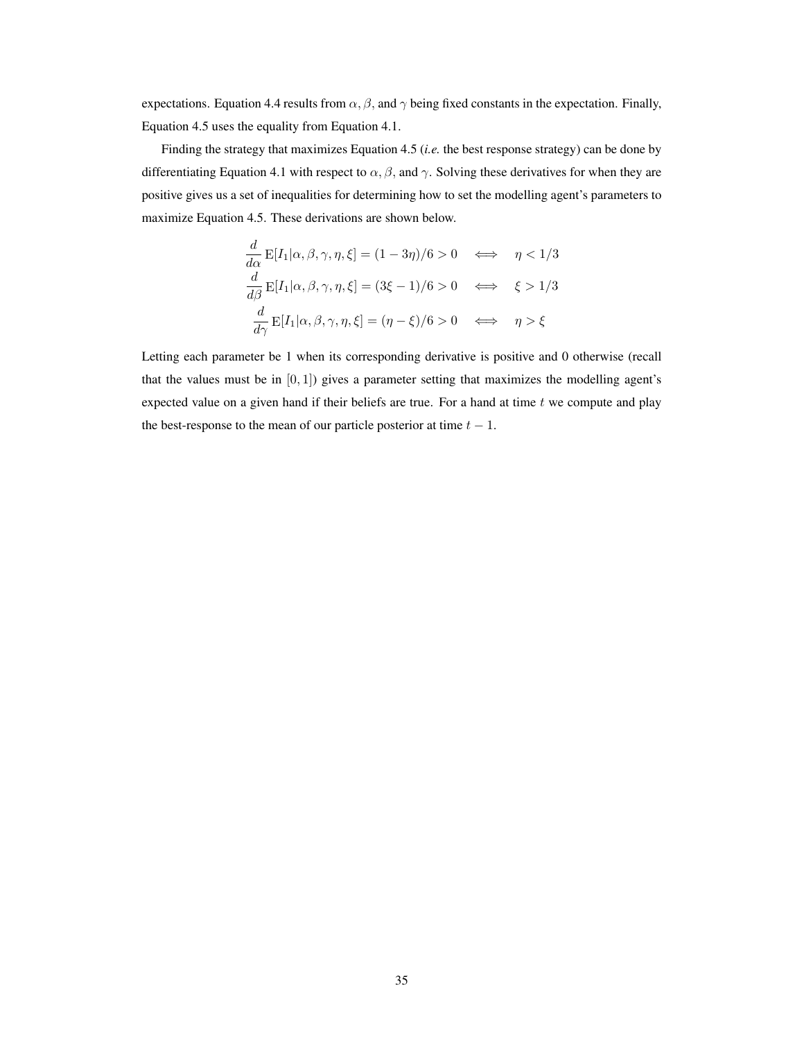expectations. Equation 4.4 results from  $\alpha$ ,  $\beta$ , and  $\gamma$  being fixed constants in the expectation. Finally, Equation 4.5 uses the equality from Equation 4.1.

Finding the strategy that maximizes Equation 4.5 (*i.e.* the best response strategy) can be done by differentiating Equation 4.1 with respect to  $\alpha$ ,  $\beta$ , and  $\gamma$ . Solving these derivatives for when they are positive gives us a set of inequalities for determining how to set the modelling agent's parameters to maximize Equation 4.5. These derivations are shown below.

$$
\frac{d}{d\alpha} \mathbf{E}[I_1 | \alpha, \beta, \gamma, \eta, \xi] = (1 - 3\eta)/6 > 0 \iff \eta < 1/3
$$
  

$$
\frac{d}{d\beta} \mathbf{E}[I_1 | \alpha, \beta, \gamma, \eta, \xi] = (3\xi - 1)/6 > 0 \iff \xi > 1/3
$$
  

$$
\frac{d}{d\gamma} \mathbf{E}[I_1 | \alpha, \beta, \gamma, \eta, \xi] = (\eta - \xi)/6 > 0 \iff \eta > \xi
$$

Letting each parameter be 1 when its corresponding derivative is positive and 0 otherwise (recall that the values must be in  $[0, 1]$ ) gives a parameter setting that maximizes the modelling agent's expected value on a given hand if their beliefs are true. For a hand at time  $t$  we compute and play the best-response to the mean of our particle posterior at time  $t - 1$ .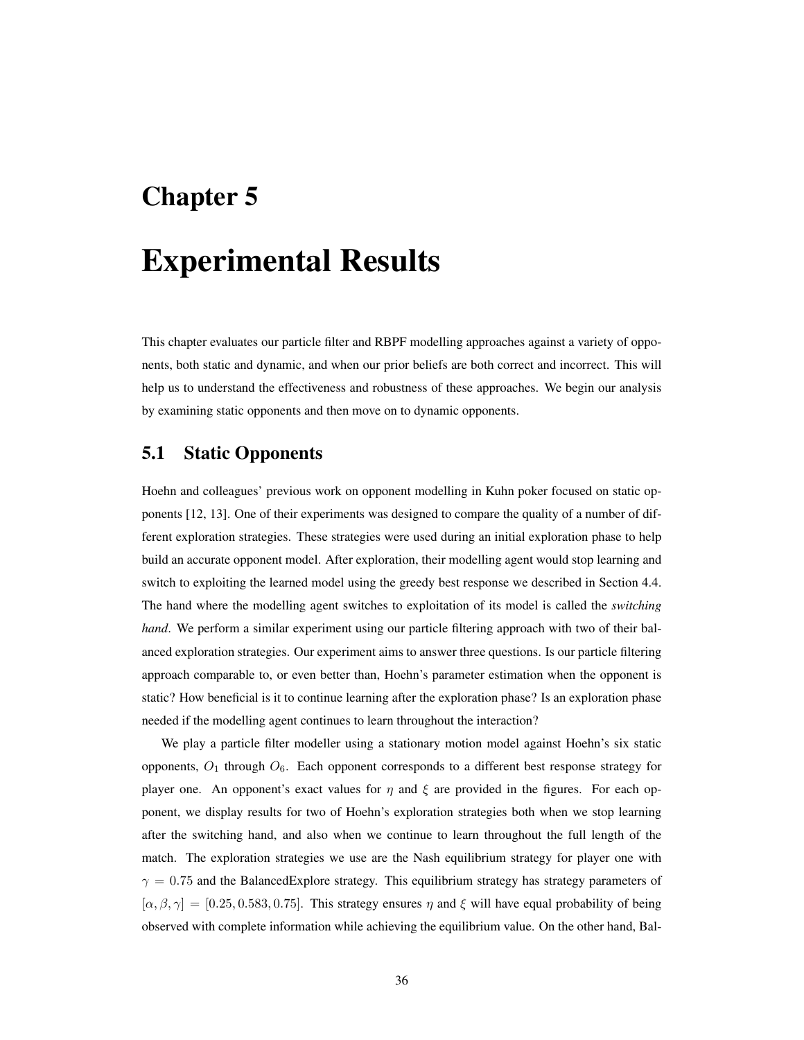## Chapter 5

# Experimental Results

This chapter evaluates our particle filter and RBPF modelling approaches against a variety of opponents, both static and dynamic, and when our prior beliefs are both correct and incorrect. This will help us to understand the effectiveness and robustness of these approaches. We begin our analysis by examining static opponents and then move on to dynamic opponents.

## 5.1 Static Opponents

Hoehn and colleagues' previous work on opponent modelling in Kuhn poker focused on static opponents [12, 13]. One of their experiments was designed to compare the quality of a number of different exploration strategies. These strategies were used during an initial exploration phase to help build an accurate opponent model. After exploration, their modelling agent would stop learning and switch to exploiting the learned model using the greedy best response we described in Section 4.4. The hand where the modelling agent switches to exploitation of its model is called the *switching hand*. We perform a similar experiment using our particle filtering approach with two of their balanced exploration strategies. Our experiment aims to answer three questions. Is our particle filtering approach comparable to, or even better than, Hoehn's parameter estimation when the opponent is static? How beneficial is it to continue learning after the exploration phase? Is an exploration phase needed if the modelling agent continues to learn throughout the interaction?

We play a particle filter modeller using a stationary motion model against Hoehn's six static opponents,  $O_1$  through  $O_6$ . Each opponent corresponds to a different best response strategy for player one. An opponent's exact values for  $\eta$  and  $\xi$  are provided in the figures. For each opponent, we display results for two of Hoehn's exploration strategies both when we stop learning after the switching hand, and also when we continue to learn throughout the full length of the match. The exploration strategies we use are the Nash equilibrium strategy for player one with  $\gamma = 0.75$  and the BalancedExplore strategy. This equilibrium strategy has strategy parameters of  $[\alpha, \beta, \gamma] = [0.25, 0.583, 0.75]$ . This strategy ensures  $\eta$  and  $\xi$  will have equal probability of being observed with complete information while achieving the equilibrium value. On the other hand, Bal-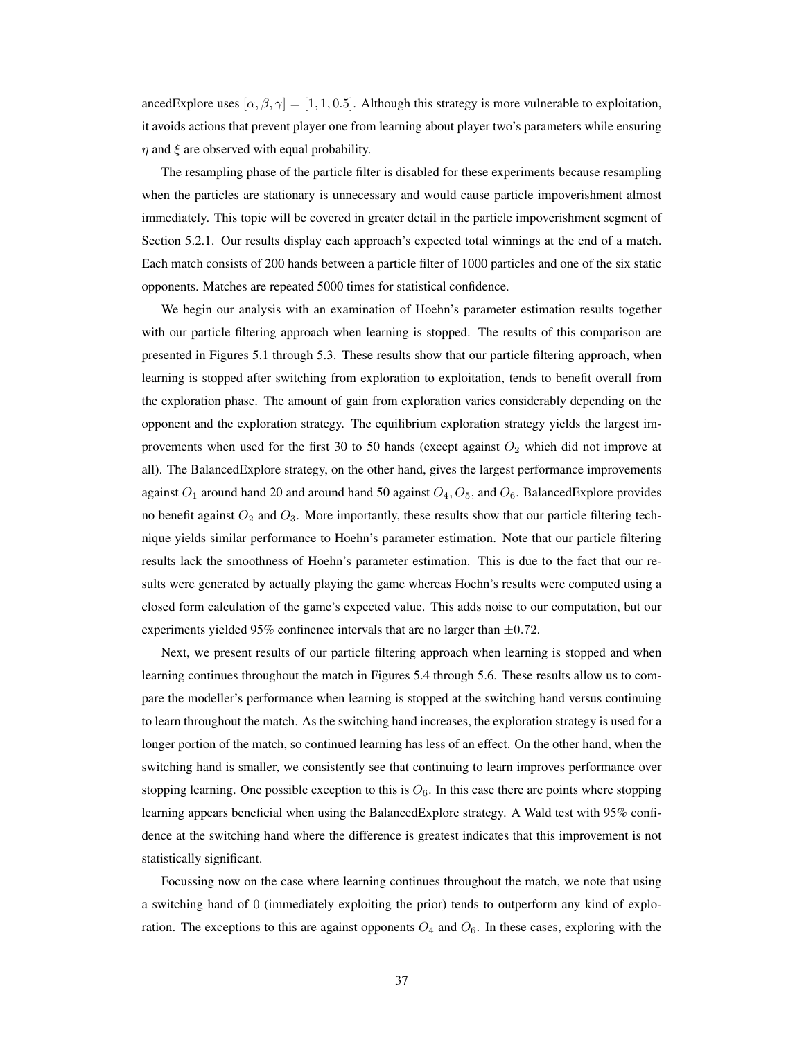ancedExplore uses  $[\alpha, \beta, \gamma] = [1, 1, 0.5]$ . Although this strategy is more vulnerable to exploitation, it avoids actions that prevent player one from learning about player two's parameters while ensuring  $\eta$  and  $\xi$  are observed with equal probability.

The resampling phase of the particle filter is disabled for these experiments because resampling when the particles are stationary is unnecessary and would cause particle impoverishment almost immediately. This topic will be covered in greater detail in the particle impoverishment segment of Section 5.2.1. Our results display each approach's expected total winnings at the end of a match. Each match consists of 200 hands between a particle filter of 1000 particles and one of the six static opponents. Matches are repeated 5000 times for statistical confidence.

We begin our analysis with an examination of Hoehn's parameter estimation results together with our particle filtering approach when learning is stopped. The results of this comparison are presented in Figures 5.1 through 5.3. These results show that our particle filtering approach, when learning is stopped after switching from exploration to exploitation, tends to benefit overall from the exploration phase. The amount of gain from exploration varies considerably depending on the opponent and the exploration strategy. The equilibrium exploration strategy yields the largest improvements when used for the first 30 to 50 hands (except against  $O_2$  which did not improve at all). The BalancedExplore strategy, on the other hand, gives the largest performance improvements against  $O_1$  around hand 20 and around hand 50 against  $O_4$ ,  $O_5$ , and  $O_6$ . BalancedExplore provides no benefit against  $O_2$  and  $O_3$ . More importantly, these results show that our particle filtering technique yields similar performance to Hoehn's parameter estimation. Note that our particle filtering results lack the smoothness of Hoehn's parameter estimation. This is due to the fact that our results were generated by actually playing the game whereas Hoehn's results were computed using a closed form calculation of the game's expected value. This adds noise to our computation, but our experiments yielded 95% confinence intervals that are no larger than  $\pm 0.72$ .

Next, we present results of our particle filtering approach when learning is stopped and when learning continues throughout the match in Figures 5.4 through 5.6. These results allow us to compare the modeller's performance when learning is stopped at the switching hand versus continuing to learn throughout the match. As the switching hand increases, the exploration strategy is used for a longer portion of the match, so continued learning has less of an effect. On the other hand, when the switching hand is smaller, we consistently see that continuing to learn improves performance over stopping learning. One possible exception to this is  $O_6$ . In this case there are points where stopping learning appears beneficial when using the BalancedExplore strategy. A Wald test with 95% confidence at the switching hand where the difference is greatest indicates that this improvement is not statistically significant.

Focussing now on the case where learning continues throughout the match, we note that using a switching hand of 0 (immediately exploiting the prior) tends to outperform any kind of exploration. The exceptions to this are against opponents  $O_4$  and  $O_6$ . In these cases, exploring with the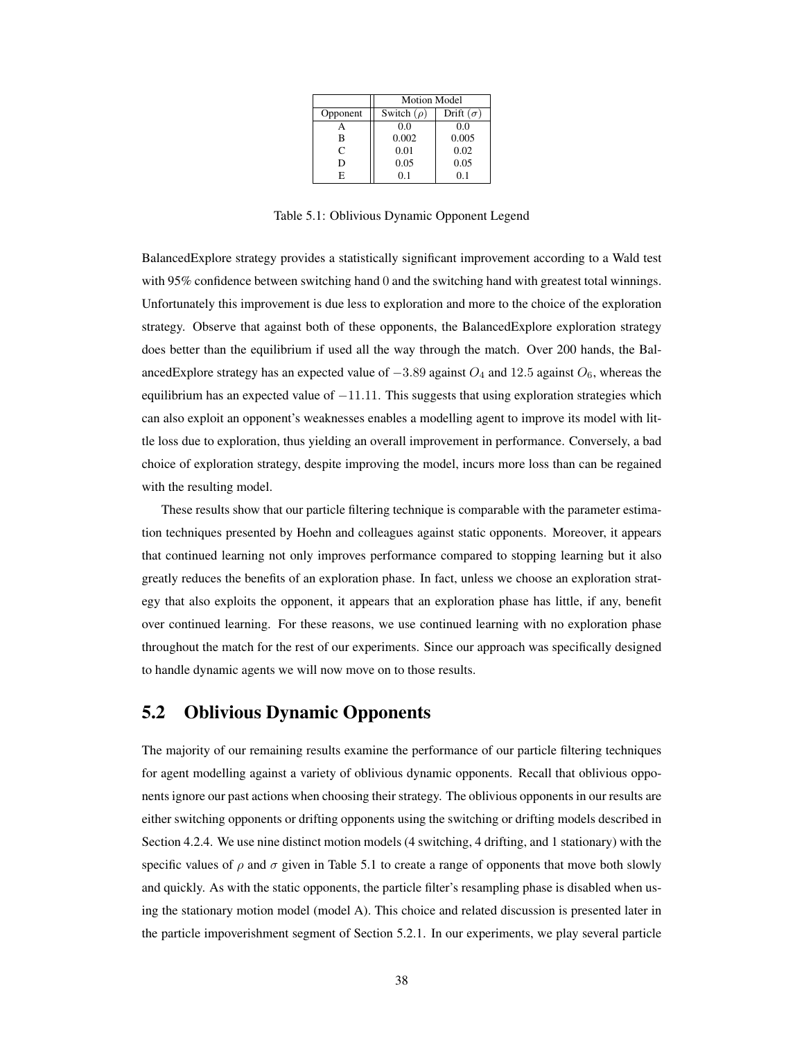|          | Motion Model    |                  |
|----------|-----------------|------------------|
| Opponent | Switch $(\rho)$ | Drift $(\sigma)$ |
|          | 0.0             | 0.0              |
| в        | 0.002           | 0.005            |
| C        | 0.01            | 0.02             |
| D        | 0.05            | 0.05             |
| F.       | 0.1             | 0.1              |

Table 5.1: Oblivious Dynamic Opponent Legend

BalancedExplore strategy provides a statistically significant improvement according to a Wald test with 95% confidence between switching hand 0 and the switching hand with greatest total winnings. Unfortunately this improvement is due less to exploration and more to the choice of the exploration strategy. Observe that against both of these opponents, the BalancedExplore exploration strategy does better than the equilibrium if used all the way through the match. Over 200 hands, the BalancedExplore strategy has an expected value of  $-3.89$  against  $O_4$  and 12.5 against  $O_6$ , whereas the equilibrium has an expected value of −11.11. This suggests that using exploration strategies which can also exploit an opponent's weaknesses enables a modelling agent to improve its model with little loss due to exploration, thus yielding an overall improvement in performance. Conversely, a bad choice of exploration strategy, despite improving the model, incurs more loss than can be regained with the resulting model.

These results show that our particle filtering technique is comparable with the parameter estimation techniques presented by Hoehn and colleagues against static opponents. Moreover, it appears that continued learning not only improves performance compared to stopping learning but it also greatly reduces the benefits of an exploration phase. In fact, unless we choose an exploration strategy that also exploits the opponent, it appears that an exploration phase has little, if any, benefit over continued learning. For these reasons, we use continued learning with no exploration phase throughout the match for the rest of our experiments. Since our approach was specifically designed to handle dynamic agents we will now move on to those results.

## 5.2 Oblivious Dynamic Opponents

The majority of our remaining results examine the performance of our particle filtering techniques for agent modelling against a variety of oblivious dynamic opponents. Recall that oblivious opponents ignore our past actions when choosing their strategy. The oblivious opponents in our results are either switching opponents or drifting opponents using the switching or drifting models described in Section 4.2.4. We use nine distinct motion models (4 switching, 4 drifting, and 1 stationary) with the specific values of  $\rho$  and  $\sigma$  given in Table 5.1 to create a range of opponents that move both slowly and quickly. As with the static opponents, the particle filter's resampling phase is disabled when using the stationary motion model (model A). This choice and related discussion is presented later in the particle impoverishment segment of Section 5.2.1. In our experiments, we play several particle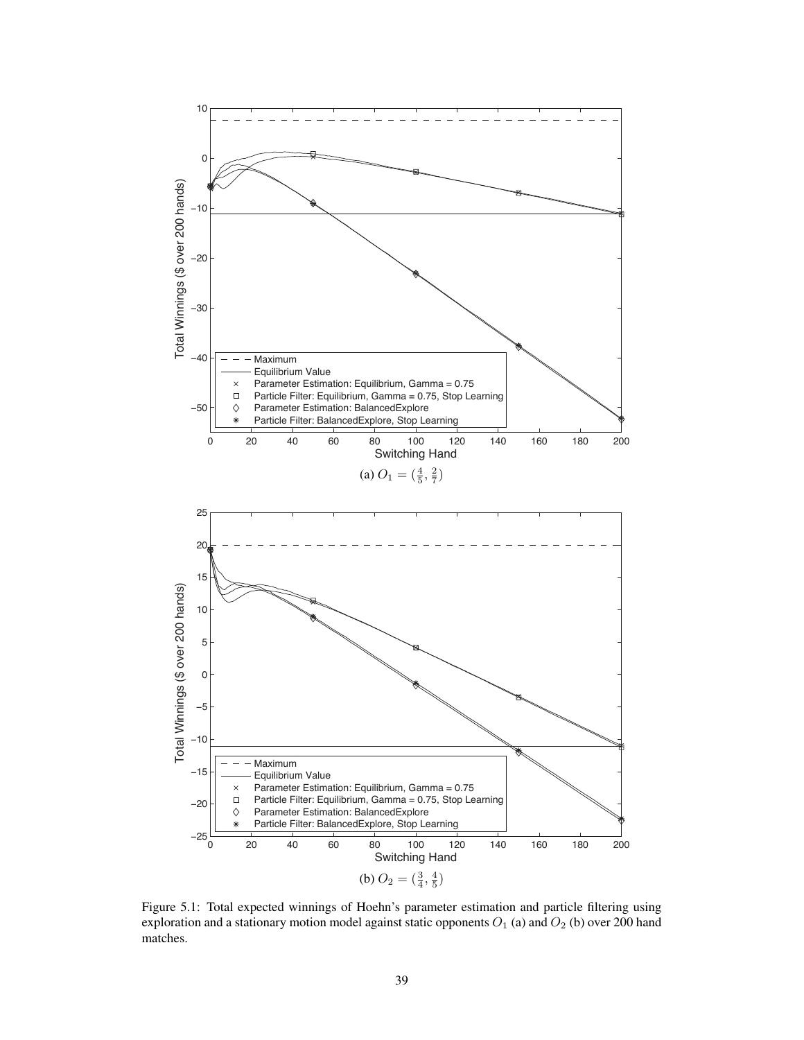

Figure 5.1: Total expected winnings of Hoehn's parameter estimation and particle filtering using exploration and a stationary motion model against static opponents  $O_1$  (a) and  $O_2$  (b) over 200 hand matches.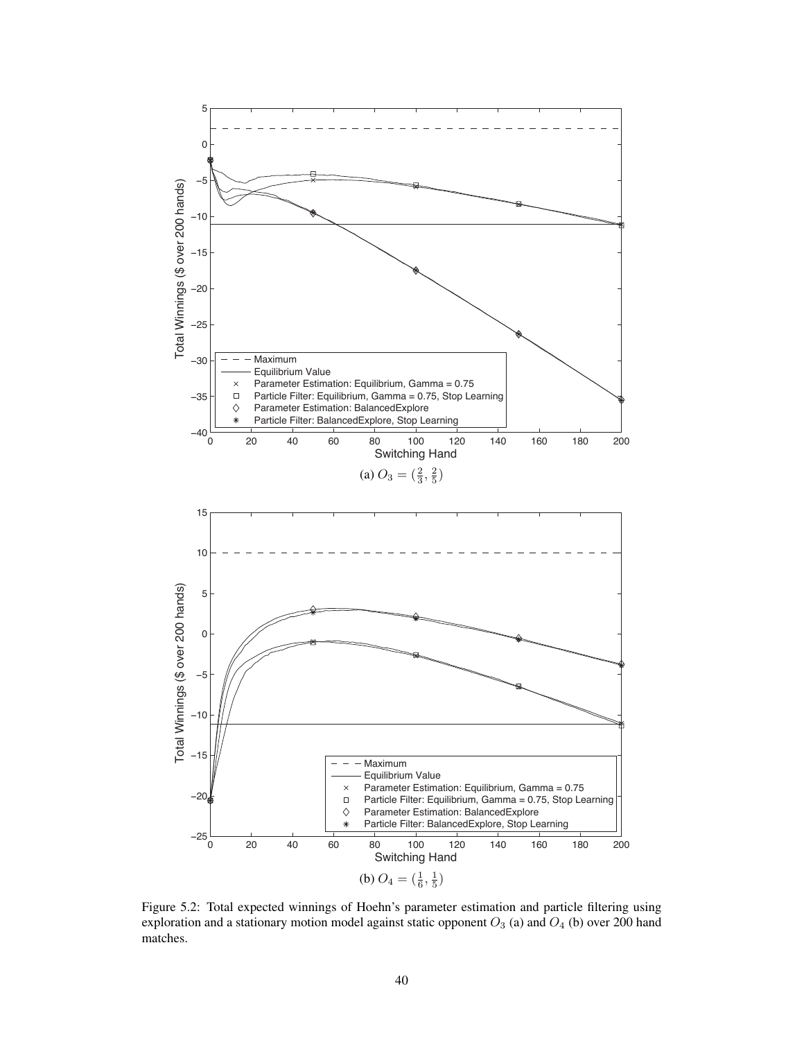

Figure 5.2: Total expected winnings of Hoehn's parameter estimation and particle filtering using exploration and a stationary motion model against static opponent  $O_3$  (a) and  $O_4$  (b) over 200 hand matches.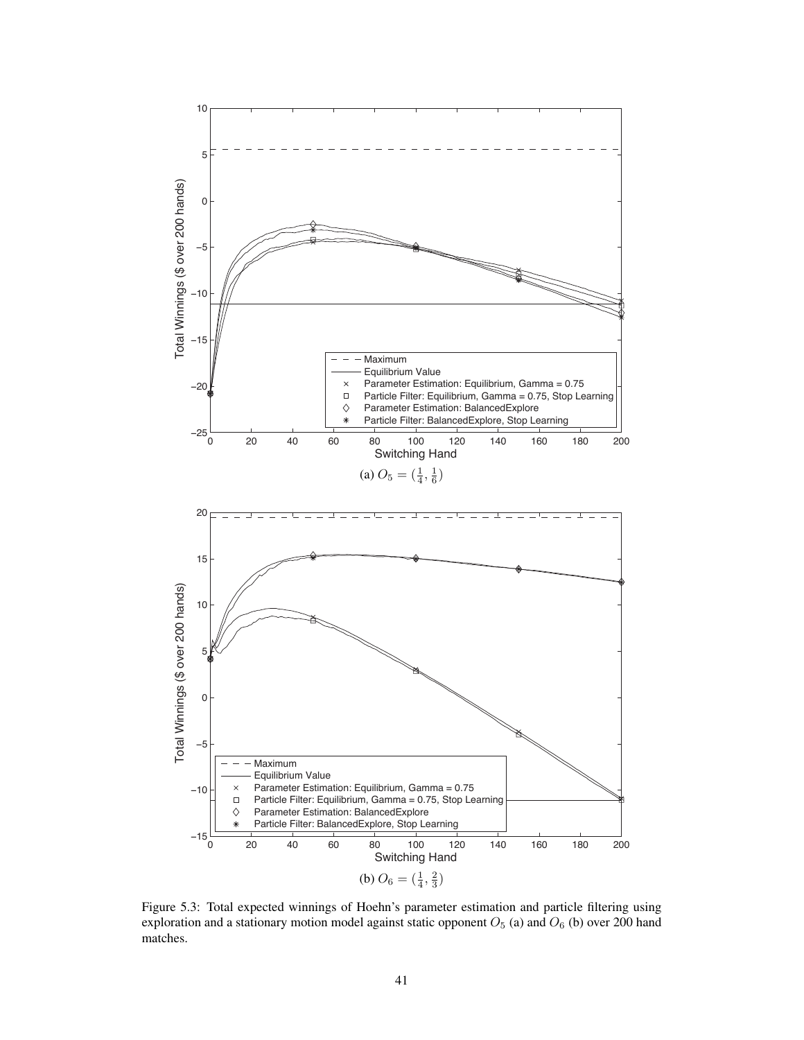

Figure 5.3: Total expected winnings of Hoehn's parameter estimation and particle filtering using exploration and a stationary motion model against static opponent  $O_5$  (a) and  $O_6$  (b) over 200 hand matches.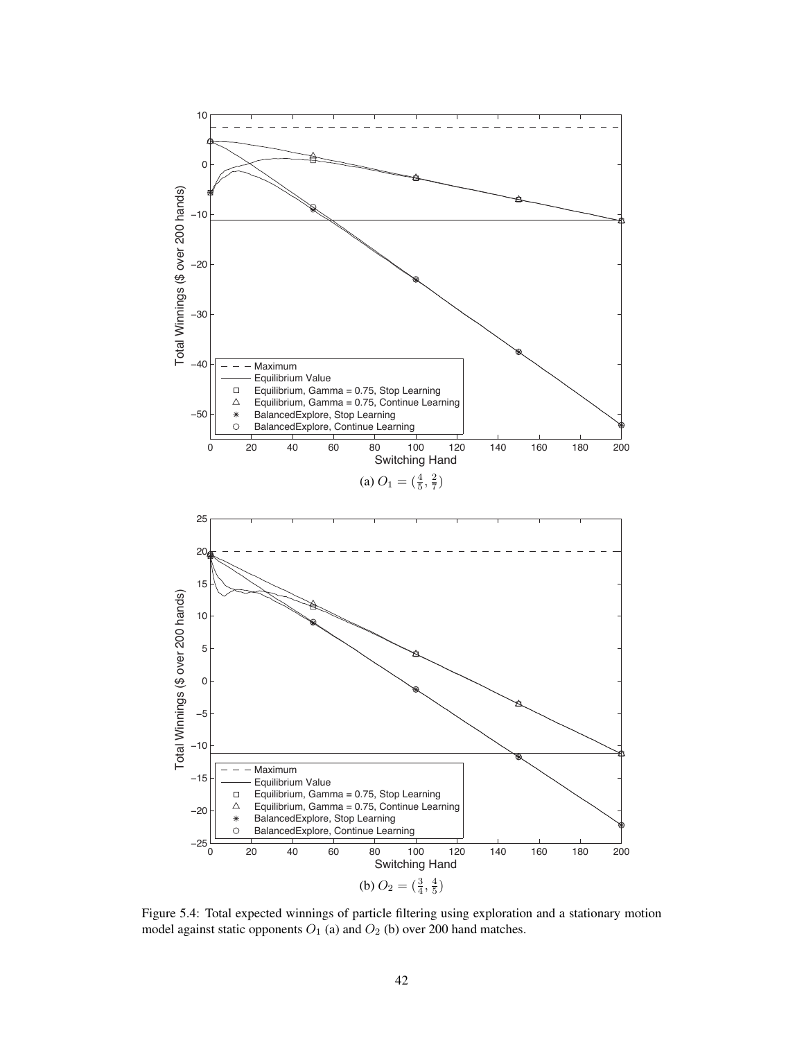

Figure 5.4: Total expected winnings of particle filtering using exploration and a stationary motion model against static opponents  $O_1$  (a) and  $O_2$  (b) over 200 hand matches.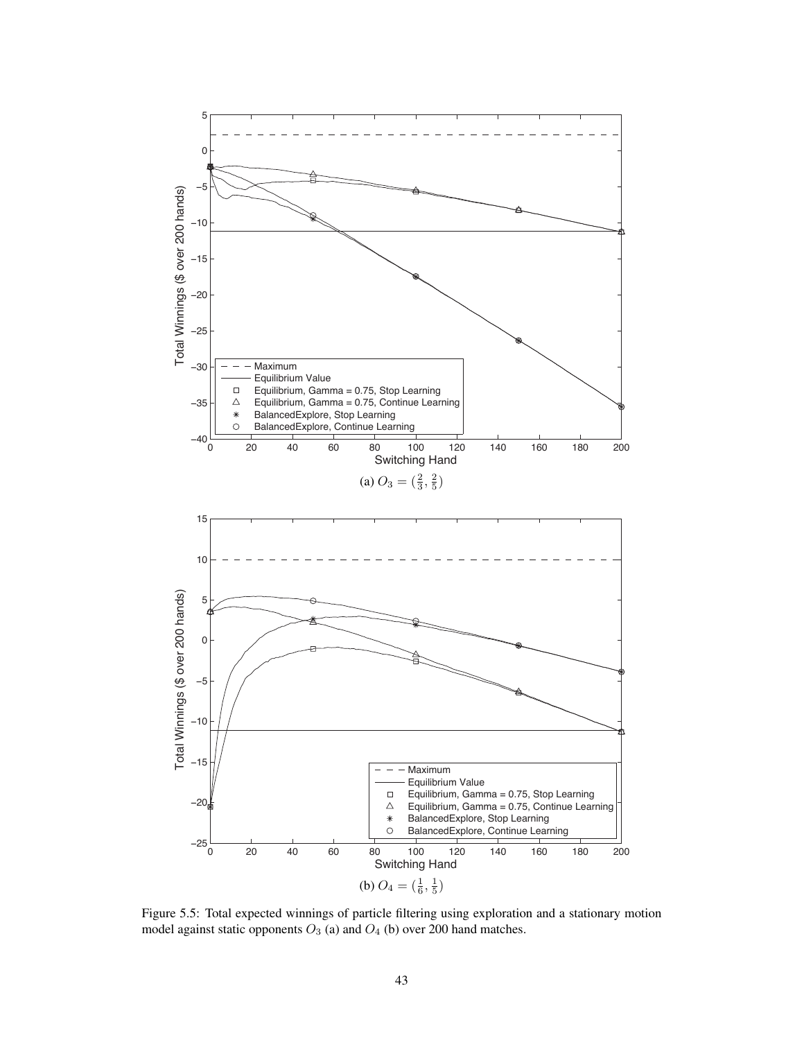

Figure 5.5: Total expected winnings of particle filtering using exploration and a stationary motion model against static opponents  $O_3$  (a) and  $O_4$  (b) over 200 hand matches.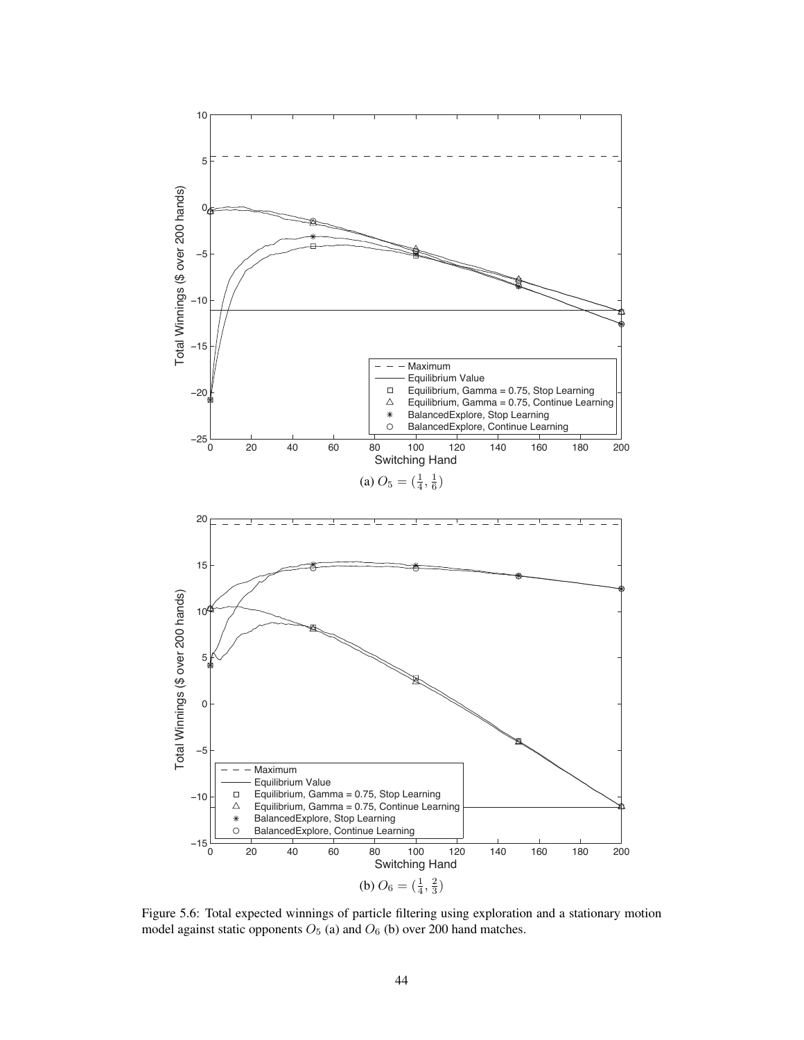

Figure 5.6: Total expected winnings of particle filtering using exploration and a stationary motion model against static opponents  $O_5$  (a) and  $O_6$  (b) over 200 hand matches.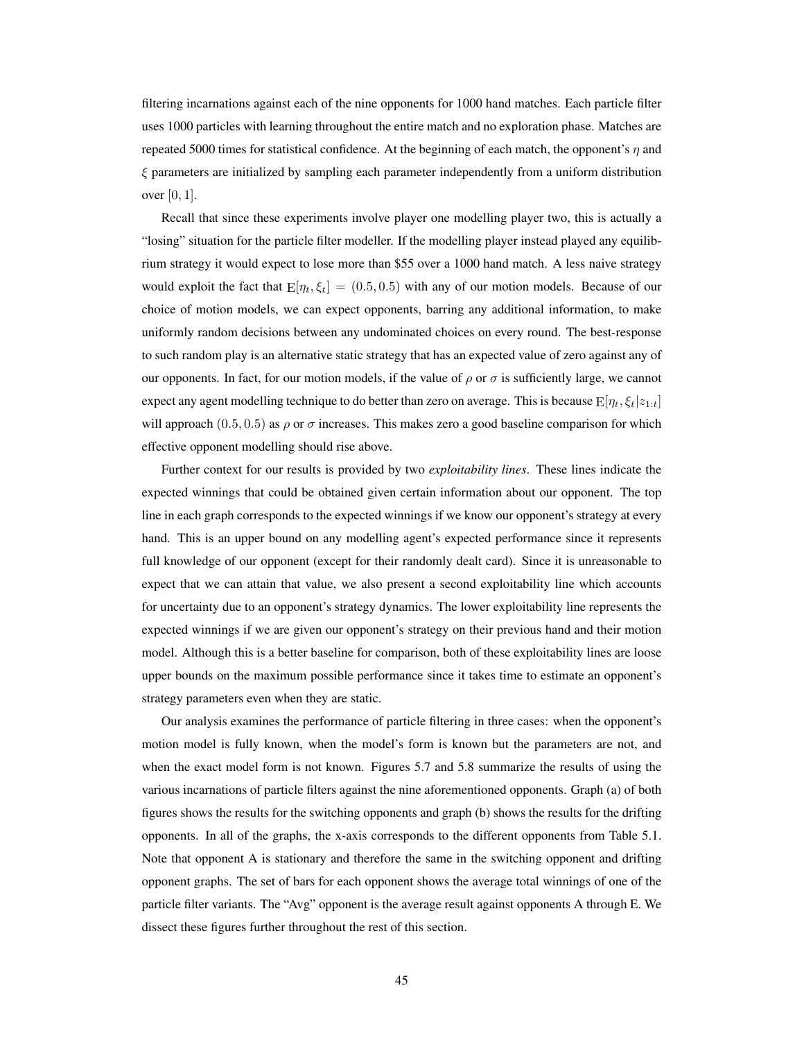filtering incarnations against each of the nine opponents for 1000 hand matches. Each particle filter uses 1000 particles with learning throughout the entire match and no exploration phase. Matches are repeated 5000 times for statistical confidence. At the beginning of each match, the opponent's  $\eta$  and  $\xi$  parameters are initialized by sampling each parameter independently from a uniform distribution over [0, 1].

Recall that since these experiments involve player one modelling player two, this is actually a "losing" situation for the particle filter modeller. If the modelling player instead played any equilibrium strategy it would expect to lose more than \$55 over a 1000 hand match. A less naive strategy would exploit the fact that  $E[\eta_t, \xi_t] = (0.5, 0.5)$  with any of our motion models. Because of our choice of motion models, we can expect opponents, barring any additional information, to make uniformly random decisions between any undominated choices on every round. The best-response to such random play is an alternative static strategy that has an expected value of zero against any of our opponents. In fact, for our motion models, if the value of  $\rho$  or  $\sigma$  is sufficiently large, we cannot expect any agent modelling technique to do better than zero on average. This is because  $E[\eta_t, \xi_t|z_{1:t}]$ will approach (0.5, 0.5) as  $\rho$  or  $\sigma$  increases. This makes zero a good baseline comparison for which effective opponent modelling should rise above.

Further context for our results is provided by two *exploitability lines*. These lines indicate the expected winnings that could be obtained given certain information about our opponent. The top line in each graph corresponds to the expected winnings if we know our opponent's strategy at every hand. This is an upper bound on any modelling agent's expected performance since it represents full knowledge of our opponent (except for their randomly dealt card). Since it is unreasonable to expect that we can attain that value, we also present a second exploitability line which accounts for uncertainty due to an opponent's strategy dynamics. The lower exploitability line represents the expected winnings if we are given our opponent's strategy on their previous hand and their motion model. Although this is a better baseline for comparison, both of these exploitability lines are loose upper bounds on the maximum possible performance since it takes time to estimate an opponent's strategy parameters even when they are static.

Our analysis examines the performance of particle filtering in three cases: when the opponent's motion model is fully known, when the model's form is known but the parameters are not, and when the exact model form is not known. Figures 5.7 and 5.8 summarize the results of using the various incarnations of particle filters against the nine aforementioned opponents. Graph (a) of both figures shows the results for the switching opponents and graph (b) shows the results for the drifting opponents. In all of the graphs, the x-axis corresponds to the different opponents from Table 5.1. Note that opponent A is stationary and therefore the same in the switching opponent and drifting opponent graphs. The set of bars for each opponent shows the average total winnings of one of the particle filter variants. The "Avg" opponent is the average result against opponents A through E. We dissect these figures further throughout the rest of this section.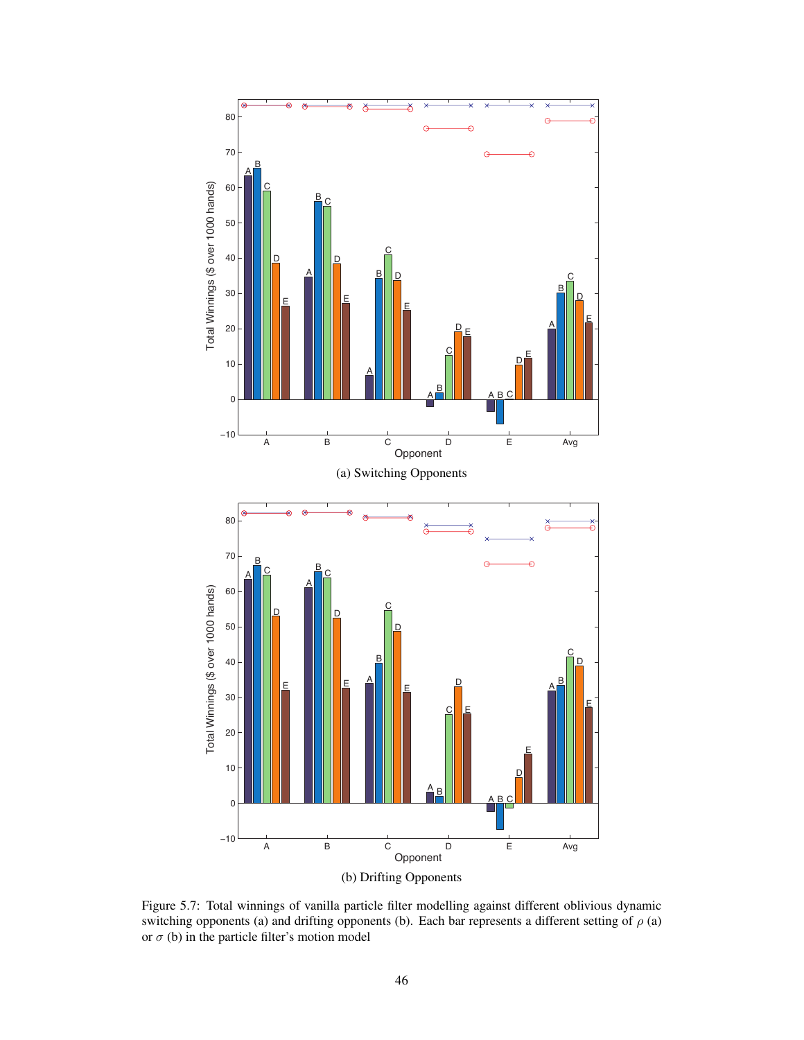

Figure 5.7: Total winnings of vanilla particle filter modelling against different oblivious dynamic switching opponents (a) and drifting opponents (b). Each bar represents a different setting of  $\rho$  (a) or  $\sigma$  (b) in the particle filter's motion model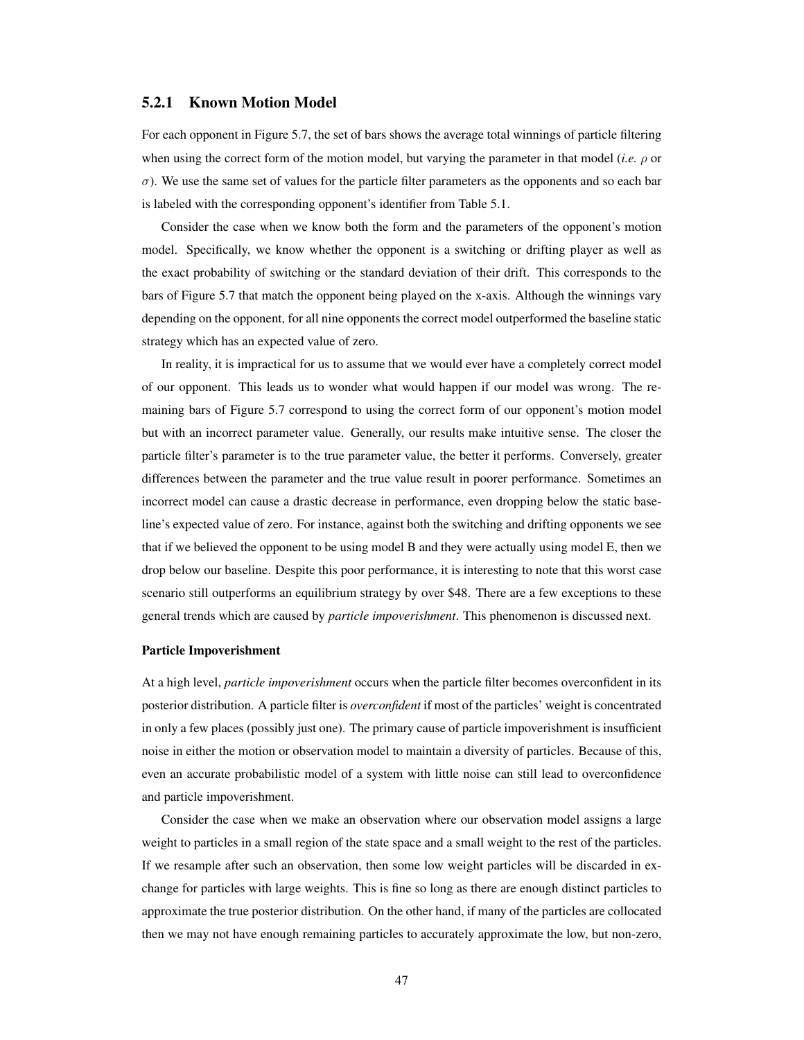### 5.2.1 Known Motion Model

For each opponent in Figure 5.7, the set of bars shows the average total winnings of particle filtering when using the correct form of the motion model, but varying the parameter in that model (*i.e.* ρ or  $\sigma$ ). We use the same set of values for the particle filter parameters as the opponents and so each bar is labeled with the corresponding opponent's identifier from Table 5.1.

Consider the case when we know both the form and the parameters of the opponent's motion model. Specifically, we know whether the opponent is a switching or drifting player as well as the exact probability of switching or the standard deviation of their drift. This corresponds to the bars of Figure 5.7 that match the opponent being played on the x-axis. Although the winnings vary depending on the opponent, for all nine opponents the correct model outperformed the baseline static strategy which has an expected value of zero.

In reality, it is impractical for us to assume that we would ever have a completely correct model of our opponent. This leads us to wonder what would happen if our model was wrong. The remaining bars of Figure 5.7 correspond to using the correct form of our opponent's motion model but with an incorrect parameter value. Generally, our results make intuitive sense. The closer the particle filter's parameter is to the true parameter value, the better it performs. Conversely, greater differences between the parameter and the true value result in poorer performance. Sometimes an incorrect model can cause a drastic decrease in performance, even dropping below the static baseline's expected value of zero. For instance, against both the switching and drifting opponents we see that if we believed the opponent to be using model B and they were actually using model E, then we drop below our baseline. Despite this poor performance, it is interesting to note that this worst case scenario still outperforms an equilibrium strategy by over \$48. There are a few exceptions to these general trends which are caused by *particle impoverishment*. This phenomenon is discussed next.

#### Particle Impoverishment

At a high level, *particle impoverishment* occurs when the particle filter becomes overconfident in its posterior distribution. A particle filter is *overconfident* if most of the particles' weight is concentrated in only a few places (possibly just one). The primary cause of particle impoverishment is insufficient noise in either the motion or observation model to maintain a diversity of particles. Because of this, even an accurate probabilistic model of a system with little noise can still lead to overconfidence and particle impoverishment.

Consider the case when we make an observation where our observation model assigns a large weight to particles in a small region of the state space and a small weight to the rest of the particles. If we resample after such an observation, then some low weight particles will be discarded in exchange for particles with large weights. This is fine so long as there are enough distinct particles to approximate the true posterior distribution. On the other hand, if many of the particles are collocated then we may not have enough remaining particles to accurately approximate the low, but non-zero,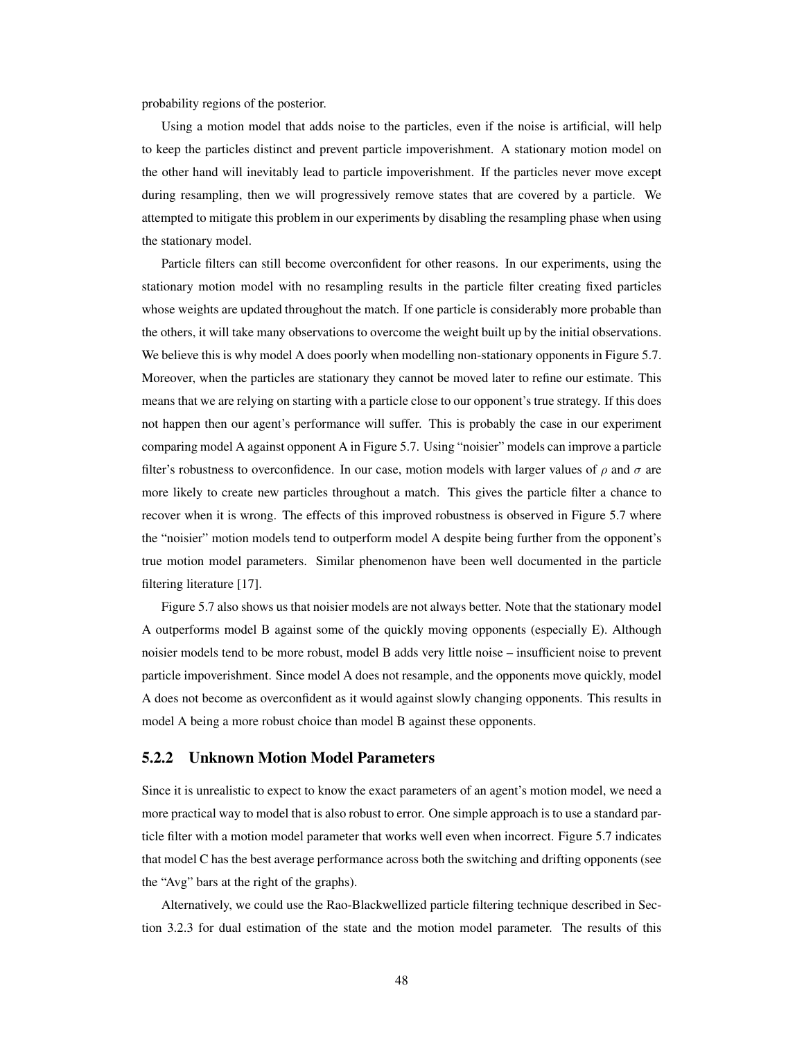probability regions of the posterior.

Using a motion model that adds noise to the particles, even if the noise is artificial, will help to keep the particles distinct and prevent particle impoverishment. A stationary motion model on the other hand will inevitably lead to particle impoverishment. If the particles never move except during resampling, then we will progressively remove states that are covered by a particle. We attempted to mitigate this problem in our experiments by disabling the resampling phase when using the stationary model.

Particle filters can still become overconfident for other reasons. In our experiments, using the stationary motion model with no resampling results in the particle filter creating fixed particles whose weights are updated throughout the match. If one particle is considerably more probable than the others, it will take many observations to overcome the weight built up by the initial observations. We believe this is why model A does poorly when modelling non-stationary opponents in Figure 5.7. Moreover, when the particles are stationary they cannot be moved later to refine our estimate. This means that we are relying on starting with a particle close to our opponent's true strategy. If this does not happen then our agent's performance will suffer. This is probably the case in our experiment comparing model A against opponent A in Figure 5.7. Using "noisier" models can improve a particle filter's robustness to overconfidence. In our case, motion models with larger values of  $\rho$  and  $\sigma$  are more likely to create new particles throughout a match. This gives the particle filter a chance to recover when it is wrong. The effects of this improved robustness is observed in Figure 5.7 where the "noisier" motion models tend to outperform model A despite being further from the opponent's true motion model parameters. Similar phenomenon have been well documented in the particle filtering literature [17].

Figure 5.7 also shows us that noisier models are not always better. Note that the stationary model A outperforms model B against some of the quickly moving opponents (especially E). Although noisier models tend to be more robust, model B adds very little noise – insufficient noise to prevent particle impoverishment. Since model A does not resample, and the opponents move quickly, model A does not become as overconfident as it would against slowly changing opponents. This results in model A being a more robust choice than model B against these opponents.

### 5.2.2 Unknown Motion Model Parameters

Since it is unrealistic to expect to know the exact parameters of an agent's motion model, we need a more practical way to model that is also robust to error. One simple approach is to use a standard particle filter with a motion model parameter that works well even when incorrect. Figure 5.7 indicates that model C has the best average performance across both the switching and drifting opponents (see the "Avg" bars at the right of the graphs).

Alternatively, we could use the Rao-Blackwellized particle filtering technique described in Section 3.2.3 for dual estimation of the state and the motion model parameter. The results of this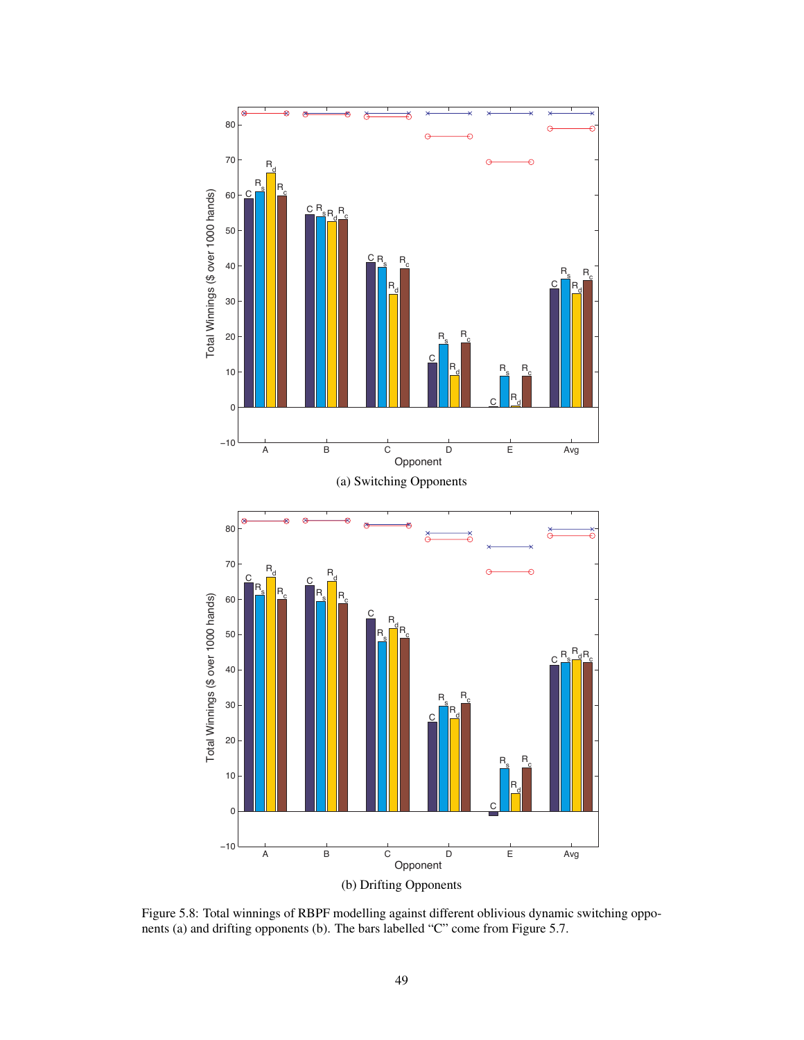

Figure 5.8: Total winnings of RBPF modelling against different oblivious dynamic switching opponents (a) and drifting opponents (b). The bars labelled "C" come from Figure 5.7.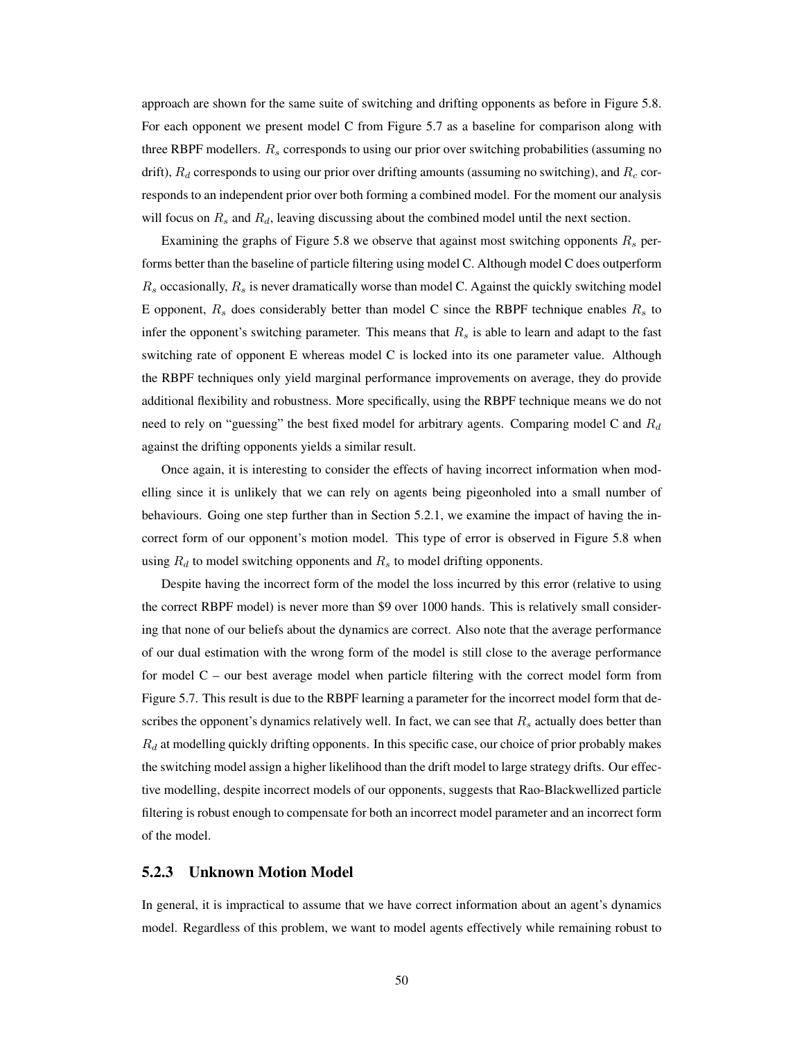approach are shown for the same suite of switching and drifting opponents as before in Figure 5.8. For each opponent we present model C from Figure 5.7 as a baseline for comparison along with three RBPF modellers.  $R<sub>s</sub>$  corresponds to using our prior over switching probabilities (assuming no drift),  $R_d$  corresponds to using our prior over drifting amounts (assuming no switching), and  $R_c$  corresponds to an independent prior over both forming a combined model. For the moment our analysis will focus on  $R_s$  and  $R_d$ , leaving discussing about the combined model until the next section.

Examining the graphs of Figure 5.8 we observe that against most switching opponents  $R_s$  performs better than the baseline of particle filtering using model C. Although model C does outperform  $R<sub>s</sub>$  occasionally,  $R<sub>s</sub>$  is never dramatically worse than model C. Against the quickly switching model E opponent,  $R_s$  does considerably better than model C since the RBPF technique enables  $R_s$  to infer the opponent's switching parameter. This means that  $R<sub>s</sub>$  is able to learn and adapt to the fast switching rate of opponent E whereas model C is locked into its one parameter value. Although the RBPF techniques only yield marginal performance improvements on average, they do provide additional flexibility and robustness. More specifically, using the RBPF technique means we do not need to rely on "guessing" the best fixed model for arbitrary agents. Comparing model C and  $R_d$ against the drifting opponents yields a similar result.

Once again, it is interesting to consider the effects of having incorrect information when modelling since it is unlikely that we can rely on agents being pigeonholed into a small number of behaviours. Going one step further than in Section 5.2.1, we examine the impact of having the incorrect form of our opponent's motion model. This type of error is observed in Figure 5.8 when using  $R_d$  to model switching opponents and  $R_s$  to model drifting opponents.

Despite having the incorrect form of the model the loss incurred by this error (relative to using the correct RBPF model) is never more than \$9 over 1000 hands. This is relatively small considering that none of our beliefs about the dynamics are correct. Also note that the average performance of our dual estimation with the wrong form of the model is still close to the average performance for model C – our best average model when particle filtering with the correct model form from Figure 5.7. This result is due to the RBPF learning a parameter for the incorrect model form that describes the opponent's dynamics relatively well. In fact, we can see that  $R<sub>s</sub>$  actually does better than  $R_d$  at modelling quickly drifting opponents. In this specific case, our choice of prior probably makes the switching model assign a higher likelihood than the drift model to large strategy drifts. Our effective modelling, despite incorrect models of our opponents, suggests that Rao-Blackwellized particle filtering is robust enough to compensate for both an incorrect model parameter and an incorrect form of the model.

### 5.2.3 Unknown Motion Model

In general, it is impractical to assume that we have correct information about an agent's dynamics model. Regardless of this problem, we want to model agents effectively while remaining robust to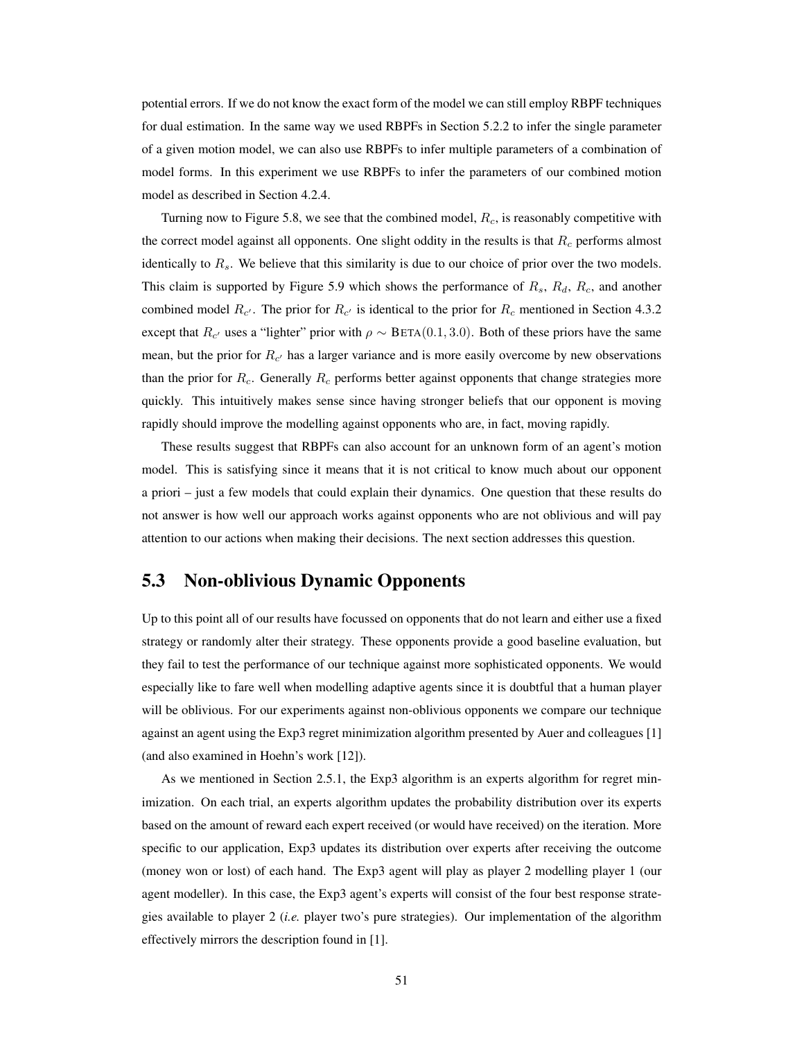potential errors. If we do not know the exact form of the model we can still employ RBPF techniques for dual estimation. In the same way we used RBPFs in Section 5.2.2 to infer the single parameter of a given motion model, we can also use RBPFs to infer multiple parameters of a combination of model forms. In this experiment we use RBPFs to infer the parameters of our combined motion model as described in Section 4.2.4.

Turning now to Figure 5.8, we see that the combined model,  $R_c$ , is reasonably competitive with the correct model against all opponents. One slight oddity in the results is that  $R_c$  performs almost identically to  $R_s$ . We believe that this similarity is due to our choice of prior over the two models. This claim is supported by Figure 5.9 which shows the performance of  $R_s$ ,  $R_d$ ,  $R_c$ , and another combined model  $R_{c'}$ . The prior for  $R_{c'}$  is identical to the prior for  $R_c$  mentioned in Section 4.3.2 except that  $R_{c'}$  uses a "lighter" prior with  $\rho \sim \text{BETA}(0.1, 3.0)$ . Both of these priors have the same mean, but the prior for  $R_{c'}$  has a larger variance and is more easily overcome by new observations than the prior for  $R_c$ . Generally  $R_c$  performs better against opponents that change strategies more quickly. This intuitively makes sense since having stronger beliefs that our opponent is moving rapidly should improve the modelling against opponents who are, in fact, moving rapidly.

These results suggest that RBPFs can also account for an unknown form of an agent's motion model. This is satisfying since it means that it is not critical to know much about our opponent a priori – just a few models that could explain their dynamics. One question that these results do not answer is how well our approach works against opponents who are not oblivious and will pay attention to our actions when making their decisions. The next section addresses this question.

## 5.3 Non-oblivious Dynamic Opponents

Up to this point all of our results have focussed on opponents that do not learn and either use a fixed strategy or randomly alter their strategy. These opponents provide a good baseline evaluation, but they fail to test the performance of our technique against more sophisticated opponents. We would especially like to fare well when modelling adaptive agents since it is doubtful that a human player will be oblivious. For our experiments against non-oblivious opponents we compare our technique against an agent using the Exp3 regret minimization algorithm presented by Auer and colleagues [1] (and also examined in Hoehn's work [12]).

As we mentioned in Section 2.5.1, the Exp3 algorithm is an experts algorithm for regret minimization. On each trial, an experts algorithm updates the probability distribution over its experts based on the amount of reward each expert received (or would have received) on the iteration. More specific to our application, Exp3 updates its distribution over experts after receiving the outcome (money won or lost) of each hand. The Exp3 agent will play as player 2 modelling player 1 (our agent modeller). In this case, the Exp3 agent's experts will consist of the four best response strategies available to player 2 (*i.e.* player two's pure strategies). Our implementation of the algorithm effectively mirrors the description found in [1].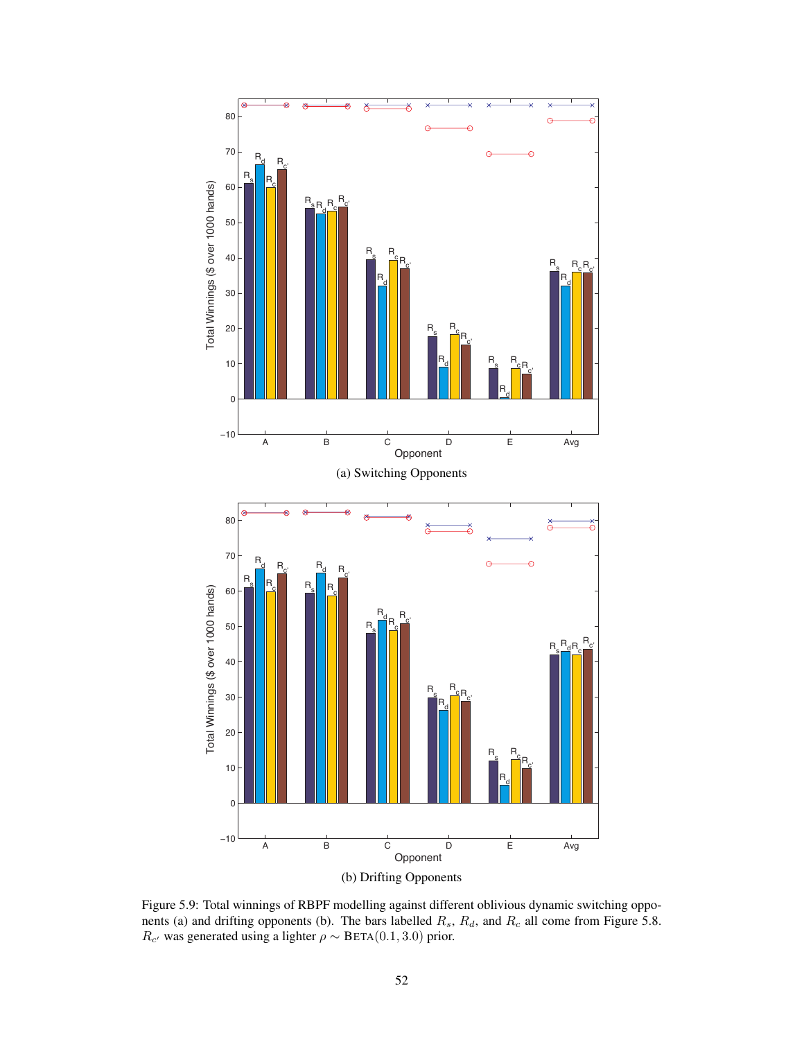

Figure 5.9: Total winnings of RBPF modelling against different oblivious dynamic switching opponents (a) and drifting opponents (b). The bars labelled  $R_s$ ,  $R_d$ , and  $R_c$  all come from Figure 5.8.  $R_{c'}$  was generated using a lighter  $\rho \sim \text{BETA}(0.1, 3.0)$  prior.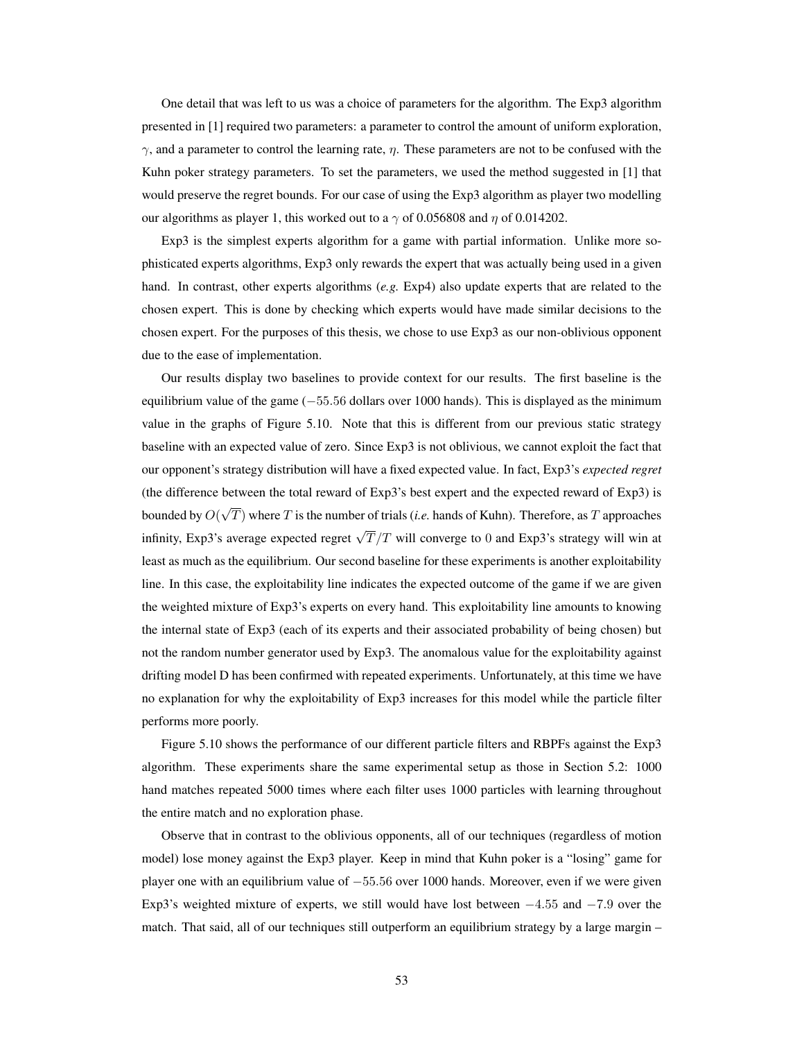One detail that was left to us was a choice of parameters for the algorithm. The Exp3 algorithm presented in [1] required two parameters: a parameter to control the amount of uniform exploration,  $\gamma$ , and a parameter to control the learning rate,  $\eta$ . These parameters are not to be confused with the Kuhn poker strategy parameters. To set the parameters, we used the method suggested in [1] that would preserve the regret bounds. For our case of using the Exp3 algorithm as player two modelling our algorithms as player 1, this worked out to a  $\gamma$  of 0.056808 and  $\eta$  of 0.014202.

Exp3 is the simplest experts algorithm for a game with partial information. Unlike more sophisticated experts algorithms, Exp3 only rewards the expert that was actually being used in a given hand. In contrast, other experts algorithms (*e.g.* Exp4) also update experts that are related to the chosen expert. This is done by checking which experts would have made similar decisions to the chosen expert. For the purposes of this thesis, we chose to use Exp3 as our non-oblivious opponent due to the ease of implementation.

Our results display two baselines to provide context for our results. The first baseline is the equilibrium value of the game (−55.56 dollars over 1000 hands). This is displayed as the minimum value in the graphs of Figure 5.10. Note that this is different from our previous static strategy baseline with an expected value of zero. Since Exp3 is not oblivious, we cannot exploit the fact that our opponent's strategy distribution will have a fixed expected value. In fact, Exp3's *expected regret* (the difference between the total reward of Exp3's best expert and the expected reward of Exp3) is bounded by  $O($ √  $T$ ) where  $T$  is the number of trials (*i.e.* hands of Kuhn). Therefore, as  $T$  approaches infinity, Exp3's average expected regret  $\sqrt{T}/T$  will converge to 0 and Exp3's strategy will win at least as much as the equilibrium. Our second baseline for these experiments is another exploitability line. In this case, the exploitability line indicates the expected outcome of the game if we are given the weighted mixture of Exp3's experts on every hand. This exploitability line amounts to knowing the internal state of Exp3 (each of its experts and their associated probability of being chosen) but not the random number generator used by Exp3. The anomalous value for the exploitability against drifting model D has been confirmed with repeated experiments. Unfortunately, at this time we have no explanation for why the exploitability of Exp3 increases for this model while the particle filter performs more poorly.

Figure 5.10 shows the performance of our different particle filters and RBPFs against the Exp3 algorithm. These experiments share the same experimental setup as those in Section 5.2: 1000 hand matches repeated 5000 times where each filter uses 1000 particles with learning throughout the entire match and no exploration phase.

Observe that in contrast to the oblivious opponents, all of our techniques (regardless of motion model) lose money against the Exp3 player. Keep in mind that Kuhn poker is a "losing" game for player one with an equilibrium value of −55.56 over 1000 hands. Moreover, even if we were given Exp3's weighted mixture of experts, we still would have lost between  $-4.55$  and  $-7.9$  over the match. That said, all of our techniques still outperform an equilibrium strategy by a large margin –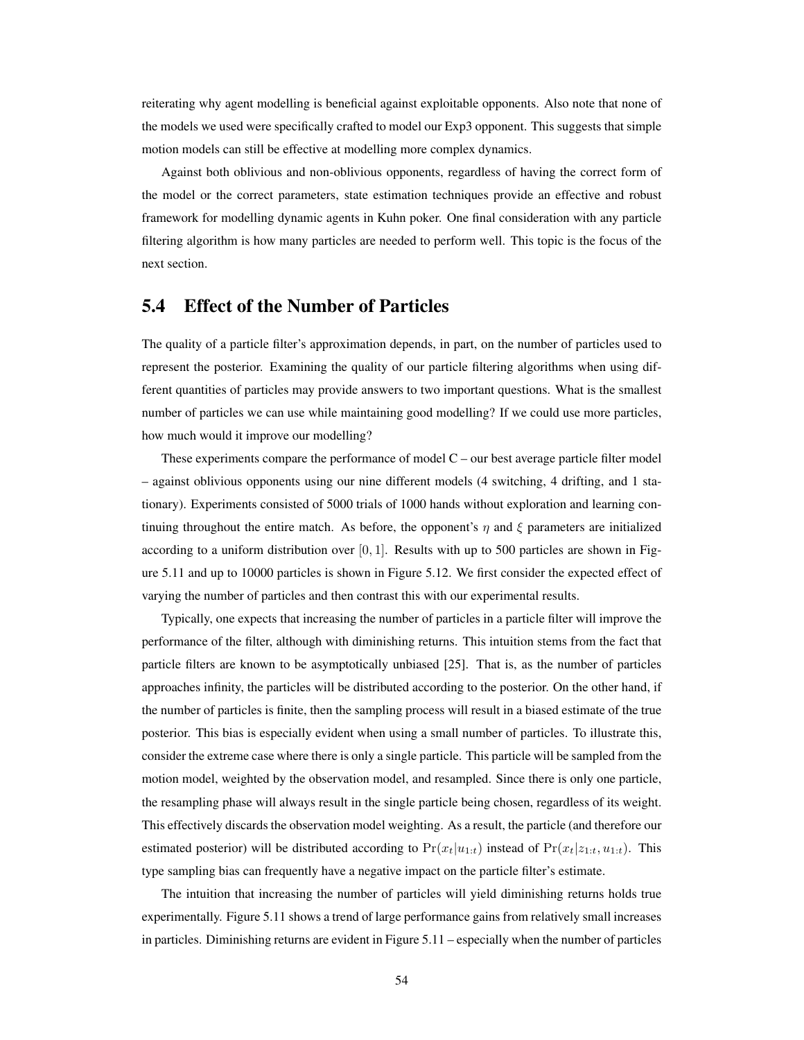reiterating why agent modelling is beneficial against exploitable opponents. Also note that none of the models we used were specifically crafted to model our Exp3 opponent. This suggests that simple motion models can still be effective at modelling more complex dynamics.

Against both oblivious and non-oblivious opponents, regardless of having the correct form of the model or the correct parameters, state estimation techniques provide an effective and robust framework for modelling dynamic agents in Kuhn poker. One final consideration with any particle filtering algorithm is how many particles are needed to perform well. This topic is the focus of the next section.

## 5.4 Effect of the Number of Particles

The quality of a particle filter's approximation depends, in part, on the number of particles used to represent the posterior. Examining the quality of our particle filtering algorithms when using different quantities of particles may provide answers to two important questions. What is the smallest number of particles we can use while maintaining good modelling? If we could use more particles, how much would it improve our modelling?

These experiments compare the performance of model C – our best average particle filter model – against oblivious opponents using our nine different models (4 switching, 4 drifting, and 1 stationary). Experiments consisted of 5000 trials of 1000 hands without exploration and learning continuing throughout the entire match. As before, the opponent's  $\eta$  and  $\xi$  parameters are initialized according to a uniform distribution over  $[0, 1]$ . Results with up to 500 particles are shown in Figure 5.11 and up to 10000 particles is shown in Figure 5.12. We first consider the expected effect of varying the number of particles and then contrast this with our experimental results.

Typically, one expects that increasing the number of particles in a particle filter will improve the performance of the filter, although with diminishing returns. This intuition stems from the fact that particle filters are known to be asymptotically unbiased [25]. That is, as the number of particles approaches infinity, the particles will be distributed according to the posterior. On the other hand, if the number of particles is finite, then the sampling process will result in a biased estimate of the true posterior. This bias is especially evident when using a small number of particles. To illustrate this, consider the extreme case where there is only a single particle. This particle will be sampled from the motion model, weighted by the observation model, and resampled. Since there is only one particle, the resampling phase will always result in the single particle being chosen, regardless of its weight. This effectively discards the observation model weighting. As a result, the particle (and therefore our estimated posterior) will be distributed according to  $Pr(x_t|u_{1:t})$  instead of  $Pr(x_t|z_{1:t}, u_{1:t})$ . This type sampling bias can frequently have a negative impact on the particle filter's estimate.

The intuition that increasing the number of particles will yield diminishing returns holds true experimentally. Figure 5.11 shows a trend of large performance gains from relatively small increases in particles. Diminishing returns are evident in Figure 5.11 – especially when the number of particles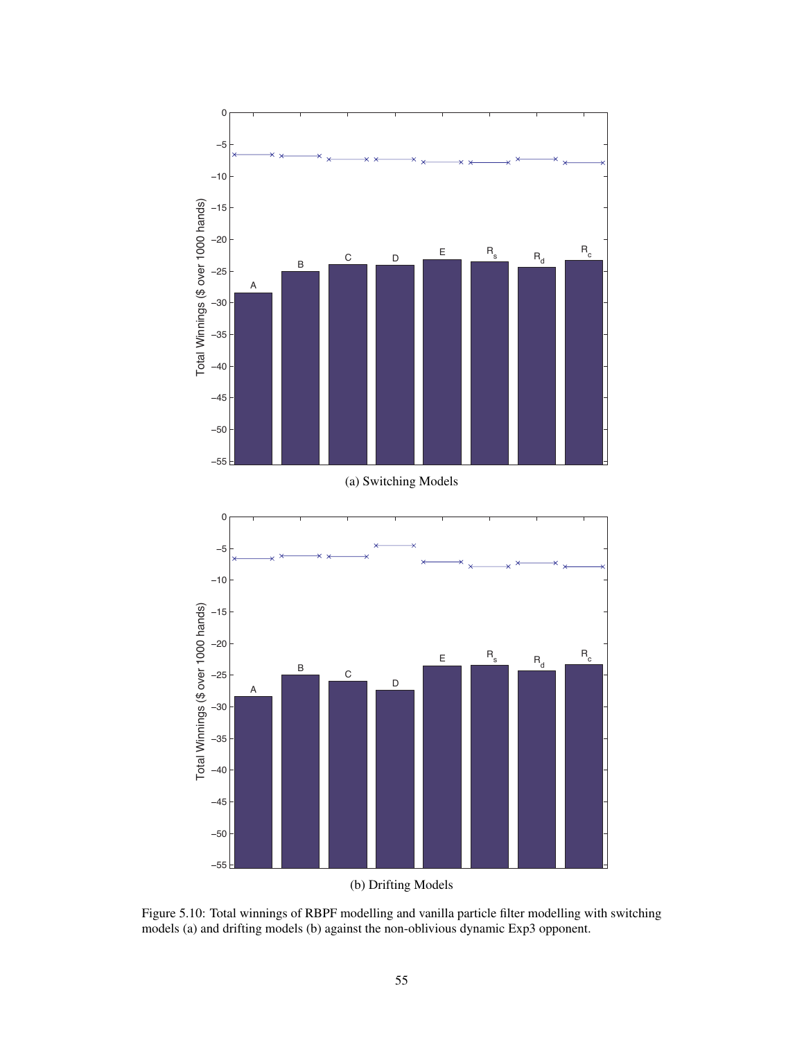

Figure 5.10: Total winnings of RBPF modelling and vanilla particle filter modelling with switching models (a) and drifting models (b) against the non-oblivious dynamic Exp3 opponent.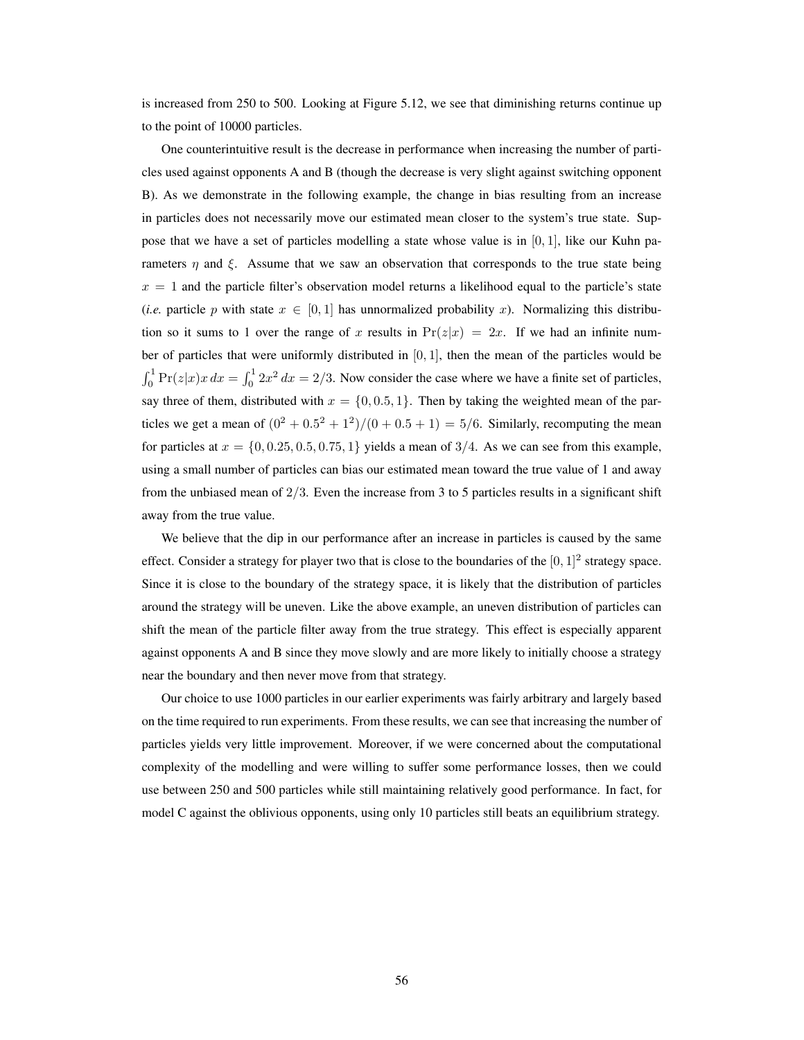is increased from 250 to 500. Looking at Figure 5.12, we see that diminishing returns continue up to the point of 10000 particles.

One counterintuitive result is the decrease in performance when increasing the number of particles used against opponents A and B (though the decrease is very slight against switching opponent B). As we demonstrate in the following example, the change in bias resulting from an increase in particles does not necessarily move our estimated mean closer to the system's true state. Suppose that we have a set of particles modelling a state whose value is in  $[0, 1]$ , like our Kuhn parameters  $\eta$  and  $\xi$ . Assume that we saw an observation that corresponds to the true state being  $x = 1$  and the particle filter's observation model returns a likelihood equal to the particle's state (*i.e.* particle p with state  $x \in [0, 1]$  has unnormalized probability x). Normalizing this distribution so it sums to 1 over the range of x results in  $Pr(z|x) = 2x$ . If we had an infinite number of particles that were uniformly distributed in [0, 1], then the mean of the particles would be  $\int_0^1 \Pr(z|x) x \, dx = \int_0^1 2x^2 \, dx = 2/3$ . Now consider the case where we have a finite set of particles, say three of them, distributed with  $x = \{0, 0.5, 1\}$ . Then by taking the weighted mean of the particles we get a mean of  $(0^2 + 0.5^2 + 1^2)/(0 + 0.5 + 1) = 5/6$ . Similarly, recomputing the mean for particles at  $x = \{0, 0.25, 0.5, 0.75, 1\}$  yields a mean of 3/4. As we can see from this example, using a small number of particles can bias our estimated mean toward the true value of 1 and away from the unbiased mean of  $2/3$ . Even the increase from 3 to 5 particles results in a significant shift away from the true value.

We believe that the dip in our performance after an increase in particles is caused by the same effect. Consider a strategy for player two that is close to the boundaries of the  $[0, 1]^2$  strategy space. Since it is close to the boundary of the strategy space, it is likely that the distribution of particles around the strategy will be uneven. Like the above example, an uneven distribution of particles can shift the mean of the particle filter away from the true strategy. This effect is especially apparent against opponents A and B since they move slowly and are more likely to initially choose a strategy near the boundary and then never move from that strategy.

Our choice to use 1000 particles in our earlier experiments was fairly arbitrary and largely based on the time required to run experiments. From these results, we can see that increasing the number of particles yields very little improvement. Moreover, if we were concerned about the computational complexity of the modelling and were willing to suffer some performance losses, then we could use between 250 and 500 particles while still maintaining relatively good performance. In fact, for model C against the oblivious opponents, using only 10 particles still beats an equilibrium strategy.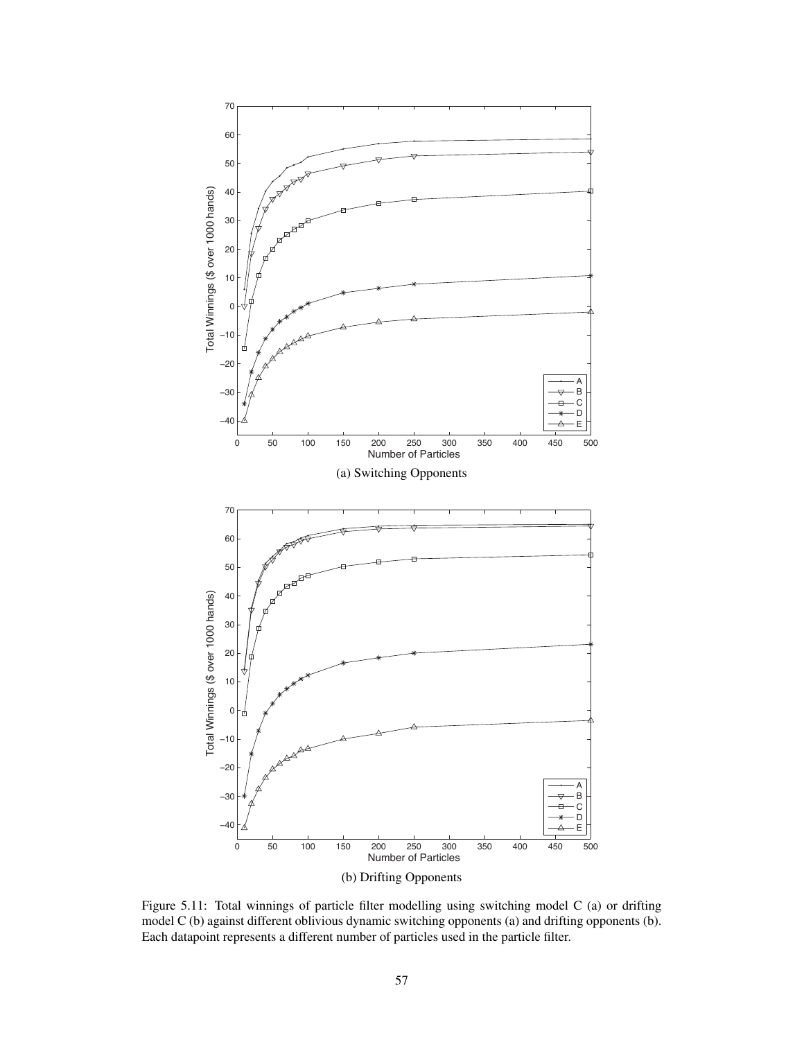

Figure 5.11: Total winnings of particle filter modelling using switching model C (a) or drifting model C (b) against different oblivious dynamic switching opponents (a) and drifting opponents (b). Each datapoint represents a different number of particles used in the particle filter.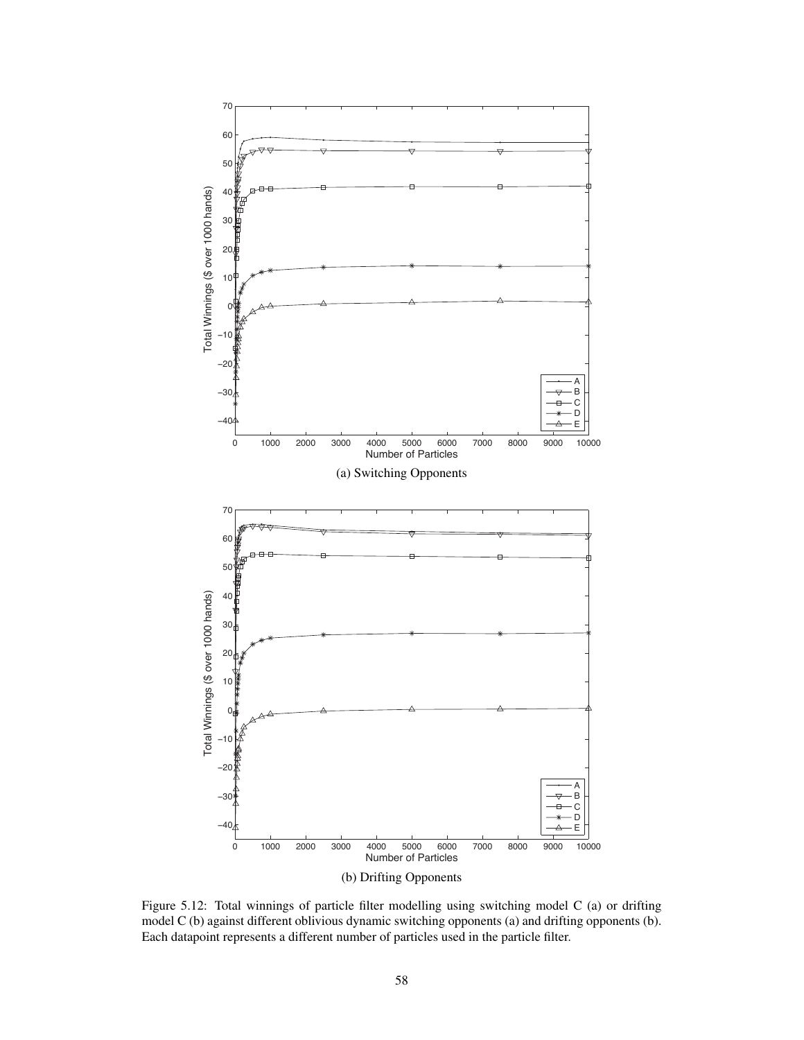

Figure 5.12: Total winnings of particle filter modelling using switching model C (a) or drifting model C (b) against different oblivious dynamic switching opponents (a) and drifting opponents (b). Each datapoint represents a different number of particles used in the particle filter.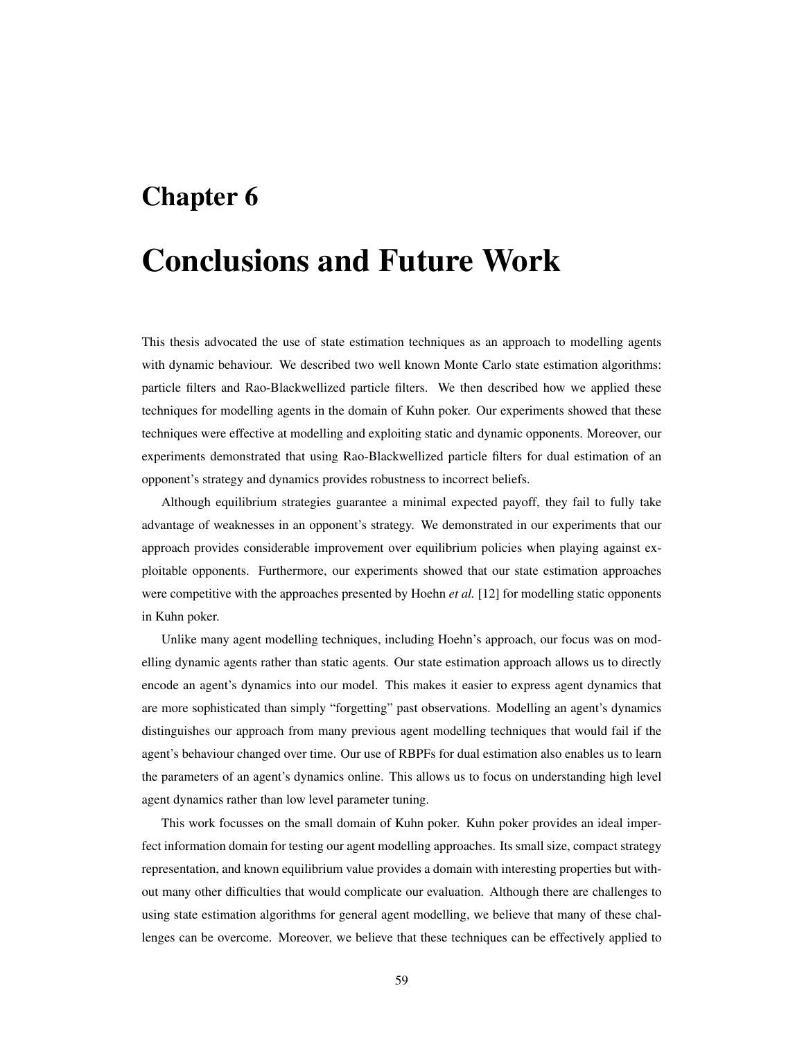## Chapter 6

# Conclusions and Future Work

This thesis advocated the use of state estimation techniques as an approach to modelling agents with dynamic behaviour. We described two well known Monte Carlo state estimation algorithms: particle filters and Rao-Blackwellized particle filters. We then described how we applied these techniques for modelling agents in the domain of Kuhn poker. Our experiments showed that these techniques were effective at modelling and exploiting static and dynamic opponents. Moreover, our experiments demonstrated that using Rao-Blackwellized particle filters for dual estimation of an opponent's strategy and dynamics provides robustness to incorrect beliefs.

Although equilibrium strategies guarantee a minimal expected payoff, they fail to fully take advantage of weaknesses in an opponent's strategy. We demonstrated in our experiments that our approach provides considerable improvement over equilibrium policies when playing against exploitable opponents. Furthermore, our experiments showed that our state estimation approaches were competitive with the approaches presented by Hoehn *et al.* [12] for modelling static opponents in Kuhn poker.

Unlike many agent modelling techniques, including Hoehn's approach, our focus was on modelling dynamic agents rather than static agents. Our state estimation approach allows us to directly encode an agent's dynamics into our model. This makes it easier to express agent dynamics that are more sophisticated than simply "forgetting" past observations. Modelling an agent's dynamics distinguishes our approach from many previous agent modelling techniques that would fail if the agent's behaviour changed over time. Our use of RBPFs for dual estimation also enables us to learn the parameters of an agent's dynamics online. This allows us to focus on understanding high level agent dynamics rather than low level parameter tuning.

This work focusses on the small domain of Kuhn poker. Kuhn poker provides an ideal imperfect information domain for testing our agent modelling approaches. Its small size, compact strategy representation, and known equilibrium value provides a domain with interesting properties but without many other difficulties that would complicate our evaluation. Although there are challenges to using state estimation algorithms for general agent modelling, we believe that many of these challenges can be overcome. Moreover, we believe that these techniques can be effectively applied to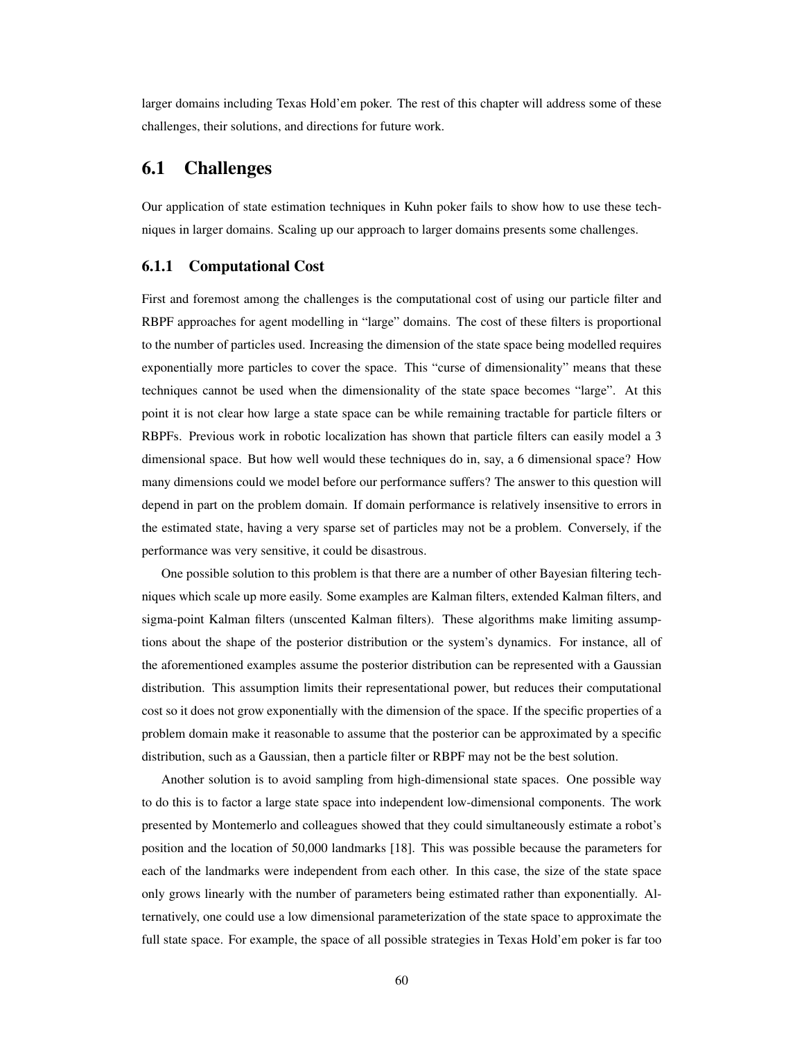larger domains including Texas Hold'em poker. The rest of this chapter will address some of these challenges, their solutions, and directions for future work.

## 6.1 Challenges

Our application of state estimation techniques in Kuhn poker fails to show how to use these techniques in larger domains. Scaling up our approach to larger domains presents some challenges.

### 6.1.1 Computational Cost

First and foremost among the challenges is the computational cost of using our particle filter and RBPF approaches for agent modelling in "large" domains. The cost of these filters is proportional to the number of particles used. Increasing the dimension of the state space being modelled requires exponentially more particles to cover the space. This "curse of dimensionality" means that these techniques cannot be used when the dimensionality of the state space becomes "large". At this point it is not clear how large a state space can be while remaining tractable for particle filters or RBPFs. Previous work in robotic localization has shown that particle filters can easily model a 3 dimensional space. But how well would these techniques do in, say, a 6 dimensional space? How many dimensions could we model before our performance suffers? The answer to this question will depend in part on the problem domain. If domain performance is relatively insensitive to errors in the estimated state, having a very sparse set of particles may not be a problem. Conversely, if the performance was very sensitive, it could be disastrous.

One possible solution to this problem is that there are a number of other Bayesian filtering techniques which scale up more easily. Some examples are Kalman filters, extended Kalman filters, and sigma-point Kalman filters (unscented Kalman filters). These algorithms make limiting assumptions about the shape of the posterior distribution or the system's dynamics. For instance, all of the aforementioned examples assume the posterior distribution can be represented with a Gaussian distribution. This assumption limits their representational power, but reduces their computational cost so it does not grow exponentially with the dimension of the space. If the specific properties of a problem domain make it reasonable to assume that the posterior can be approximated by a specific distribution, such as a Gaussian, then a particle filter or RBPF may not be the best solution.

Another solution is to avoid sampling from high-dimensional state spaces. One possible way to do this is to factor a large state space into independent low-dimensional components. The work presented by Montemerlo and colleagues showed that they could simultaneously estimate a robot's position and the location of 50,000 landmarks [18]. This was possible because the parameters for each of the landmarks were independent from each other. In this case, the size of the state space only grows linearly with the number of parameters being estimated rather than exponentially. Alternatively, one could use a low dimensional parameterization of the state space to approximate the full state space. For example, the space of all possible strategies in Texas Hold'em poker is far too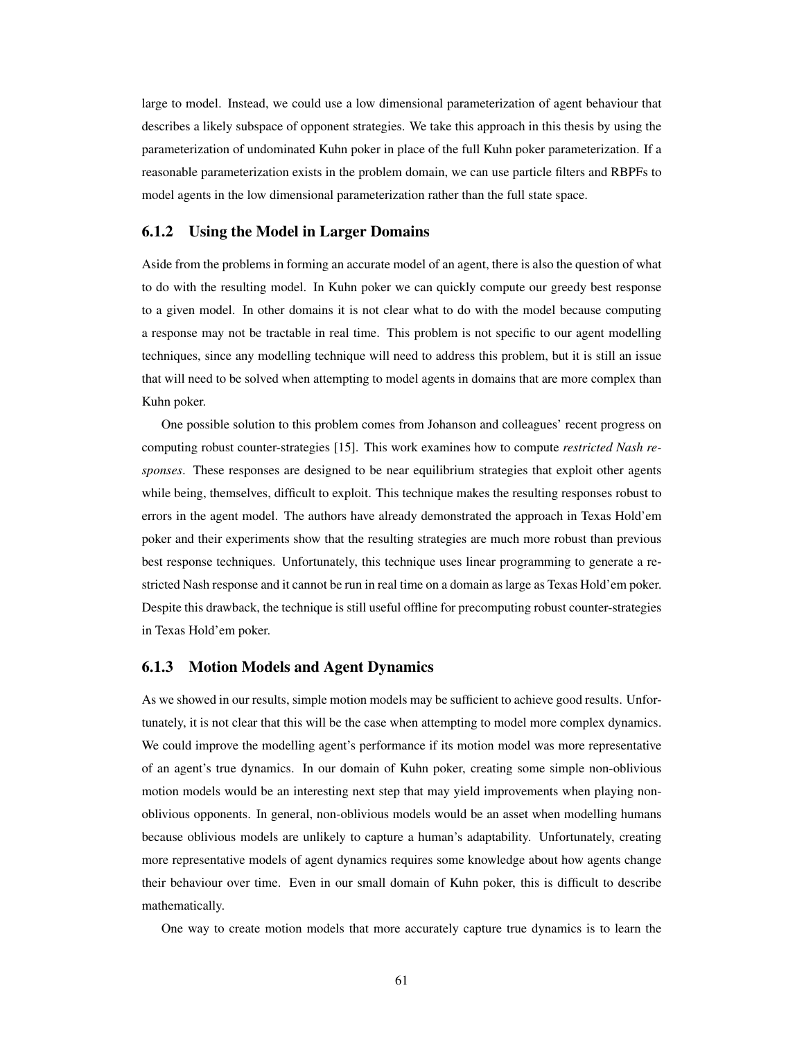large to model. Instead, we could use a low dimensional parameterization of agent behaviour that describes a likely subspace of opponent strategies. We take this approach in this thesis by using the parameterization of undominated Kuhn poker in place of the full Kuhn poker parameterization. If a reasonable parameterization exists in the problem domain, we can use particle filters and RBPFs to model agents in the low dimensional parameterization rather than the full state space.

### 6.1.2 Using the Model in Larger Domains

Aside from the problems in forming an accurate model of an agent, there is also the question of what to do with the resulting model. In Kuhn poker we can quickly compute our greedy best response to a given model. In other domains it is not clear what to do with the model because computing a response may not be tractable in real time. This problem is not specific to our agent modelling techniques, since any modelling technique will need to address this problem, but it is still an issue that will need to be solved when attempting to model agents in domains that are more complex than Kuhn poker.

One possible solution to this problem comes from Johanson and colleagues' recent progress on computing robust counter-strategies [15]. This work examines how to compute *restricted Nash responses*. These responses are designed to be near equilibrium strategies that exploit other agents while being, themselves, difficult to exploit. This technique makes the resulting responses robust to errors in the agent model. The authors have already demonstrated the approach in Texas Hold'em poker and their experiments show that the resulting strategies are much more robust than previous best response techniques. Unfortunately, this technique uses linear programming to generate a restricted Nash response and it cannot be run in real time on a domain as large as Texas Hold'em poker. Despite this drawback, the technique is still useful offline for precomputing robust counter-strategies in Texas Hold'em poker.

#### 6.1.3 Motion Models and Agent Dynamics

As we showed in our results, simple motion models may be sufficient to achieve good results. Unfortunately, it is not clear that this will be the case when attempting to model more complex dynamics. We could improve the modelling agent's performance if its motion model was more representative of an agent's true dynamics. In our domain of Kuhn poker, creating some simple non-oblivious motion models would be an interesting next step that may yield improvements when playing nonoblivious opponents. In general, non-oblivious models would be an asset when modelling humans because oblivious models are unlikely to capture a human's adaptability. Unfortunately, creating more representative models of agent dynamics requires some knowledge about how agents change their behaviour over time. Even in our small domain of Kuhn poker, this is difficult to describe mathematically.

One way to create motion models that more accurately capture true dynamics is to learn the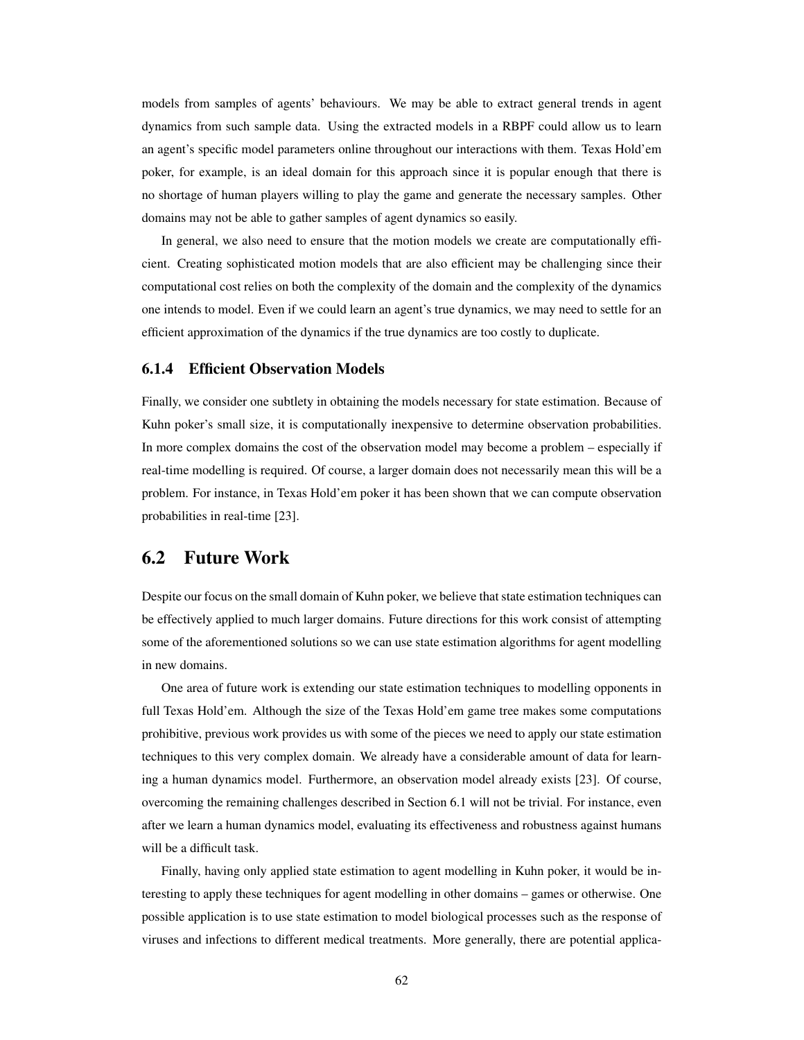models from samples of agents' behaviours. We may be able to extract general trends in agent dynamics from such sample data. Using the extracted models in a RBPF could allow us to learn an agent's specific model parameters online throughout our interactions with them. Texas Hold'em poker, for example, is an ideal domain for this approach since it is popular enough that there is no shortage of human players willing to play the game and generate the necessary samples. Other domains may not be able to gather samples of agent dynamics so easily.

In general, we also need to ensure that the motion models we create are computationally efficient. Creating sophisticated motion models that are also efficient may be challenging since their computational cost relies on both the complexity of the domain and the complexity of the dynamics one intends to model. Even if we could learn an agent's true dynamics, we may need to settle for an efficient approximation of the dynamics if the true dynamics are too costly to duplicate.

## 6.1.4 Efficient Observation Models

Finally, we consider one subtlety in obtaining the models necessary for state estimation. Because of Kuhn poker's small size, it is computationally inexpensive to determine observation probabilities. In more complex domains the cost of the observation model may become a problem – especially if real-time modelling is required. Of course, a larger domain does not necessarily mean this will be a problem. For instance, in Texas Hold'em poker it has been shown that we can compute observation probabilities in real-time [23].

## 6.2 Future Work

Despite our focus on the small domain of Kuhn poker, we believe that state estimation techniques can be effectively applied to much larger domains. Future directions for this work consist of attempting some of the aforementioned solutions so we can use state estimation algorithms for agent modelling in new domains.

One area of future work is extending our state estimation techniques to modelling opponents in full Texas Hold'em. Although the size of the Texas Hold'em game tree makes some computations prohibitive, previous work provides us with some of the pieces we need to apply our state estimation techniques to this very complex domain. We already have a considerable amount of data for learning a human dynamics model. Furthermore, an observation model already exists [23]. Of course, overcoming the remaining challenges described in Section 6.1 will not be trivial. For instance, even after we learn a human dynamics model, evaluating its effectiveness and robustness against humans will be a difficult task.

Finally, having only applied state estimation to agent modelling in Kuhn poker, it would be interesting to apply these techniques for agent modelling in other domains – games or otherwise. One possible application is to use state estimation to model biological processes such as the response of viruses and infections to different medical treatments. More generally, there are potential applica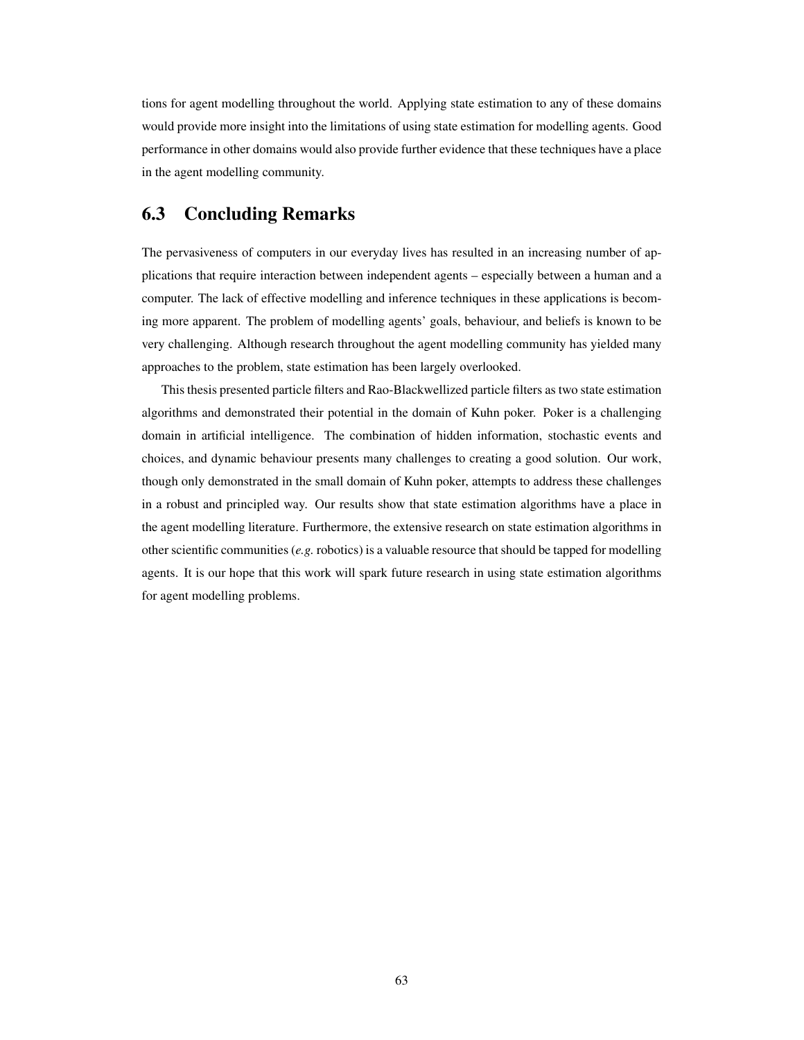tions for agent modelling throughout the world. Applying state estimation to any of these domains would provide more insight into the limitations of using state estimation for modelling agents. Good performance in other domains would also provide further evidence that these techniques have a place in the agent modelling community.

## 6.3 Concluding Remarks

The pervasiveness of computers in our everyday lives has resulted in an increasing number of applications that require interaction between independent agents – especially between a human and a computer. The lack of effective modelling and inference techniques in these applications is becoming more apparent. The problem of modelling agents' goals, behaviour, and beliefs is known to be very challenging. Although research throughout the agent modelling community has yielded many approaches to the problem, state estimation has been largely overlooked.

This thesis presented particle filters and Rao-Blackwellized particle filters as two state estimation algorithms and demonstrated their potential in the domain of Kuhn poker. Poker is a challenging domain in artificial intelligence. The combination of hidden information, stochastic events and choices, and dynamic behaviour presents many challenges to creating a good solution. Our work, though only demonstrated in the small domain of Kuhn poker, attempts to address these challenges in a robust and principled way. Our results show that state estimation algorithms have a place in the agent modelling literature. Furthermore, the extensive research on state estimation algorithms in other scientific communities (*e.g.* robotics) is a valuable resource that should be tapped for modelling agents. It is our hope that this work will spark future research in using state estimation algorithms for agent modelling problems.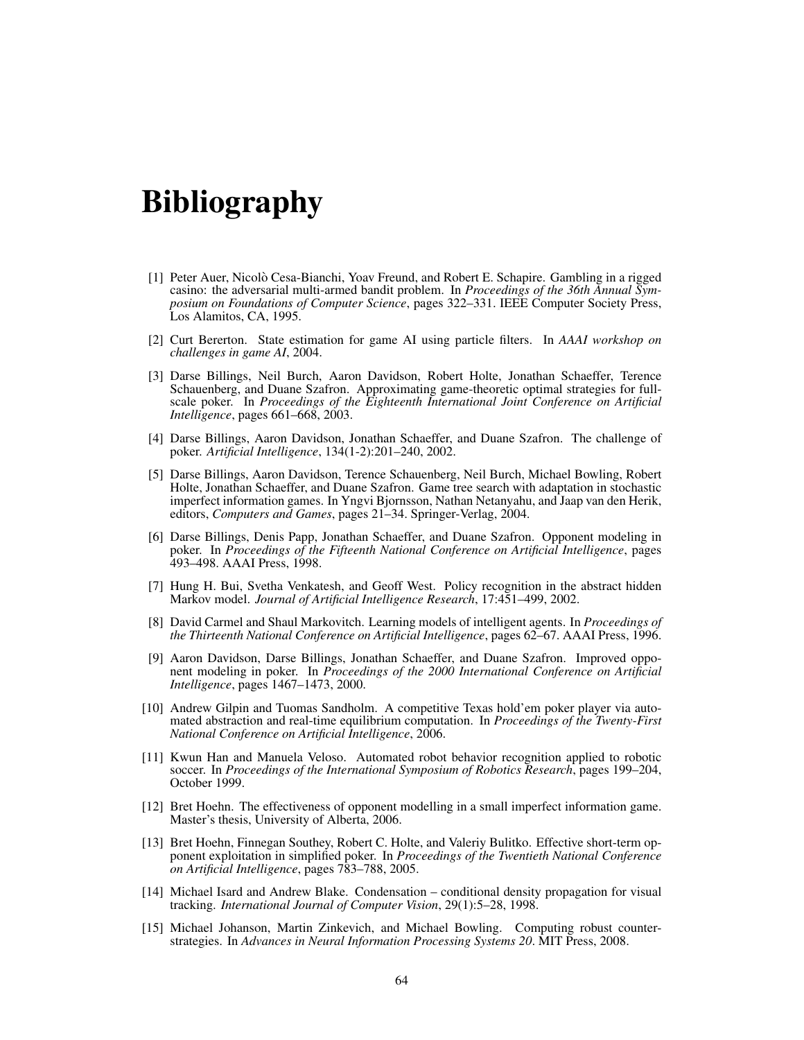# Bibliography

- [1] Peter Auer, Nicolo Cesa-Bianchi, Yoav Freund, and Robert E. Schapire. Gambling in a rigged ` casino: the adversarial multi-armed bandit problem. In *Proceedings of the 36th Annual Symposium on Foundations of Computer Science*, pages 322–331. IEEE Computer Society Press, Los Alamitos, CA, 1995.
- [2] Curt Bererton. State estimation for game AI using particle filters. In *AAAI workshop on challenges in game AI*, 2004.
- [3] Darse Billings, Neil Burch, Aaron Davidson, Robert Holte, Jonathan Schaeffer, Terence Schauenberg, and Duane Szafron. Approximating game-theoretic optimal strategies for fullscale poker. In *Proceedings of the Eighteenth International Joint Conference on Artificial Intelligence*, pages 661–668, 2003.
- [4] Darse Billings, Aaron Davidson, Jonathan Schaeffer, and Duane Szafron. The challenge of poker. *Artificial Intelligence*, 134(1-2):201–240, 2002.
- [5] Darse Billings, Aaron Davidson, Terence Schauenberg, Neil Burch, Michael Bowling, Robert Holte, Jonathan Schaeffer, and Duane Szafron. Game tree search with adaptation in stochastic imperfect information games. In Yngvi Bjornsson, Nathan Netanyahu, and Jaap van den Herik, editors, *Computers and Games*, pages 21–34. Springer-Verlag, 2004.
- [6] Darse Billings, Denis Papp, Jonathan Schaeffer, and Duane Szafron. Opponent modeling in poker. In *Proceedings of the Fifteenth National Conference on Artificial Intelligence*, pages 493–498. AAAI Press, 1998.
- [7] Hung H. Bui, Svetha Venkatesh, and Geoff West. Policy recognition in the abstract hidden Markov model. *Journal of Artificial Intelligence Research*, 17:451–499, 2002.
- [8] David Carmel and Shaul Markovitch. Learning models of intelligent agents. In *Proceedings of the Thirteenth National Conference on Artificial Intelligence*, pages 62–67. AAAI Press, 1996.
- [9] Aaron Davidson, Darse Billings, Jonathan Schaeffer, and Duane Szafron. Improved opponent modeling in poker. In *Proceedings of the 2000 International Conference on Artificial Intelligence*, pages 1467–1473, 2000.
- [10] Andrew Gilpin and Tuomas Sandholm. A competitive Texas hold'em poker player via automated abstraction and real-time equilibrium computation. In *Proceedings of the Twenty-First National Conference on Artificial Intelligence*, 2006.
- [11] Kwun Han and Manuela Veloso. Automated robot behavior recognition applied to robotic soccer. In *Proceedings of the International Symposium of Robotics Research*, pages 199–204, October 1999.
- [12] Bret Hoehn. The effectiveness of opponent modelling in a small imperfect information game. Master's thesis, University of Alberta, 2006.
- [13] Bret Hoehn, Finnegan Southey, Robert C. Holte, and Valeriy Bulitko. Effective short-term opponent exploitation in simplified poker. In *Proceedings of the Twentieth National Conference on Artificial Intelligence*, pages 783–788, 2005.
- [14] Michael Isard and Andrew Blake. Condensation conditional density propagation for visual tracking. *International Journal of Computer Vision*, 29(1):5–28, 1998.
- [15] Michael Johanson, Martin Zinkevich, and Michael Bowling. Computing robust counterstrategies. In *Advances in Neural Information Processing Systems 20*. MIT Press, 2008.